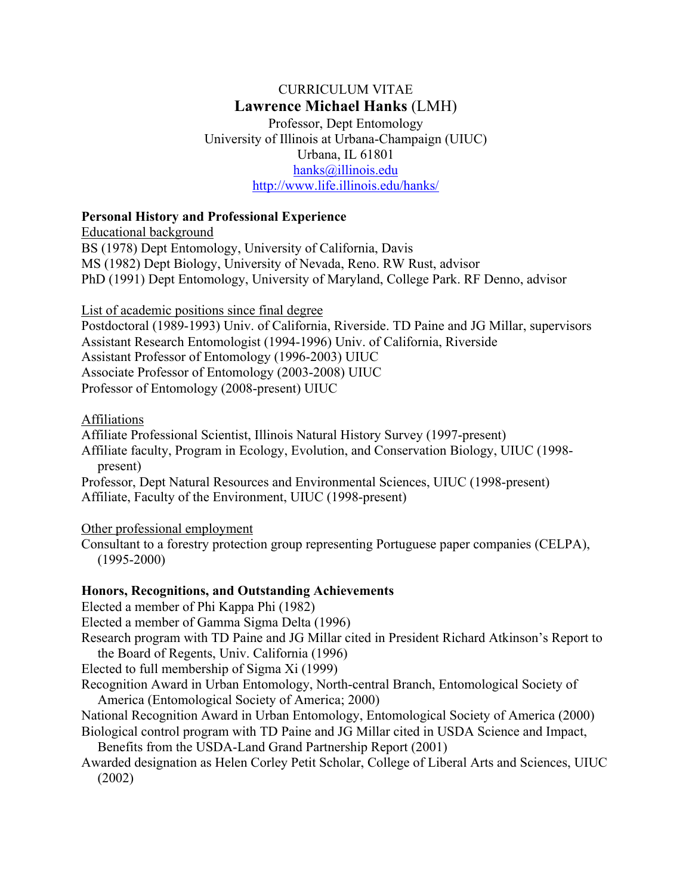# CURRICULUM VITAE **Lawrence Michael Hanks** (LMH)

Professor, Dept Entomology University of Illinois at Urbana-Champaign (UIUC) Urbana, IL 61801 hanks@illinois.edu http://www.life.illinois.edu/hanks/

## **Personal History and Professional Experience**

Educational background

BS (1978) Dept Entomology, University of California, Davis MS (1982) Dept Biology, University of Nevada, Reno. RW Rust, advisor PhD (1991) Dept Entomology, University of Maryland, College Park. RF Denno, advisor

List of academic positions since final degree

Postdoctoral (1989-1993) Univ. of California, Riverside. TD Paine and JG Millar, supervisors Assistant Research Entomologist (1994-1996) Univ. of California, Riverside Assistant Professor of Entomology (1996-2003) UIUC Associate Professor of Entomology (2003-2008) UIUC Professor of Entomology (2008-present) UIUC

## Affiliations

Affiliate Professional Scientist, Illinois Natural History Survey (1997-present)

Affiliate faculty, Program in Ecology, Evolution, and Conservation Biology, UIUC (1998 present)

Professor, Dept Natural Resources and Environmental Sciences, UIUC (1998-present) Affiliate, Faculty of the Environment, UIUC (1998-present)

# Other professional employment

Consultant to a forestry protection group representing Portuguese paper companies (CELPA), (1995-2000)

# **Honors, Recognitions, and Outstanding Achievements**

Elected a member of Phi Kappa Phi (1982)

Elected a member of Gamma Sigma Delta (1996)

Research program with TD Paine and JG Millar cited in President Richard Atkinson's Report to the Board of Regents, Univ. California (1996)

Elected to full membership of Sigma Xi (1999)

Recognition Award in Urban Entomology, North-central Branch, Entomological Society of America (Entomological Society of America; 2000)

National Recognition Award in Urban Entomology, Entomological Society of America (2000) Biological control program with TD Paine and JG Millar cited in USDA Science and Impact,

Benefits from the USDA-Land Grand Partnership Report (2001)

Awarded designation as Helen Corley Petit Scholar, College of Liberal Arts and Sciences, UIUC (2002)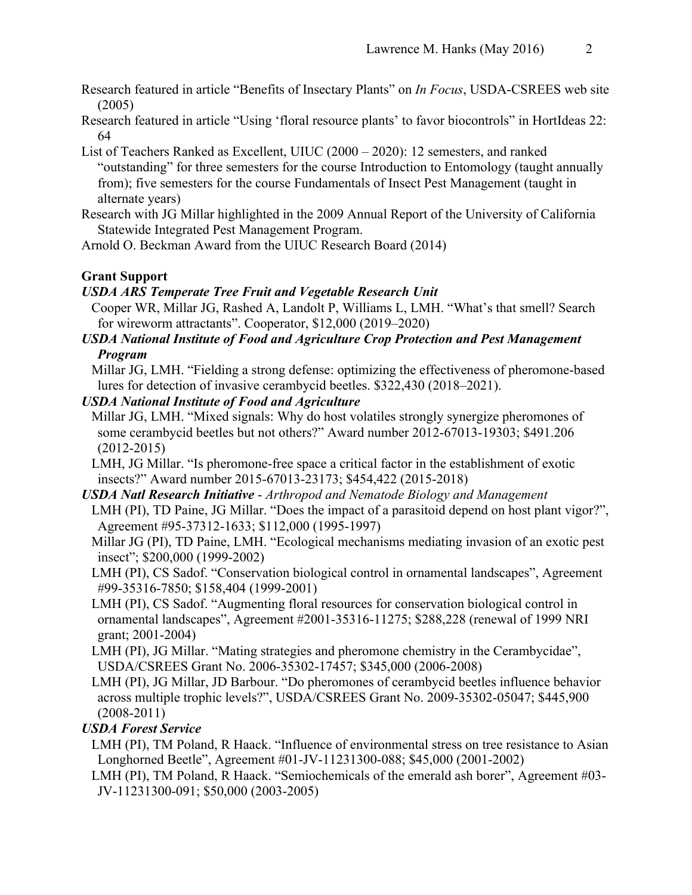- Research featured in article "Benefits of Insectary Plants" on *In Focus*, USDA-CSREES web site (2005)
- Research featured in article "Using 'floral resource plants' to favor biocontrols" in HortIdeas 22: 64
- List of Teachers Ranked as Excellent, UIUC (2000 2020): 12 semesters, and ranked "outstanding" for three semesters for the course Introduction to Entomology (taught annually from); five semesters for the course Fundamentals of Insect Pest Management (taught in alternate years)
- Research with JG Millar highlighted in the 2009 Annual Report of the University of California Statewide Integrated Pest Management Program.
- Arnold O. Beckman Award from the UIUC Research Board (2014)

# **Grant Support**

## *USDA ARS Temperate Tree Fruit and Vegetable Research Unit*

- Cooper WR, Millar JG, Rashed A, Landolt P, Williams L, LMH. "What's that smell? Search for wireworm attractants". Cooperator, \$12,000 (2019–2020)
- *USDA National Institute of Food and Agriculture Crop Protection and Pest Management Program*

Millar JG, LMH. "Fielding a strong defense: optimizing the effectiveness of pheromone-based lures for detection of invasive cerambycid beetles. \$322,430 (2018–2021).

## *USDA National Institute of Food and Agriculture*

- Millar JG, LMH. "Mixed signals: Why do host volatiles strongly synergize pheromones of some cerambycid beetles but not others?" Award number 2012-67013-19303; \$491.206 (2012-2015)
- LMH, JG Millar. "Is pheromone-free space a critical factor in the establishment of exotic insects?" Award number 2015-67013-23173; \$454,422 (2015-2018)
- *USDA Natl Research Initiative Arthropod and Nematode Biology and Management* LMH (PI), TD Paine, JG Millar. "Does the impact of a parasitoid depend on host plant vigor?", Agreement #95-37312-1633; \$112,000 (1995-1997)
	- Millar JG (PI), TD Paine, LMH. "Ecological mechanisms mediating invasion of an exotic pest insect"; \$200,000 (1999-2002)
	- LMH (PI), CS Sadof. "Conservation biological control in ornamental landscapes", Agreement #99-35316-7850; \$158,404 (1999-2001)
	- LMH (PI), CS Sadof. "Augmenting floral resources for conservation biological control in ornamental landscapes", Agreement #2001-35316-11275; \$288,228 (renewal of 1999 NRI grant; 2001-2004)
	- LMH (PI), JG Millar. "Mating strategies and pheromone chemistry in the Cerambycidae", USDA/CSREES Grant No. 2006-35302-17457; \$345,000 (2006-2008)
	- LMH (PI), JG Millar, JD Barbour. "Do pheromones of cerambycid beetles influence behavior across multiple trophic levels?", USDA/CSREES Grant No. 2009-35302-05047; \$445,900 (2008-2011)

## *USDA Forest Service*

- LMH (PI), TM Poland, R Haack. "Influence of environmental stress on tree resistance to Asian Longhorned Beetle", Agreement #01-JV-11231300-088; \$45,000 (2001-2002)
- LMH (PI), TM Poland, R Haack. "Semiochemicals of the emerald ash borer", Agreement #03-JV-11231300-091; \$50,000 (2003-2005)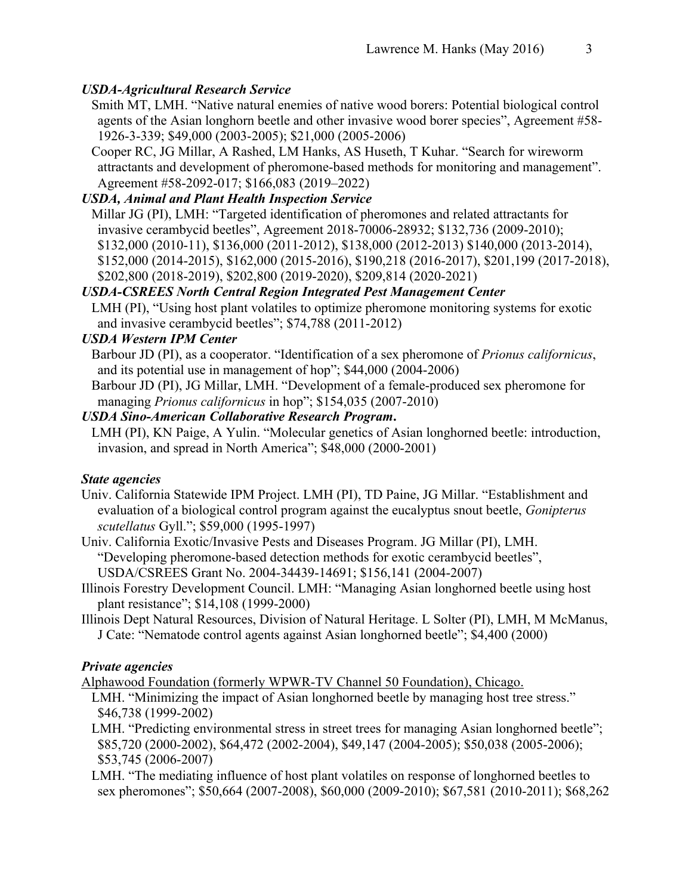# *USDA-Agricultural Research Service*

Smith MT, LMH. "Native natural enemies of native wood borers: Potential biological control agents of the Asian longhorn beetle and other invasive wood borer species", Agreement #58- 1926-3-339; \$49,000 (2003-2005); \$21,000 (2005-2006)

Cooper RC, JG Millar, A Rashed, LM Hanks, AS Huseth, T Kuhar. "Search for wireworm attractants and development of pheromone-based methods for monitoring and management". Agreement #58-2092-017; \$166,083 (2019–2022)

# *USDA, Animal and Plant Health Inspection Service*

Millar JG (PI), LMH: "Targeted identification of pheromones and related attractants for invasive cerambycid beetles", Agreement 2018-70006-28932; \$132,736 (2009-2010); \$132,000 (2010-11), \$136,000 (2011-2012), \$138,000 (2012-2013) \$140,000 (2013-2014), \$152,000 (2014-2015), \$162,000 (2015-2016), \$190,218 (2016-2017), \$201,199 (2017-2018), \$202,800 (2018-2019), \$202,800 (2019-2020), \$209,814 (2020-2021)

# *USDA-CSREES North Central Region Integrated Pest Management Center*

LMH (PI), "Using host plant volatiles to optimize pheromone monitoring systems for exotic and invasive cerambycid beetles"; \$74,788 (2011-2012)

# *USDA Western IPM Center*

Barbour JD (PI), as a cooperator. "Identification of a sex pheromone of *Prionus californicus*, and its potential use in management of hop"; \$44,000 (2004-2006)

Barbour JD (PI), JG Millar, LMH. "Development of a female-produced sex pheromone for managing *Prionus californicus* in hop"; \$154,035 (2007-2010)

# *USDA Sino-American Collaborative Research Program***.**

LMH (PI), KN Paige, A Yulin. "Molecular genetics of Asian longhorned beetle: introduction, invasion, and spread in North America"; \$48,000 (2000-2001)

# *State agencies*

- Univ. California Statewide IPM Project. LMH (PI), TD Paine, JG Millar. "Establishment and evaluation of a biological control program against the eucalyptus snout beetle, *Gonipterus scutellatus* Gyll."; \$59,000 (1995-1997)
- Univ. California Exotic/Invasive Pests and Diseases Program. JG Millar (PI), LMH. "Developing pheromone-based detection methods for exotic cerambycid beetles", USDA/CSREES Grant No. 2004-34439-14691; \$156,141 (2004-2007)
- Illinois Forestry Development Council. LMH: "Managing Asian longhorned beetle using host plant resistance"; \$14,108 (1999-2000)
- Illinois Dept Natural Resources, Division of Natural Heritage. L Solter (PI), LMH, M McManus, J Cate: "Nematode control agents against Asian longhorned beetle"; \$4,400 (2000)

# *Private agencies*

Alphawood Foundation (formerly WPWR-TV Channel 50 Foundation), Chicago.

- LMH. "Minimizing the impact of Asian longhorned beetle by managing host tree stress." \$46,738 (1999-2002)
- LMH. "Predicting environmental stress in street trees for managing Asian longhorned beetle"; \$85,720 (2000-2002), \$64,472 (2002-2004), \$49,147 (2004-2005); \$50,038 (2005-2006); \$53,745 (2006-2007)
- LMH. "The mediating influence of host plant volatiles on response of longhorned beetles to sex pheromones"; \$50,664 (2007-2008), \$60,000 (2009-2010); \$67,581 (2010-2011); \$68,262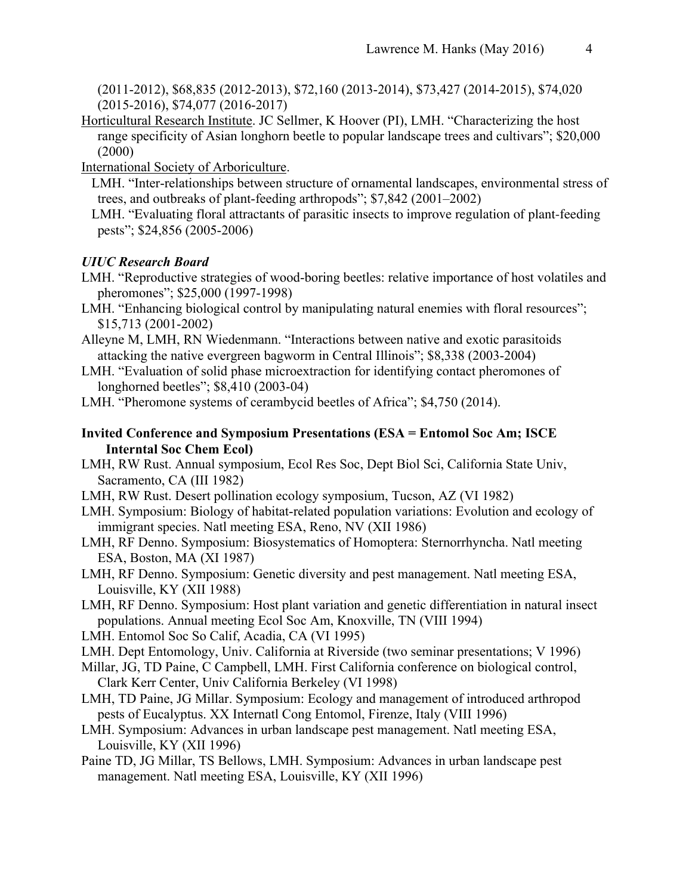(2011-2012), \$68,835 (2012-2013), \$72,160 (2013-2014), \$73,427 (2014-2015), \$74,020 (2015-2016), \$74,077 (2016-2017)

Horticultural Research Institute. JC Sellmer, K Hoover (PI), LMH. "Characterizing the host range specificity of Asian longhorn beetle to popular landscape trees and cultivars"; \$20,000 (2000)

International Society of Arboriculture.

- LMH. "Inter-relationships between structure of ornamental landscapes, environmental stress of trees, and outbreaks of plant-feeding arthropods"; \$7,842 (2001–2002)
- LMH. "Evaluating floral attractants of parasitic insects to improve regulation of plant-feeding pests"; \$24,856 (2005-2006)

### *UIUC Research Board*

- LMH. "Reproductive strategies of wood-boring beetles: relative importance of host volatiles and pheromones"; \$25,000 (1997-1998)
- LMH. "Enhancing biological control by manipulating natural enemies with floral resources"; \$15,713 (2001-2002)
- Alleyne M, LMH, RN Wiedenmann. "Interactions between native and exotic parasitoids attacking the native evergreen bagworm in Central Illinois"; \$8,338 (2003-2004)
- LMH. "Evaluation of solid phase microextraction for identifying contact pheromones of longhorned beetles"; \$8,410 (2003-04)
- LMH. "Pheromone systems of cerambycid beetles of Africa"; \$4,750 (2014).
- **Invited Conference and Symposium Presentations (ESA = Entomol Soc Am; ISCE Interntal Soc Chem Ecol)**
- LMH, RW Rust. Annual symposium, Ecol Res Soc, Dept Biol Sci, California State Univ, Sacramento, CA (III 1982)
- LMH, RW Rust. Desert pollination ecology symposium, Tucson, AZ (VI 1982)
- LMH. Symposium: Biology of habitat-related population variations: Evolution and ecology of immigrant species. Natl meeting ESA, Reno, NV (XII 1986)
- LMH, RF Denno. Symposium: Biosystematics of Homoptera: Sternorrhyncha. Natl meeting ESA, Boston, MA (XI 1987)
- LMH, RF Denno. Symposium: Genetic diversity and pest management. Natl meeting ESA, Louisville, KY (XII 1988)
- LMH, RF Denno. Symposium: Host plant variation and genetic differentiation in natural insect populations. Annual meeting Ecol Soc Am, Knoxville, TN (VIII 1994)
- LMH. Entomol Soc So Calif, Acadia, CA (VI 1995)
- LMH. Dept Entomology, Univ. California at Riverside (two seminar presentations; V 1996)
- Millar, JG, TD Paine, C Campbell, LMH. First California conference on biological control, Clark Kerr Center, Univ California Berkeley (VI 1998)
- LMH, TD Paine, JG Millar. Symposium: Ecology and management of introduced arthropod pests of Eucalyptus. XX Internatl Cong Entomol, Firenze, Italy (VIII 1996)
- LMH. Symposium: Advances in urban landscape pest management. Natl meeting ESA, Louisville, KY (XII 1996)
- Paine TD, JG Millar, TS Bellows, LMH. Symposium: Advances in urban landscape pest management. Natl meeting ESA, Louisville, KY (XII 1996)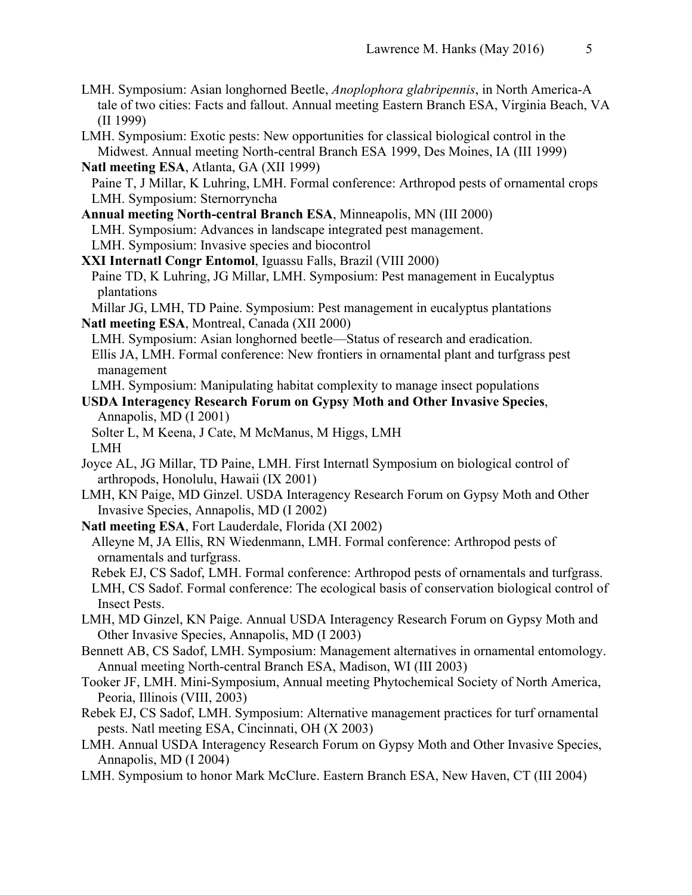- LMH. Symposium: Asian longhorned Beetle, *Anoplophora glabripennis*, in North America-A tale of two cities: Facts and fallout. Annual meeting Eastern Branch ESA, Virginia Beach, VA (II 1999)
- LMH. Symposium: Exotic pests: New opportunities for classical biological control in the Midwest. Annual meeting North-central Branch ESA 1999, Des Moines, IA (III 1999)
- **Natl meeting ESA**, Atlanta, GA (XII 1999) Paine T, J Millar, K Luhring, LMH. Formal conference: Arthropod pests of ornamental crops LMH. Symposium: Sternorryncha
- **Annual meeting North-central Branch ESA**, Minneapolis, MN (III 2000)
	- LMH. Symposium: Advances in landscape integrated pest management.
- LMH. Symposium: Invasive species and biocontrol
- **XXI Internatl Congr Entomol**, Iguassu Falls, Brazil (VIII 2000)
- Paine TD, K Luhring, JG Millar, LMH. Symposium: Pest management in Eucalyptus plantations
- Millar JG, LMH, TD Paine. Symposium: Pest management in eucalyptus plantations **Natl meeting ESA**, Montreal, Canada (XII 2000)
- LMH. Symposium: Asian longhorned beetle—Status of research and eradication. Ellis JA, LMH. Formal conference: New frontiers in ornamental plant and turfgrass pest management
- LMH. Symposium: Manipulating habitat complexity to manage insect populations
- **USDA Interagency Research Forum on Gypsy Moth and Other Invasive Species**, Annapolis, MD (I 2001)
	- Solter L, M Keena, J Cate, M McManus, M Higgs, LMH LMH
- Joyce AL, JG Millar, TD Paine, LMH. First Internatl Symposium on biological control of arthropods, Honolulu, Hawaii (IX 2001)
- LMH, KN Paige, MD Ginzel. USDA Interagency Research Forum on Gypsy Moth and Other Invasive Species, Annapolis, MD (I 2002)
- **Natl meeting ESA**, Fort Lauderdale, Florida (XI 2002)
	- Alleyne M, JA Ellis, RN Wiedenmann, LMH. Formal conference: Arthropod pests of ornamentals and turfgrass.
	- Rebek EJ, CS Sadof, LMH. Formal conference: Arthropod pests of ornamentals and turfgrass.
	- LMH, CS Sadof. Formal conference: The ecological basis of conservation biological control of Insect Pests.
- LMH, MD Ginzel, KN Paige. Annual USDA Interagency Research Forum on Gypsy Moth and Other Invasive Species, Annapolis, MD (I 2003)
- Bennett AB, CS Sadof, LMH. Symposium: Management alternatives in ornamental entomology. Annual meeting North-central Branch ESA, Madison, WI (III 2003)
- Tooker JF, LMH. Mini-Symposium, Annual meeting Phytochemical Society of North America, Peoria, Illinois (VIII, 2003)
- Rebek EJ, CS Sadof, LMH. Symposium: Alternative management practices for turf ornamental pests. Natl meeting ESA, Cincinnati, OH (X 2003)
- LMH. Annual USDA Interagency Research Forum on Gypsy Moth and Other Invasive Species, Annapolis, MD (I 2004)
- LMH. Symposium to honor Mark McClure. Eastern Branch ESA, New Haven, CT (III 2004)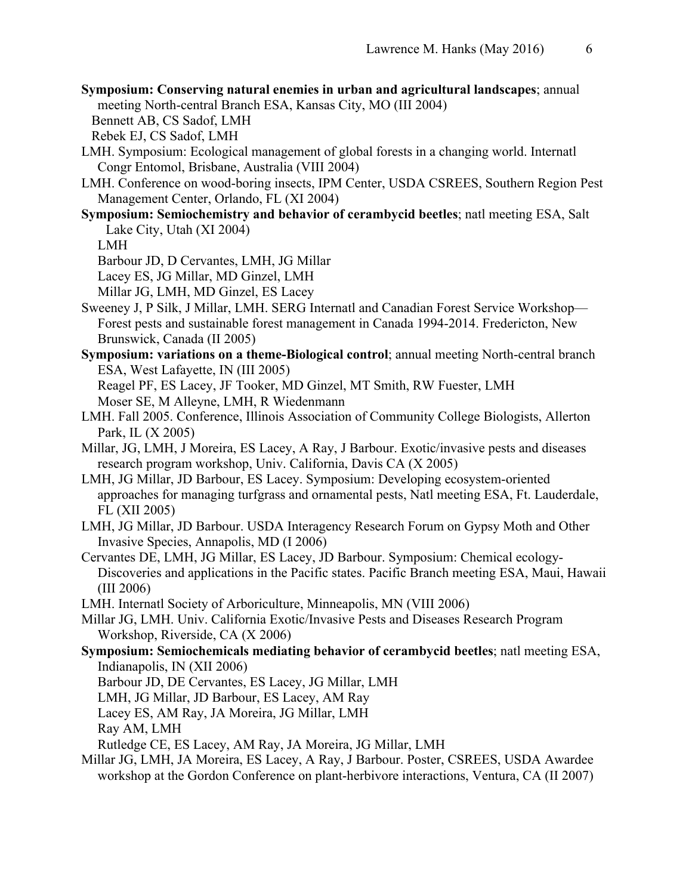**Symposium: Conserving natural enemies in urban and agricultural landscapes**; annual meeting North-central Branch ESA, Kansas City, MO (III 2004)

Bennett AB, CS Sadof, LMH

Rebek EJ, CS Sadof, LMH

- LMH. Symposium: Ecological management of global forests in a changing world. Internatl Congr Entomol, Brisbane, Australia (VIII 2004)
- LMH. Conference on wood-boring insects, IPM Center, USDA CSREES, Southern Region Pest Management Center, Orlando, FL (XI 2004)
- **Symposium: Semiochemistry and behavior of cerambycid beetles**; natl meeting ESA, Salt Lake City, Utah (XI 2004)

LMH

Barbour JD, D Cervantes, LMH, JG Millar

Lacey ES, JG Millar, MD Ginzel, LMH

Millar JG, LMH, MD Ginzel, ES Lacey

- Sweeney J, P Silk, J Millar, LMH. SERG Internatl and Canadian Forest Service Workshop— Forest pests and sustainable forest management in Canada 1994-2014. Fredericton, New Brunswick, Canada (II 2005)
- **Symposium: variations on a theme-Biological control**; annual meeting North-central branch ESA, West Lafayette, IN (III 2005)

Reagel PF, ES Lacey, JF Tooker, MD Ginzel, MT Smith, RW Fuester, LMH Moser SE, M Alleyne, LMH, R Wiedenmann

- LMH. Fall 2005. Conference, Illinois Association of Community College Biologists, Allerton Park, IL (X 2005)
- Millar, JG, LMH, J Moreira, ES Lacey, A Ray, J Barbour. Exotic/invasive pests and diseases research program workshop, Univ. California, Davis CA (X 2005)
- LMH, JG Millar, JD Barbour, ES Lacey. Symposium: Developing ecosystem-oriented approaches for managing turfgrass and ornamental pests, Natl meeting ESA, Ft. Lauderdale, FL (XII 2005)
- LMH, JG Millar, JD Barbour. USDA Interagency Research Forum on Gypsy Moth and Other Invasive Species, Annapolis, MD (I 2006)
- Cervantes DE, LMH, JG Millar, ES Lacey, JD Barbour. Symposium: Chemical ecology-Discoveries and applications in the Pacific states. Pacific Branch meeting ESA, Maui, Hawaii (III 2006)
- LMH. Internatl Society of Arboriculture, Minneapolis, MN (VIII 2006)
- Millar JG, LMH. Univ. California Exotic/Invasive Pests and Diseases Research Program Workshop, Riverside, CA (X 2006)
- **Symposium: Semiochemicals mediating behavior of cerambycid beetles**; natl meeting ESA, Indianapolis, IN (XII 2006)

Barbour JD, DE Cervantes, ES Lacey, JG Millar, LMH

LMH, JG Millar, JD Barbour, ES Lacey, AM Ray

Lacey ES, AM Ray, JA Moreira, JG Millar, LMH

Ray AM, LMH

Rutledge CE, ES Lacey, AM Ray, JA Moreira, JG Millar, LMH

Millar JG, LMH, JA Moreira, ES Lacey, A Ray, J Barbour. Poster, CSREES, USDA Awardee workshop at the Gordon Conference on plant-herbivore interactions, Ventura, CA (II 2007)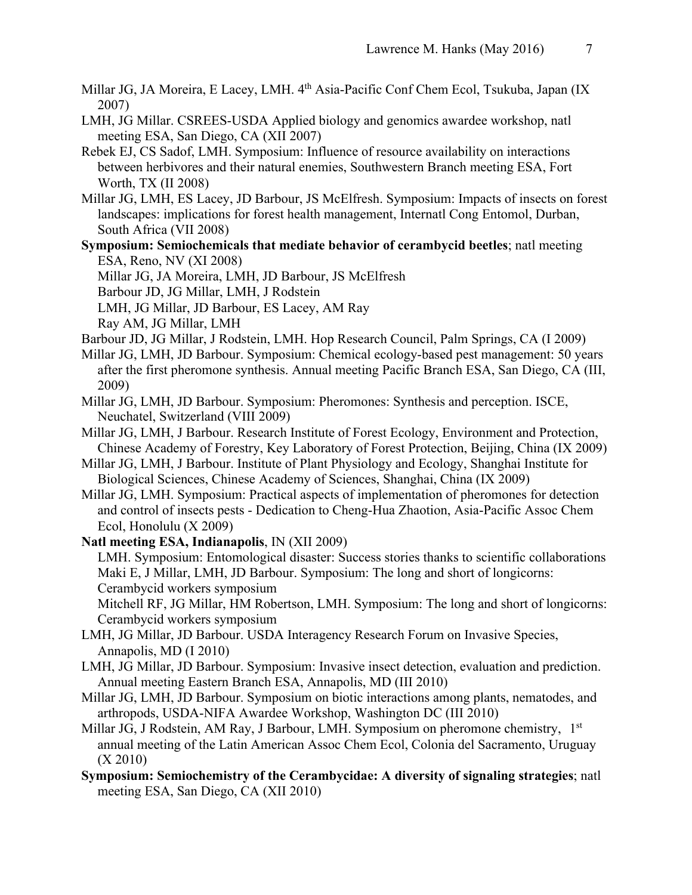- Millar JG, JA Moreira, E Lacey, LMH. 4th Asia-Pacific Conf Chem Ecol, Tsukuba, Japan (IX 2007)
- LMH, JG Millar. CSREES-USDA Applied biology and genomics awardee workshop, natl meeting ESA, San Diego, CA (XII 2007)
- Rebek EJ, CS Sadof, LMH. Symposium: Influence of resource availability on interactions between herbivores and their natural enemies, Southwestern Branch meeting ESA, Fort Worth, TX (II 2008)
- Millar JG, LMH, ES Lacey, JD Barbour, JS McElfresh. Symposium: Impacts of insects on forest landscapes: implications for forest health management, Internatl Cong Entomol, Durban, South Africa (VII 2008)
- **Symposium: Semiochemicals that mediate behavior of cerambycid beetles**; natl meeting ESA, Reno, NV (XI 2008)
	- Millar JG, JA Moreira, LMH, JD Barbour, JS McElfresh
	- Barbour JD, JG Millar, LMH, J Rodstein
	- LMH, JG Millar, JD Barbour, ES Lacey, AM Ray
	- Ray AM, JG Millar, LMH
- Barbour JD, JG Millar, J Rodstein, LMH. Hop Research Council, Palm Springs, CA (I 2009)
- Millar JG, LMH, JD Barbour. Symposium: Chemical ecology-based pest management: 50 years after the first pheromone synthesis. Annual meeting Pacific Branch ESA, San Diego, CA (III, 2009)
- Millar JG, LMH, JD Barbour. Symposium: Pheromones: Synthesis and perception. ISCE, Neuchatel, Switzerland (VIII 2009)
- Millar JG, LMH, J Barbour. Research Institute of Forest Ecology, Environment and Protection, Chinese Academy of Forestry, Key Laboratory of Forest Protection, Beijing, China (IX 2009)
- Millar JG, LMH, J Barbour. Institute of Plant Physiology and Ecology, Shanghai Institute for Biological Sciences, Chinese Academy of Sciences, Shanghai, China (IX 2009)
- Millar JG, LMH. Symposium: Practical aspects of implementation of pheromones for detection and control of insects pests - Dedication to Cheng-Hua Zhaotion, Asia-Pacific Assoc Chem Ecol, Honolulu (X 2009)
- **Natl meeting ESA, Indianapolis**, IN (XII 2009)
	- LMH. Symposium: Entomological disaster: Success stories thanks to scientific collaborations Maki E, J Millar, LMH, JD Barbour. Symposium: The long and short of longicorns: Cerambycid workers symposium

Mitchell RF, JG Millar, HM Robertson, LMH. Symposium: The long and short of longicorns: Cerambycid workers symposium

- LMH, JG Millar, JD Barbour. USDA Interagency Research Forum on Invasive Species, Annapolis, MD (I 2010)
- LMH, JG Millar, JD Barbour. Symposium: Invasive insect detection, evaluation and prediction. Annual meeting Eastern Branch ESA, Annapolis, MD (III 2010)
- Millar JG, LMH, JD Barbour. Symposium on biotic interactions among plants, nematodes, and arthropods, USDA-NIFA Awardee Workshop, Washington DC (III 2010)
- Millar JG, J Rodstein, AM Ray, J Barbour, LMH. Symposium on pheromone chemistry, 1<sup>st</sup> annual meeting of the Latin American Assoc Chem Ecol, Colonia del Sacramento, Uruguay (X 2010)
- **Symposium: Semiochemistry of the Cerambycidae: A diversity of signaling strategies**; natl meeting ESA, San Diego, CA (XII 2010)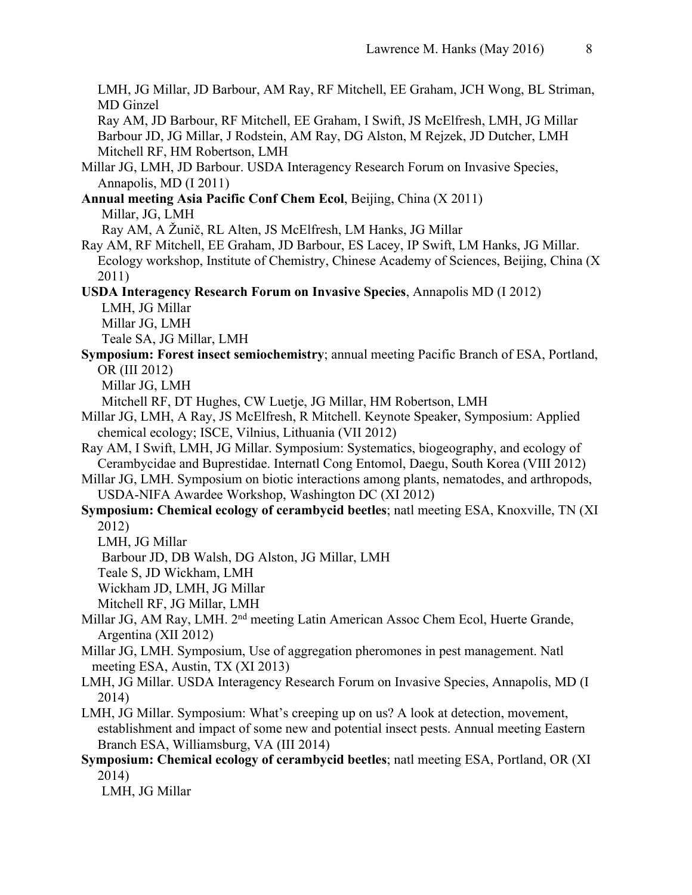LMH, JG Millar, JD Barbour, AM Ray, RF Mitchell, EE Graham, JCH Wong, BL Striman, MD Ginzel

Ray AM, JD Barbour, RF Mitchell, EE Graham, I Swift, JS McElfresh, LMH, JG Millar Barbour JD, JG Millar, J Rodstein, AM Ray, DG Alston, M Rejzek, JD Dutcher, LMH Mitchell RF, HM Robertson, LMH

- Millar JG, LMH, JD Barbour. USDA Interagency Research Forum on Invasive Species, Annapolis, MD (I 2011)
- **Annual meeting Asia Pacific Conf Chem Ecol**, Beijing, China (X 2011) Millar, JG, LMH

Ray AM, A Žunič, RL Alten, JS McElfresh, LM Hanks, JG Millar

- Ray AM, RF Mitchell, EE Graham, JD Barbour, ES Lacey, IP Swift, LM Hanks, JG Millar. Ecology workshop, Institute of Chemistry, Chinese Academy of Sciences, Beijing, China (X 2011)
- **USDA Interagency Research Forum on Invasive Species**, Annapolis MD (I 2012)

LMH, JG Millar

Millar JG, LMH

Teale SA, JG Millar, LMH

**Symposium: Forest insect semiochemistry**; annual meeting Pacific Branch of ESA, Portland, OR (III 2012)

Millar JG, LMH

Mitchell RF, DT Hughes, CW Luetje, JG Millar, HM Robertson, LMH

- Millar JG, LMH, A Ray, JS McElfresh, R Mitchell. Keynote Speaker, Symposium: Applied chemical ecology; ISCE, Vilnius, Lithuania (VII 2012)
- Ray AM, I Swift, LMH, JG Millar. Symposium: Systematics, biogeography, and ecology of Cerambycidae and Buprestidae. Internatl Cong Entomol, Daegu, South Korea (VIII 2012)
- Millar JG, LMH. Symposium on biotic interactions among plants, nematodes, and arthropods, USDA-NIFA Awardee Workshop, Washington DC (XI 2012)
- **Symposium: Chemical ecology of cerambycid beetles**; natl meeting ESA, Knoxville, TN (XI 2012)

LMH, JG Millar

Barbour JD, DB Walsh, DG Alston, JG Millar, LMH

Teale S, JD Wickham, LMH

Wickham JD, LMH, JG Millar

Mitchell RF, JG Millar, LMH

- Millar JG, AM Ray, LMH. 2<sup>nd</sup> meeting Latin American Assoc Chem Ecol, Huerte Grande, Argentina (XII 2012)
- Millar JG, LMH. Symposium, Use of aggregation pheromones in pest management. Natl meeting ESA, Austin, TX (XI 2013)
- LMH, JG Millar. USDA Interagency Research Forum on Invasive Species, Annapolis, MD (I 2014)
- LMH, JG Millar. Symposium: What's creeping up on us? A look at detection, movement, establishment and impact of some new and potential insect pests. Annual meeting Eastern Branch ESA, Williamsburg, VA (III 2014)
- **Symposium: Chemical ecology of cerambycid beetles**; natl meeting ESA, Portland, OR (XI 2014)

LMH, JG Millar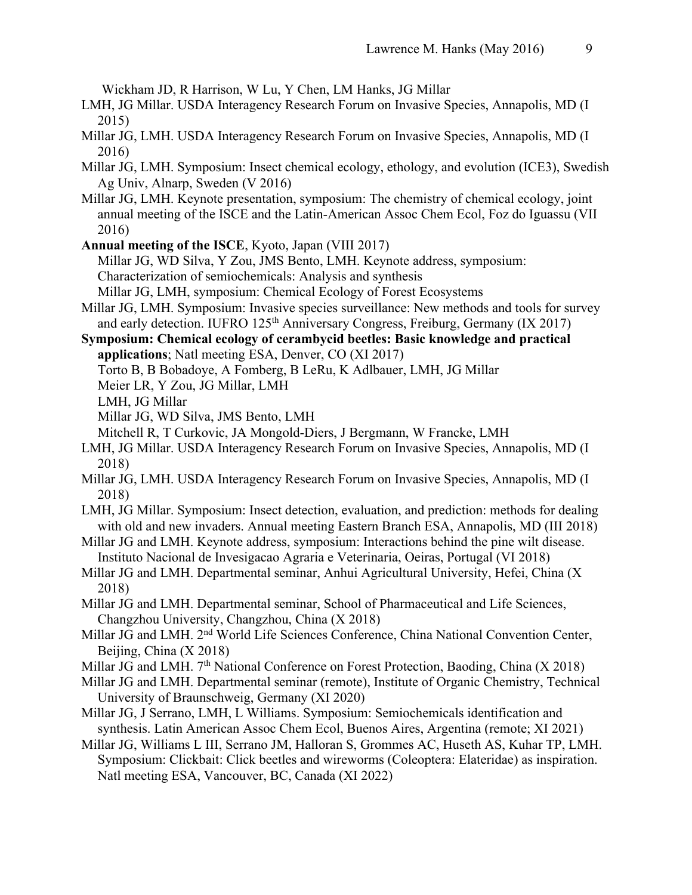Wickham JD, R Harrison, W Lu, Y Chen, LM Hanks, JG Millar

- LMH, JG Millar. USDA Interagency Research Forum on Invasive Species, Annapolis, MD (I 2015)
- Millar JG, LMH. USDA Interagency Research Forum on Invasive Species, Annapolis, MD (I 2016)
- Millar JG, LMH. Symposium: Insect chemical ecology, ethology, and evolution (ICE3), Swedish Ag Univ, Alnarp, Sweden (V 2016)
- Millar JG, LMH. Keynote presentation, symposium: The chemistry of chemical ecology, joint annual meeting of the ISCE and the Latin-American Assoc Chem Ecol, Foz do Iguassu (VII 2016)
- **Annual meeting of the ISCE**, Kyoto, Japan (VIII 2017)

Millar JG, WD Silva, Y Zou, JMS Bento, LMH. Keynote address, symposium: Characterization of semiochemicals: Analysis and synthesis

Millar JG, LMH, symposium: Chemical Ecology of Forest Ecosystems

- Millar JG, LMH. Symposium: Invasive species surveillance: New methods and tools for survey and early detection. IUFRO 125<sup>th</sup> Anniversary Congress, Freiburg, Germany (IX 2017)
- **Symposium: Chemical ecology of cerambycid beetles: Basic knowledge and practical applications**; Natl meeting ESA, Denver, CO (XI 2017)

Torto B, B Bobadoye, A Fomberg, B LeRu, K Adlbauer, LMH, JG Millar

Meier LR, Y Zou, JG Millar, LMH

LMH, JG Millar

Millar JG, WD Silva, JMS Bento, LMH

Mitchell R, T Curkovic, JA Mongold-Diers, J Bergmann, W Francke, LMH

- LMH, JG Millar. USDA Interagency Research Forum on Invasive Species, Annapolis, MD (I 2018)
- Millar JG, LMH. USDA Interagency Research Forum on Invasive Species, Annapolis, MD (I 2018)
- LMH, JG Millar. Symposium: Insect detection, evaluation, and prediction: methods for dealing with old and new invaders. Annual meeting Eastern Branch ESA, Annapolis, MD (III 2018)
- Millar JG and LMH. Keynote address, symposium: Interactions behind the pine wilt disease. Instituto Nacional de Invesigacao Agraria e Veterinaria, Oeiras, Portugal (VI 2018)
- Millar JG and LMH. Departmental seminar, Anhui Agricultural University, Hefei, China (X 2018)
- Millar JG and LMH. Departmental seminar, School of Pharmaceutical and Life Sciences, Changzhou University, Changzhou, China (X 2018)
- Millar JG and LMH. 2<sup>nd</sup> World Life Sciences Conference, China National Convention Center, Beijing, China (X 2018)
- Millar JG and LMH. 7<sup>th</sup> National Conference on Forest Protection, Baoding, China (X 2018)
- Millar JG and LMH. Departmental seminar (remote), Institute of Organic Chemistry, Technical University of Braunschweig, Germany (XI 2020)
- Millar JG, J Serrano, LMH, L Williams. Symposium: Semiochemicals identification and synthesis. Latin American Assoc Chem Ecol, Buenos Aires, Argentina (remote; XI 2021)
- Millar JG, Williams L III, Serrano JM, Halloran S, Grommes AC, Huseth AS, Kuhar TP, LMH. Symposium: Clickbait: Click beetles and wireworms (Coleoptera: Elateridae) as inspiration. Natl meeting ESA, Vancouver, BC, Canada (XI 2022)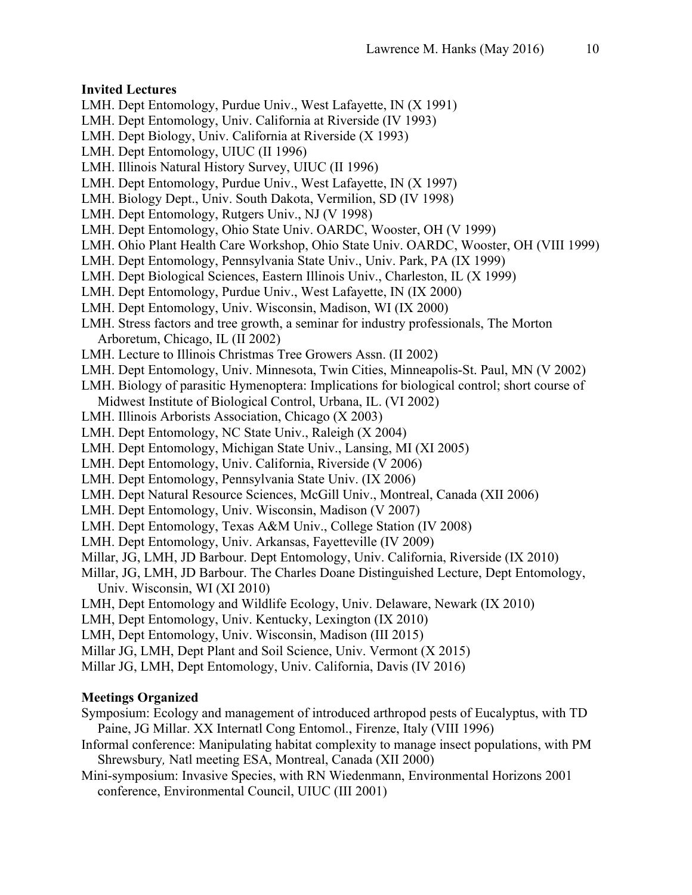### **Invited Lectures**

- LMH. Dept Entomology, Purdue Univ., West Lafayette, IN (X 1991)
- LMH. Dept Entomology, Univ. California at Riverside (IV 1993)
- LMH. Dept Biology, Univ. California at Riverside (X 1993)
- LMH. Dept Entomology, UIUC (II 1996)
- LMH. Illinois Natural History Survey, UIUC (II 1996)
- LMH. Dept Entomology, Purdue Univ., West Lafayette, IN (X 1997)
- LMH. Biology Dept., Univ. South Dakota, Vermilion, SD (IV 1998)
- LMH. Dept Entomology, Rutgers Univ., NJ (V 1998)
- LMH. Dept Entomology, Ohio State Univ. OARDC, Wooster, OH (V 1999)
- LMH. Ohio Plant Health Care Workshop, Ohio State Univ. OARDC, Wooster, OH (VIII 1999)
- LMH. Dept Entomology, Pennsylvania State Univ., Univ. Park, PA (IX 1999)
- LMH. Dept Biological Sciences, Eastern Illinois Univ., Charleston, IL (X 1999)
- LMH. Dept Entomology, Purdue Univ., West Lafayette, IN (IX 2000)
- LMH. Dept Entomology, Univ. Wisconsin, Madison, WI (IX 2000)
- LMH. Stress factors and tree growth, a seminar for industry professionals, The Morton Arboretum, Chicago, IL (II 2002)
- LMH. Lecture to Illinois Christmas Tree Growers Assn. (II 2002)
- LMH. Dept Entomology, Univ. Minnesota, Twin Cities, Minneapolis-St. Paul, MN (V 2002)
- LMH. Biology of parasitic Hymenoptera: Implications for biological control; short course of Midwest Institute of Biological Control, Urbana, IL. (VI 2002)
- LMH. Illinois Arborists Association, Chicago (X 2003)
- LMH. Dept Entomology, NC State Univ., Raleigh (X 2004)
- LMH. Dept Entomology, Michigan State Univ., Lansing, MI (XI 2005)
- LMH. Dept Entomology, Univ. California, Riverside (V 2006)
- LMH. Dept Entomology, Pennsylvania State Univ. (IX 2006)
- LMH. Dept Natural Resource Sciences, McGill Univ., Montreal, Canada (XII 2006)
- LMH. Dept Entomology, Univ. Wisconsin, Madison (V 2007)
- LMH. Dept Entomology, Texas A&M Univ., College Station (IV 2008)
- LMH. Dept Entomology, Univ. Arkansas, Fayetteville (IV 2009)
- Millar, JG, LMH, JD Barbour. Dept Entomology, Univ. California, Riverside (IX 2010)
- Millar, JG, LMH, JD Barbour. The Charles Doane Distinguished Lecture, Dept Entomology, Univ. Wisconsin, WI (XI 2010)
- LMH, Dept Entomology and Wildlife Ecology, Univ. Delaware, Newark (IX 2010)
- LMH, Dept Entomology, Univ. Kentucky, Lexington (IX 2010)
- LMH, Dept Entomology, Univ. Wisconsin, Madison (III 2015)
- Millar JG, LMH, Dept Plant and Soil Science, Univ. Vermont (X 2015)
- Millar JG, LMH, Dept Entomology, Univ. California, Davis (IV 2016)

### **Meetings Organized**

- Symposium: Ecology and management of introduced arthropod pests of Eucalyptus, with TD Paine, JG Millar. XX Internatl Cong Entomol., Firenze, Italy (VIII 1996)
- Informal conference: Manipulating habitat complexity to manage insect populations, with PM Shrewsbury*,* Natl meeting ESA, Montreal, Canada (XII 2000)
- Mini-symposium: Invasive Species, with RN Wiedenmann, Environmental Horizons 2001 conference, Environmental Council, UIUC (III 2001)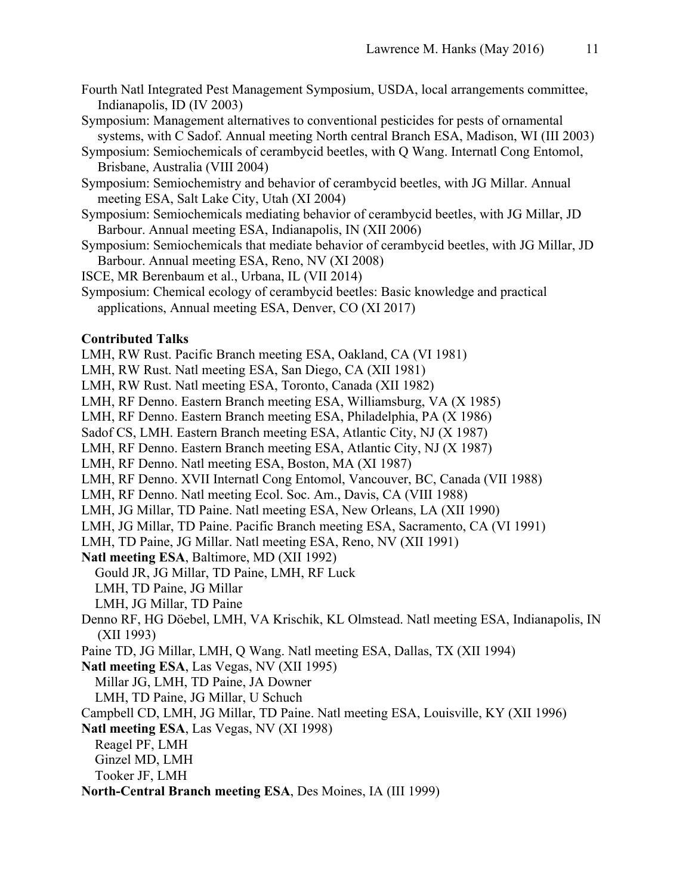- Fourth Natl Integrated Pest Management Symposium, USDA, local arrangements committee, Indianapolis, ID (IV 2003)
- Symposium: Management alternatives to conventional pesticides for pests of ornamental systems, with C Sadof. Annual meeting North central Branch ESA, Madison, WI (III 2003)
- Symposium: Semiochemicals of cerambycid beetles, with Q Wang. Internatl Cong Entomol, Brisbane, Australia (VIII 2004)
- Symposium: Semiochemistry and behavior of cerambycid beetles, with JG Millar. Annual meeting ESA, Salt Lake City, Utah (XI 2004)
- Symposium: Semiochemicals mediating behavior of cerambycid beetles, with JG Millar, JD Barbour. Annual meeting ESA, Indianapolis, IN (XII 2006)
- Symposium: Semiochemicals that mediate behavior of cerambycid beetles, with JG Millar, JD Barbour. Annual meeting ESA, Reno, NV (XI 2008)
- ISCE, MR Berenbaum et al., Urbana, IL (VII 2014)
- Symposium: Chemical ecology of cerambycid beetles: Basic knowledge and practical applications, Annual meeting ESA, Denver, CO (XI 2017)

#### **Contributed Talks**

LMH, RW Rust. Pacific Branch meeting ESA, Oakland, CA (VI 1981)

- LMH, RW Rust. Natl meeting ESA, San Diego, CA (XII 1981)
- LMH, RW Rust. Natl meeting ESA, Toronto, Canada (XII 1982)
- LMH, RF Denno. Eastern Branch meeting ESA, Williamsburg, VA (X 1985)
- LMH, RF Denno. Eastern Branch meeting ESA, Philadelphia, PA (X 1986)
- Sadof CS, LMH. Eastern Branch meeting ESA, Atlantic City, NJ (X 1987)
- LMH, RF Denno. Eastern Branch meeting ESA, Atlantic City, NJ (X 1987)
- LMH, RF Denno. Natl meeting ESA, Boston, MA (XI 1987)
- LMH, RF Denno. XVII Internatl Cong Entomol, Vancouver, BC, Canada (VII 1988)
- LMH, RF Denno. Natl meeting Ecol. Soc. Am., Davis, CA (VIII 1988)
- LMH, JG Millar, TD Paine. Natl meeting ESA, New Orleans, LA (XII 1990)
- LMH, JG Millar, TD Paine. Pacific Branch meeting ESA, Sacramento, CA (VI 1991)
- LMH, TD Paine, JG Millar. Natl meeting ESA, Reno, NV (XII 1991)

**Natl meeting ESA**, Baltimore, MD (XII 1992)

- Gould JR, JG Millar, TD Paine, LMH, RF Luck
- LMH, TD Paine, JG Millar
- LMH, JG Millar, TD Paine
- Denno RF, HG Döebel, LMH, VA Krischik, KL Olmstead. Natl meeting ESA, Indianapolis, IN (XII 1993)
- Paine TD, JG Millar, LMH, Q Wang. Natl meeting ESA, Dallas, TX (XII 1994)
- **Natl meeting ESA**, Las Vegas, NV (XII 1995)
- Millar JG, LMH, TD Paine, JA Downer
- LMH, TD Paine, JG Millar, U Schuch
- Campbell CD, LMH, JG Millar, TD Paine. Natl meeting ESA, Louisville, KY (XII 1996)
- **Natl meeting ESA**, Las Vegas, NV (XI 1998)
	- Reagel PF, LMH
	- Ginzel MD, LMH
	- Tooker JF, LMH
- **North-Central Branch meeting ESA**, Des Moines, IA (III 1999)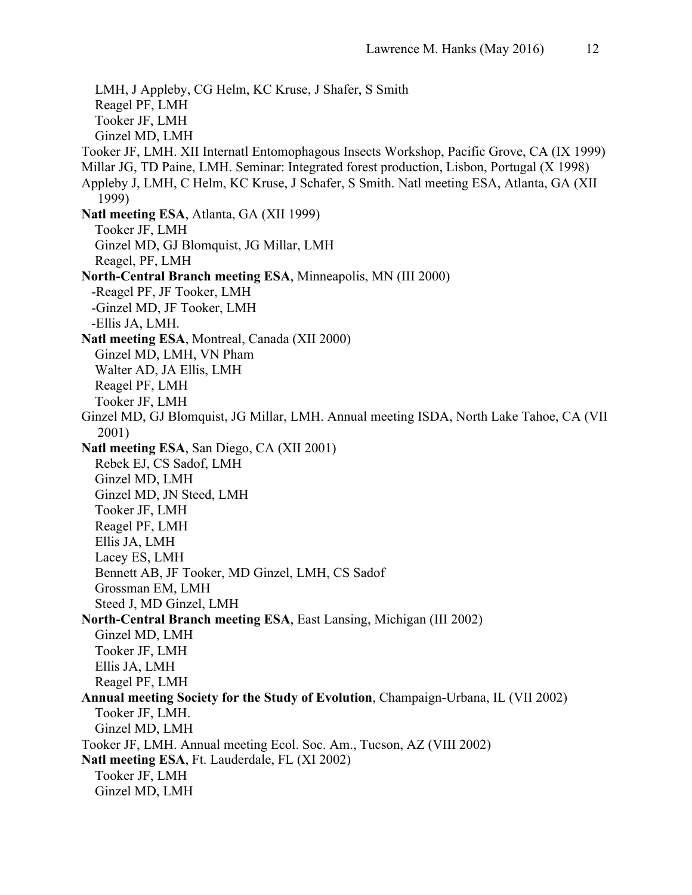LMH, J Appleby, CG Helm, KC Kruse, J Shafer, S Smith Reagel PF, LMH Tooker JF, LMH Ginzel MD, LMH Tooker JF, LMH. XII Internatl Entomophagous Insects Workshop, Pacific Grove, CA (IX 1999) Millar JG, TD Paine, LMH. Seminar: Integrated forest production, Lisbon, Portugal (X 1998) Appleby J, LMH, C Helm, KC Kruse, J Schafer, S Smith. Natl meeting ESA, Atlanta, GA (XII 1999) **Natl meeting ESA**, Atlanta, GA (XII 1999) Tooker JF, LMH Ginzel MD, GJ Blomquist, JG Millar, LMH Reagel, PF, LMH **North-Central Branch meeting ESA**, Minneapolis, MN (III 2000) -Reagel PF, JF Tooker, LMH -Ginzel MD, JF Tooker, LMH -Ellis JA, LMH. **Natl meeting ESA**, Montreal, Canada (XII 2000) Ginzel MD, LMH, VN Pham Walter AD, JA Ellis, LMH Reagel PF, LMH Tooker JF, LMH Ginzel MD, GJ Blomquist, JG Millar, LMH. Annual meeting ISDA, North Lake Tahoe, CA (VII 2001) **Natl meeting ESA**, San Diego, CA (XII 2001) Rebek EJ, CS Sadof, LMH Ginzel MD, LMH Ginzel MD, JN Steed, LMH Tooker JF, LMH Reagel PF, LMH Ellis JA, LMH Lacey ES, LMH Bennett AB, JF Tooker, MD Ginzel, LMH, CS Sadof Grossman EM, LMH Steed J, MD Ginzel, LMH **North-Central Branch meeting ESA**, East Lansing, Michigan (III 2002) Ginzel MD, LMH Tooker JF, LMH Ellis JA, LMH Reagel PF, LMH **Annual meeting Society for the Study of Evolution**, Champaign-Urbana, IL (VII 2002) Tooker JF, LMH. Ginzel MD, LMH Tooker JF, LMH. Annual meeting Ecol. Soc. Am., Tucson, AZ (VIII 2002) **Natl meeting ESA**, Ft. Lauderdale, FL (XI 2002) Tooker JF, LMH Ginzel MD, LMH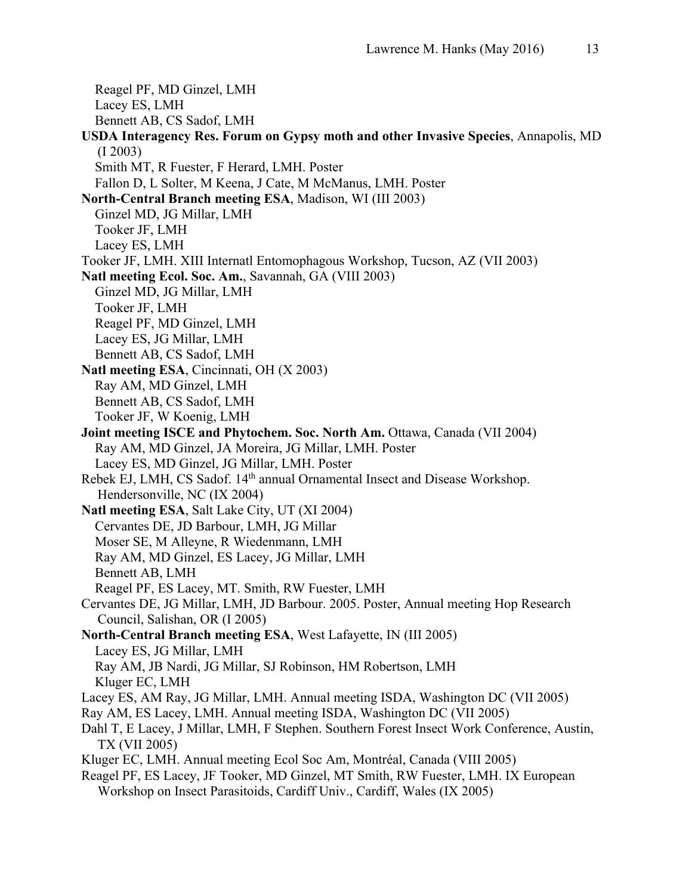Reagel PF, MD Ginzel, LMH Lacey ES, LMH Bennett AB, CS Sadof, LMH **USDA Interagency Res. Forum on Gypsy moth and other Invasive Species**, Annapolis, MD (I 2003) Smith MT, R Fuester, F Herard, LMH. Poster Fallon D, L Solter, M Keena, J Cate, M McManus, LMH. Poster **North-Central Branch meeting ESA**, Madison, WI (III 2003) Ginzel MD, JG Millar, LMH Tooker JF, LMH Lacey ES, LMH Tooker JF, LMH. XIII Internatl Entomophagous Workshop, Tucson, AZ (VII 2003) **Natl meeting Ecol. Soc. Am.**, Savannah, GA (VIII 2003) Ginzel MD, JG Millar, LMH Tooker JF, LMH Reagel PF, MD Ginzel, LMH Lacey ES, JG Millar, LMH Bennett AB, CS Sadof, LMH **Natl meeting ESA**, Cincinnati, OH (X 2003) Ray AM, MD Ginzel, LMH Bennett AB, CS Sadof, LMH Tooker JF, W Koenig, LMH **Joint meeting ISCE and Phytochem. Soc. North Am.** Ottawa, Canada (VII 2004) Ray AM, MD Ginzel, JA Moreira, JG Millar, LMH. Poster Lacey ES, MD Ginzel, JG Millar, LMH. Poster Rebek EJ, LMH, CS Sadof. 14<sup>th</sup> annual Ornamental Insect and Disease Workshop. Hendersonville, NC (IX 2004) **Natl meeting ESA**, Salt Lake City, UT (XI 2004) Cervantes DE, JD Barbour, LMH, JG Millar Moser SE, M Alleyne, R Wiedenmann, LMH Ray AM, MD Ginzel, ES Lacey, JG Millar, LMH Bennett AB, LMH Reagel PF, ES Lacey, MT. Smith, RW Fuester, LMH Cervantes DE, JG Millar, LMH, JD Barbour. 2005. Poster, Annual meeting Hop Research Council, Salishan, OR (I 2005) **North-Central Branch meeting ESA**, West Lafayette, IN (III 2005) Lacey ES, JG Millar, LMH Ray AM, JB Nardi, JG Millar, SJ Robinson, HM Robertson, LMH Kluger EC, LMH Lacey ES, AM Ray, JG Millar, LMH. Annual meeting ISDA, Washington DC (VII 2005) Ray AM, ES Lacey, LMH. Annual meeting ISDA, Washington DC (VII 2005) Dahl T, E Lacey, J Millar, LMH, F Stephen. Southern Forest Insect Work Conference, Austin, TX (VII 2005) Kluger EC, LMH. Annual meeting Ecol Soc Am, Montréal, Canada (VIII 2005) Reagel PF, ES Lacey, JF Tooker, MD Ginzel, MT Smith, RW Fuester, LMH. IX European Workshop on Insect Parasitoids, Cardiff Univ., Cardiff, Wales (IX 2005)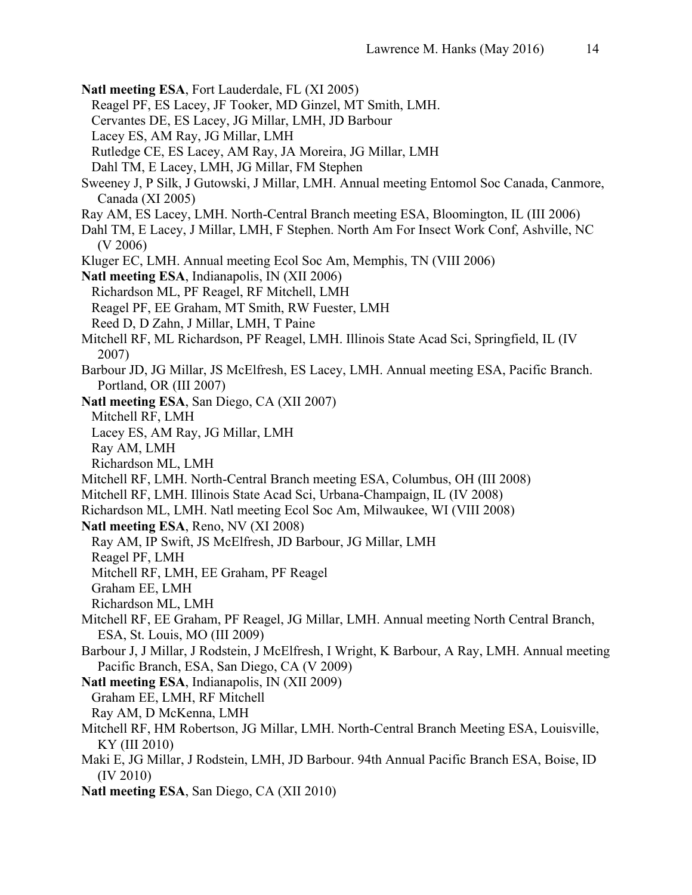**Natl meeting ESA**, Fort Lauderdale, FL (XI 2005) Reagel PF, ES Lacey, JF Tooker, MD Ginzel, MT Smith, LMH. Cervantes DE, ES Lacey, JG Millar, LMH, JD Barbour Lacey ES, AM Ray, JG Millar, LMH Rutledge CE, ES Lacey, AM Ray, JA Moreira, JG Millar, LMH Dahl TM, E Lacey, LMH, JG Millar, FM Stephen Sweeney J, P Silk, J Gutowski, J Millar, LMH. Annual meeting Entomol Soc Canada, Canmore, Canada (XI 2005) Ray AM, ES Lacey, LMH. North-Central Branch meeting ESA, Bloomington, IL (III 2006) Dahl TM, E Lacey, J Millar, LMH, F Stephen. North Am For Insect Work Conf, Ashville, NC (V 2006) Kluger EC, LMH. Annual meeting Ecol Soc Am, Memphis, TN (VIII 2006) **Natl meeting ESA**, Indianapolis, IN (XII 2006) Richardson ML, PF Reagel, RF Mitchell, LMH Reagel PF, EE Graham, MT Smith, RW Fuester, LMH Reed D, D Zahn, J Millar, LMH, T Paine Mitchell RF, ML Richardson, PF Reagel, LMH. Illinois State Acad Sci, Springfield, IL (IV 2007) Barbour JD, JG Millar, JS McElfresh, ES Lacey, LMH. Annual meeting ESA, Pacific Branch. Portland, OR (III 2007) **Natl meeting ESA**, San Diego, CA (XII 2007) Mitchell RF, LMH Lacey ES, AM Ray, JG Millar, LMH Ray AM, LMH Richardson ML, LMH Mitchell RF, LMH. North-Central Branch meeting ESA, Columbus, OH (III 2008) Mitchell RF, LMH. Illinois State Acad Sci, Urbana-Champaign, IL (IV 2008) Richardson ML, LMH. Natl meeting Ecol Soc Am, Milwaukee, WI (VIII 2008) **Natl meeting ESA**, Reno, NV (XI 2008) Ray AM, IP Swift, JS McElfresh, JD Barbour, JG Millar, LMH Reagel PF, LMH Mitchell RF, LMH, EE Graham, PF Reagel Graham EE, LMH Richardson ML, LMH Mitchell RF, EE Graham, PF Reagel, JG Millar, LMH. Annual meeting North Central Branch, ESA, St. Louis, MO (III 2009) Barbour J, J Millar, J Rodstein, J McElfresh, I Wright, K Barbour, A Ray, LMH. Annual meeting Pacific Branch, ESA, San Diego, CA (V 2009) **Natl meeting ESA**, Indianapolis, IN (XII 2009) Graham EE, LMH, RF Mitchell Ray AM, D McKenna, LMH Mitchell RF, HM Robertson, JG Millar, LMH. North-Central Branch Meeting ESA, Louisville, KY (III 2010) Maki E, JG Millar, J Rodstein, LMH, JD Barbour. 94th Annual Pacific Branch ESA, Boise, ID (IV 2010) **Natl meeting ESA**, San Diego, CA (XII 2010)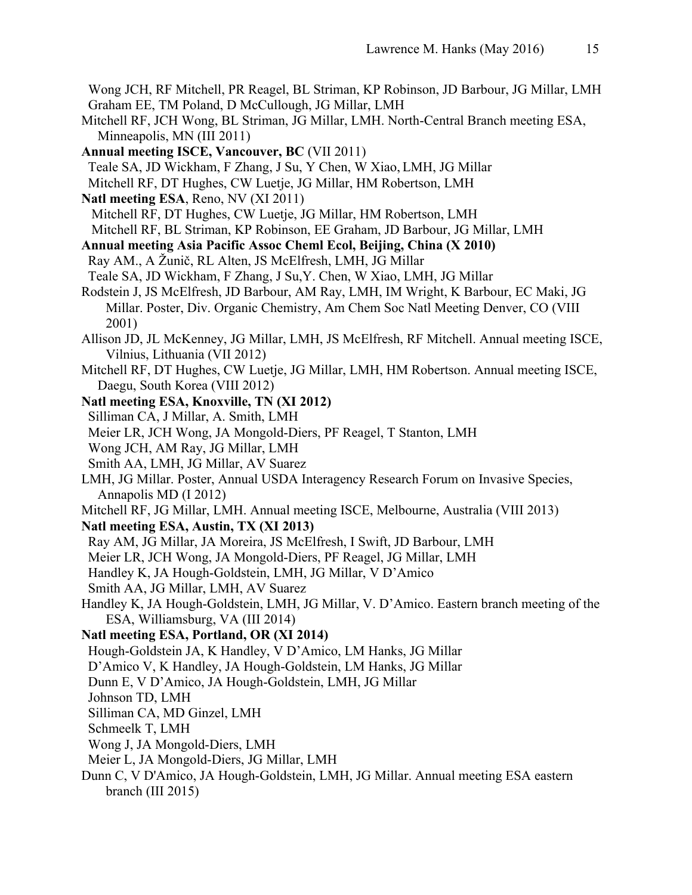Wong JCH, RF Mitchell, PR Reagel, BL Striman, KP Robinson, JD Barbour, JG Millar, LMH Graham EE, TM Poland, D McCullough, JG Millar, LMH

- Mitchell RF, JCH Wong, BL Striman, JG Millar, LMH. North-Central Branch meeting ESA, Minneapolis, MN (III 2011)
- **Annual meeting ISCE, Vancouver, BC** (VII 2011) Teale SA, JD Wickham, F Zhang, J Su, Y Chen, W Xiao, LMH, JG Millar Mitchell RF, DT Hughes, CW Luetje, JG Millar, HM Robertson, LMH
- **Natl meeting ESA**, Reno, NV (XI 2011) Mitchell RF, DT Hughes, CW Luetje, JG Millar, HM Robertson, LMH Mitchell RF, BL Striman, KP Robinson, EE Graham, JD Barbour, JG Millar, LMH
- **Annual meeting Asia Pacific Assoc Cheml Ecol, Beijing, China (X 2010)**
- Ray AM., A Žunič, RL Alten, JS McElfresh, LMH, JG Millar
- Teale SA, JD Wickham, F Zhang, J Su,Y. Chen, W Xiao, LMH, JG Millar
- Rodstein J, JS McElfresh, JD Barbour, AM Ray, LMH, IM Wright, K Barbour, EC Maki, JG Millar. Poster, Div. Organic Chemistry, Am Chem Soc Natl Meeting Denver, CO (VIII 2001)
- Allison JD, JL McKenney, JG Millar, LMH, JS McElfresh, RF Mitchell. Annual meeting ISCE, Vilnius, Lithuania (VII 2012)
- Mitchell RF, DT Hughes, CW Luetje, JG Millar, LMH, HM Robertson. Annual meeting ISCE, Daegu, South Korea (VIII 2012)
- **Natl meeting ESA, Knoxville, TN (XI 2012)**
- Silliman CA, J Millar, A. Smith, LMH
- Meier LR, JCH Wong, JA Mongold-Diers, PF Reagel, T Stanton, LMH
- Wong JCH, AM Ray, JG Millar, LMH
- Smith AA, LMH, JG Millar, AV Suarez
- LMH, JG Millar. Poster, Annual USDA Interagency Research Forum on Invasive Species, Annapolis MD (I 2012)
- Mitchell RF, JG Millar, LMH. Annual meeting ISCE, Melbourne, Australia (VIII 2013)
- **Natl meeting ESA, Austin, TX (XI 2013)**
- Ray AM, JG Millar, JA Moreira, JS McElfresh, I Swift, JD Barbour, LMH
- Meier LR, JCH Wong, JA Mongold-Diers, PF Reagel, JG Millar, LMH
- Handley K, JA Hough-Goldstein, LMH, JG Millar, V D'Amico
- Smith AA, JG Millar, LMH, AV Suarez
- Handley K, JA Hough-Goldstein, LMH, JG Millar, V. D'Amico. Eastern branch meeting of the ESA, Williamsburg, VA (III 2014)
- **Natl meeting ESA, Portland, OR (XI 2014)**
- Hough-Goldstein JA, K Handley, V D'Amico, LM Hanks, JG Millar
- D'Amico V, K Handley, JA Hough-Goldstein, LM Hanks, JG Millar
- Dunn E, V D'Amico, JA Hough-Goldstein, LMH, JG Millar
- Johnson TD, LMH
- Silliman CA, MD Ginzel, LMH
- Schmeelk T, LMH
- Wong J, JA Mongold-Diers, LMH
- Meier L, JA Mongold-Diers, JG Millar, LMH
- Dunn C, V D'Amico, JA Hough-Goldstein, LMH, JG Millar. Annual meeting ESA eastern branch (III 2015)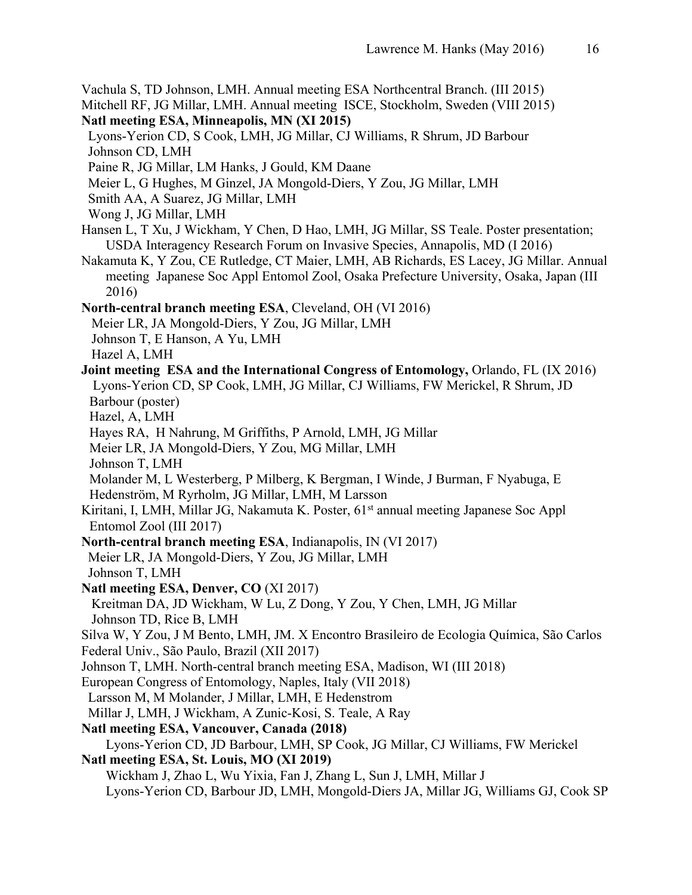Vachula S, TD Johnson, LMH. Annual meeting ESA Northcentral Branch. (III 2015)

Mitchell RF, JG Millar, LMH. Annual meeting ISCE, Stockholm, Sweden (VIII 2015)

- **Natl meeting ESA, Minneapolis, MN (XI 2015)**
- Lyons-Yerion CD, S Cook, LMH, JG Millar, CJ Williams, R Shrum, JD Barbour Johnson CD, LMH
- Paine R, JG Millar, LM Hanks, J Gould, KM Daane
- Meier L, G Hughes, M Ginzel, JA Mongold-Diers, Y Zou, JG Millar, LMH
- Smith AA, A Suarez, JG Millar, LMH
- Wong J, JG Millar, LMH
- Hansen L, T Xu, J Wickham, Y Chen, D Hao, LMH, JG Millar, SS Teale. Poster presentation; USDA Interagency Research Forum on Invasive Species, Annapolis, MD (I 2016)
- Nakamuta K, Y Zou, CE Rutledge, CT Maier, LMH, AB Richards, ES Lacey, JG Millar. Annual meeting Japanese Soc Appl Entomol Zool, Osaka Prefecture University, Osaka, Japan (III 2016)

**North-central branch meeting ESA**, Cleveland, OH (VI 2016)

- Meier LR, JA Mongold-Diers, Y Zou, JG Millar, LMH
- Johnson T, E Hanson, A Yu, LMH
- Hazel A, LMH
- **Joint meeting ESA and the International Congress of Entomology,** Orlando, FL (IX 2016) Lyons-Yerion CD, SP Cook, LMH, JG Millar, CJ Williams, FW Merickel, R Shrum, JD Barbour (poster)
	- Hazel, A, LMH
	- Hayes RA, H Nahrung, M Griffiths, P Arnold, LMH, JG Millar
	- Meier LR, JA Mongold-Diers, Y Zou, MG Millar, LMH
	- Johnson T, LMH
- Molander M, L Westerberg, P Milberg, K Bergman, I Winde, J Burman, F Nyabuga, E Hedenström, M Ryrholm, JG Millar, LMH, M Larsson
- Kiritani, I, LMH, Millar JG, Nakamuta K. Poster, 61<sup>st</sup> annual meeting Japanese Soc Appl Entomol Zool (III 2017)
- **North-central branch meeting ESA**, Indianapolis, IN (VI 2017)
- Meier LR, JA Mongold-Diers, Y Zou, JG Millar, LMH Johnson T, LMH
- **Natl meeting ESA, Denver, CO** (XI 2017)
- Kreitman DA, JD Wickham, W Lu, Z Dong, Y Zou, Y Chen, LMH, JG Millar Johnson TD, Rice B, LMH

Silva W, Y Zou, J M Bento, LMH, JM. X Encontro Brasileiro de Ecologia Química, São Carlos

- Federal Univ., São Paulo, Brazil (XII 2017)
- Johnson T, LMH. North-central branch meeting ESA, Madison, WI (III 2018)
- European Congress of Entomology, Naples, Italy (VII 2018)
- Larsson M, M Molander, J Millar, LMH, E Hedenstrom
- Millar J, LMH, J Wickham, A Zunic-Kosi, S. Teale, A Ray
- **Natl meeting ESA, Vancouver, Canada (2018)**
- Lyons-Yerion CD, JD Barbour, LMH, SP Cook, JG Millar, CJ Williams, FW Merickel **Natl meeting ESA, St. Louis, MO (XI 2019)**
- Wickham J, Zhao L, Wu Yixia, Fan J, Zhang L, Sun J, LMH, Millar J
	- Lyons-Yerion CD, Barbour JD, LMH, Mongold-Diers JA, Millar JG, Williams GJ, Cook SP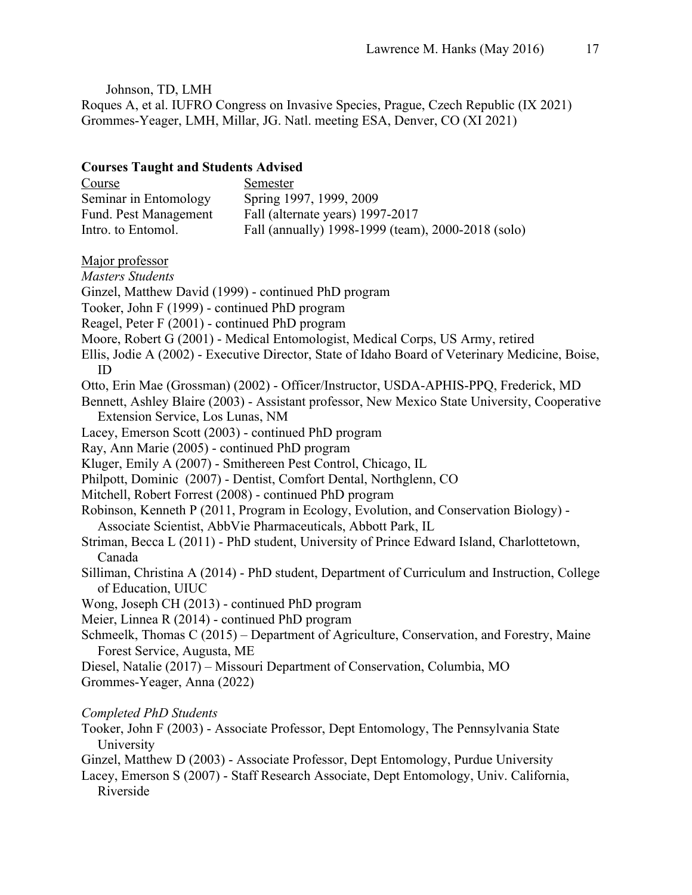Johnson, TD, LMH Roques A, et al. IUFRO Congress on Invasive Species, Prague, Czech Republic (IX 2021) Grommes-Yeager, LMH, Millar, JG. Natl. meeting ESA, Denver, CO (XI 2021)

### **Courses Taught and Students Advised**

| Course                | Semester                                           |
|-----------------------|----------------------------------------------------|
| Seminar in Entomology | Spring 1997, 1999, 2009                            |
| Fund. Pest Management | Fall (alternate years) 1997-2017                   |
| Intro. to Entomol.    | Fall (annually) 1998-1999 (team), 2000-2018 (solo) |

## Major professor

*Masters Students* Ginzel, Matthew David (1999) - continued PhD program Tooker, John F (1999) - continued PhD program Reagel, Peter F (2001) - continued PhD program Moore, Robert G (2001) - Medical Entomologist, Medical Corps, US Army, retired Ellis, Jodie A (2002) - Executive Director, State of Idaho Board of Veterinary Medicine, Boise, ID Otto, Erin Mae (Grossman) (2002) - Officer/Instructor, USDA-APHIS-PPQ, Frederick, MD Bennett, Ashley Blaire (2003) - Assistant professor, New Mexico State University, Cooperative Extension Service, Los Lunas, NM Lacey, Emerson Scott (2003) - continued PhD program Ray, Ann Marie (2005) - continued PhD program Kluger, Emily A (2007) - Smithereen Pest Control, Chicago, IL Philpott, Dominic (2007) - Dentist, Comfort Dental, Northglenn, CO Mitchell, Robert Forrest (2008) - continued PhD program Robinson, Kenneth P (2011, Program in Ecology, Evolution, and Conservation Biology) - Associate Scientist, AbbVie Pharmaceuticals, Abbott Park, IL Striman, Becca L (2011) - PhD student, University of Prince Edward Island, Charlottetown, Canada Silliman, Christina A (2014) - PhD student, Department of Curriculum and Instruction, College of Education, UIUC Wong, Joseph CH (2013) - continued PhD program Meier, Linnea R (2014) - continued PhD program Schmeelk, Thomas C (2015) – Department of Agriculture, Conservation, and Forestry, Maine Forest Service, Augusta, ME Diesel, Natalie (2017) – Missouri Department of Conservation, Columbia, MO Grommes-Yeager, Anna (2022)

## *Completed PhD Students*

Tooker, John F (2003) - Associate Professor, Dept Entomology, The Pennsylvania State University

Ginzel, Matthew D (2003) - Associate Professor, Dept Entomology, Purdue University

Lacey, Emerson S (2007) - Staff Research Associate, Dept Entomology, Univ. California, Riverside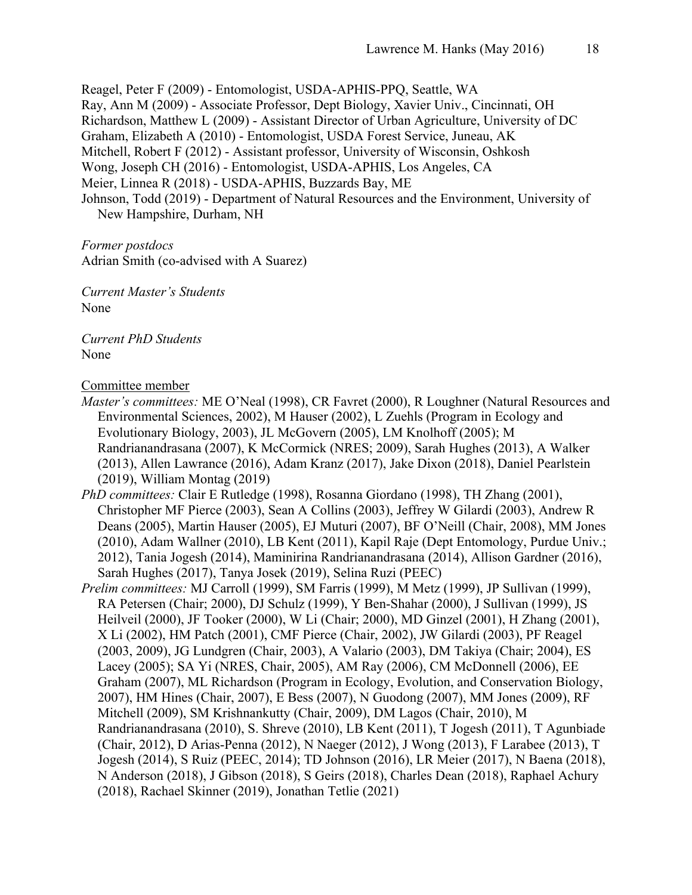Reagel, Peter F (2009) - Entomologist, USDA-APHIS-PPQ, Seattle, WA Ray, Ann M (2009) - Associate Professor, Dept Biology, Xavier Univ., Cincinnati, OH Richardson, Matthew L (2009) - Assistant Director of Urban Agriculture, University of DC Graham, Elizabeth A (2010) - Entomologist, USDA Forest Service, Juneau, AK Mitchell, Robert F (2012) - Assistant professor, University of Wisconsin, Oshkosh Wong, Joseph CH (2016) - Entomologist, USDA-APHIS, Los Angeles, CA Meier, Linnea R (2018) - USDA-APHIS, Buzzards Bay, ME Johnson, Todd (2019) - Department of Natural Resources and the Environment, University of New Hampshire, Durham, NH

*Former postdocs* Adrian Smith (co-advised with A Suarez)

*Current Master's Students* None

*Current PhD Students* None

Committee member

- *Master's committees:* ME O'Neal (1998), CR Favret (2000), R Loughner (Natural Resources and Environmental Sciences, 2002), M Hauser (2002), L Zuehls (Program in Ecology and Evolutionary Biology, 2003), JL McGovern (2005), LM Knolhoff (2005); M Randrianandrasana (2007), K McCormick (NRES; 2009), Sarah Hughes (2013), A Walker (2013), Allen Lawrance (2016), Adam Kranz (2017), Jake Dixon (2018), Daniel Pearlstein (2019), William Montag (2019)
- *PhD committees:* Clair E Rutledge (1998), Rosanna Giordano (1998), TH Zhang (2001), Christopher MF Pierce (2003), Sean A Collins (2003), Jeffrey W Gilardi (2003), Andrew R Deans (2005), Martin Hauser (2005), EJ Muturi (2007), BF O'Neill (Chair, 2008), MM Jones (2010), Adam Wallner (2010), LB Kent (2011), Kapil Raje (Dept Entomology, Purdue Univ.; 2012), Tania Jogesh (2014), Maminirina Randrianandrasana (2014), Allison Gardner (2016), Sarah Hughes (2017), Tanya Josek (2019), Selina Ruzi (PEEC)
- *Prelim committees:* MJ Carroll (1999), SM Farris (1999), M Metz (1999), JP Sullivan (1999), RA Petersen (Chair; 2000), DJ Schulz (1999), Y Ben-Shahar (2000), J Sullivan (1999), JS Heilveil (2000), JF Tooker (2000), W Li (Chair; 2000), MD Ginzel (2001), H Zhang (2001), X Li (2002), HM Patch (2001), CMF Pierce (Chair, 2002), JW Gilardi (2003), PF Reagel (2003, 2009), JG Lundgren (Chair, 2003), A Valario (2003), DM Takiya (Chair; 2004), ES Lacey (2005); SA Yi (NRES, Chair, 2005), AM Ray (2006), CM McDonnell (2006), EE Graham (2007), ML Richardson (Program in Ecology, Evolution, and Conservation Biology, 2007), HM Hines (Chair, 2007), E Bess (2007), N Guodong (2007), MM Jones (2009), RF Mitchell (2009), SM Krishnankutty (Chair, 2009), DM Lagos (Chair, 2010), M Randrianandrasana (2010), S. Shreve (2010), LB Kent (2011), T Jogesh (2011), T Agunbiade (Chair, 2012), D Arias-Penna (2012), N Naeger (2012), J Wong (2013), F Larabee (2013), T Jogesh (2014), S Ruiz (PEEC, 2014); TD Johnson (2016), LR Meier (2017), N Baena (2018), N Anderson (2018), J Gibson (2018), S Geirs (2018), Charles Dean (2018), Raphael Achury (2018), Rachael Skinner (2019), Jonathan Tetlie (2021)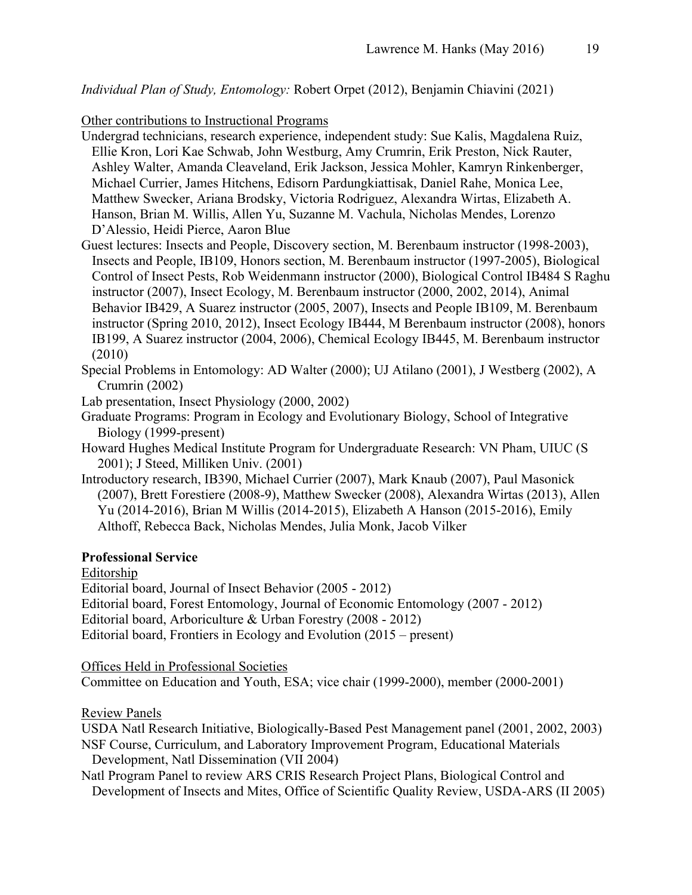*Individual Plan of Study, Entomology:* Robert Orpet (2012), Benjamin Chiavini (2021)

Other contributions to Instructional Programs

- Undergrad technicians, research experience, independent study: Sue Kalis, Magdalena Ruiz, Ellie Kron, Lori Kae Schwab, John Westburg, Amy Crumrin, Erik Preston, Nick Rauter, Ashley Walter, Amanda Cleaveland, Erik Jackson, Jessica Mohler, Kamryn Rinkenberger, Michael Currier, James Hitchens, Edisorn Pardungkiattisak, Daniel Rahe, Monica Lee, Matthew Swecker, Ariana Brodsky, Victoria Rodriguez, Alexandra Wirtas, Elizabeth A. Hanson, Brian M. Willis, Allen Yu, Suzanne M. Vachula, Nicholas Mendes, Lorenzo D'Alessio, Heidi Pierce, Aaron Blue
- Guest lectures: Insects and People, Discovery section, M. Berenbaum instructor (1998-2003), Insects and People, IB109, Honors section, M. Berenbaum instructor (1997-2005), Biological Control of Insect Pests, Rob Weidenmann instructor (2000), Biological Control IB484 S Raghu instructor (2007), Insect Ecology, M. Berenbaum instructor (2000, 2002, 2014), Animal Behavior IB429, A Suarez instructor (2005, 2007), Insects and People IB109, M. Berenbaum instructor (Spring 2010, 2012), Insect Ecology IB444, M Berenbaum instructor (2008), honors IB199, A Suarez instructor (2004, 2006), Chemical Ecology IB445, M. Berenbaum instructor (2010)
- Special Problems in Entomology: AD Walter (2000); UJ Atilano (2001), J Westberg (2002), A Crumrin (2002)
- Lab presentation, Insect Physiology (2000, 2002)
- Graduate Programs: Program in Ecology and Evolutionary Biology, School of Integrative Biology (1999-present)
- Howard Hughes Medical Institute Program for Undergraduate Research: VN Pham, UIUC (S 2001); J Steed, Milliken Univ. (2001)
- Introductory research, IB390, Michael Currier (2007), Mark Knaub (2007), Paul Masonick (2007), Brett Forestiere (2008-9), Matthew Swecker (2008), Alexandra Wirtas (2013), Allen Yu (2014-2016), Brian M Willis (2014-2015), Elizabeth A Hanson (2015-2016), Emily Althoff, Rebecca Back, Nicholas Mendes, Julia Monk, Jacob Vilker

## **Professional Service**

Editorship

Editorial board, Journal of Insect Behavior (2005 - 2012)

Editorial board, Forest Entomology, Journal of Economic Entomology (2007 - 2012)

Editorial board, Arboriculture & Urban Forestry (2008 - 2012)

Editorial board, Frontiers in Ecology and Evolution (2015 – present)

Offices Held in Professional Societies

Committee on Education and Youth, ESA; vice chair (1999-2000), member (2000-2001)

Review Panels

USDA Natl Research Initiative, Biologically-Based Pest Management panel (2001, 2002, 2003) NSF Course, Curriculum, and Laboratory Improvement Program, Educational Materials Development, Natl Dissemination (VII 2004)

Natl Program Panel to review ARS CRIS Research Project Plans, Biological Control and Development of Insects and Mites, Office of Scientific Quality Review, USDA-ARS (II 2005)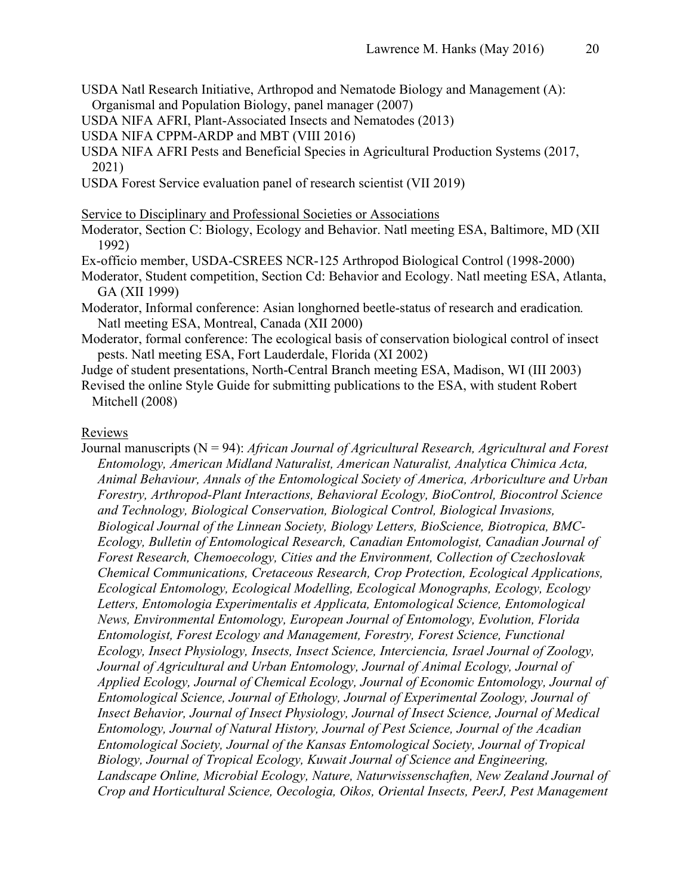- USDA Natl Research Initiative, Arthropod and Nematode Biology and Management (A): Organismal and Population Biology, panel manager (2007)
- USDA NIFA AFRI, Plant-Associated Insects and Nematodes (2013)
- USDA NIFA CPPM-ARDP and MBT (VIII 2016)
- USDA NIFA AFRI Pests and Beneficial Species in Agricultural Production Systems (2017, 2021)
- USDA Forest Service evaluation panel of research scientist (VII 2019)

Service to Disciplinary and Professional Societies or Associations

- Moderator, Section C: Biology, Ecology and Behavior. Natl meeting ESA, Baltimore, MD (XII 1992)
- Ex-officio member, USDA-CSREES NCR-125 Arthropod Biological Control (1998-2000)
- Moderator, Student competition, Section Cd: Behavior and Ecology. Natl meeting ESA, Atlanta, GA (XII 1999)
- Moderator, Informal conference: Asian longhorned beetle-status of research and eradication*.*  Natl meeting ESA, Montreal, Canada (XII 2000)
- Moderator, formal conference: The ecological basis of conservation biological control of insect pests. Natl meeting ESA, Fort Lauderdale, Florida (XI 2002)

Judge of student presentations, North-Central Branch meeting ESA, Madison, WI (III 2003)

Revised the online Style Guide for submitting publications to the ESA, with student Robert Mitchell (2008)

#### Reviews

Journal manuscripts (N = 94): *African Journal of Agricultural Research, Agricultural and Forest Entomology, American Midland Naturalist, American Naturalist, Analytica Chimica Acta, Animal Behaviour, Annals of the Entomological Society of America, Arboriculture and Urban Forestry, Arthropod-Plant Interactions, Behavioral Ecology, BioControl, Biocontrol Science and Technology, Biological Conservation, Biological Control, Biological Invasions, Biological Journal of the Linnean Society, Biology Letters, BioScience, Biotropica, BMC-Ecology, Bulletin of Entomological Research, Canadian Entomologist, Canadian Journal of Forest Research, Chemoecology, Cities and the Environment, Collection of Czechoslovak Chemical Communications, Cretaceous Research, Crop Protection, Ecological Applications, Ecological Entomology, Ecological Modelling, Ecological Monographs, Ecology, Ecology Letters, Entomologia Experimentalis et Applicata, Entomological Science, Entomological News, Environmental Entomology, European Journal of Entomology, Evolution, Florida Entomologist, Forest Ecology and Management, Forestry, Forest Science, Functional Ecology, Insect Physiology, Insects, Insect Science, Interciencia, Israel Journal of Zoology, Journal of Agricultural and Urban Entomology, Journal of Animal Ecology, Journal of Applied Ecology, Journal of Chemical Ecology, Journal of Economic Entomology, Journal of Entomological Science, Journal of Ethology, Journal of Experimental Zoology, Journal of Insect Behavior, Journal of Insect Physiology, Journal of Insect Science, Journal of Medical Entomology, Journal of Natural History, Journal of Pest Science, Journal of the Acadian Entomological Society, Journal of the Kansas Entomological Society, Journal of Tropical Biology, Journal of Tropical Ecology, Kuwait Journal of Science and Engineering, Landscape Online, Microbial Ecology, Nature, Naturwissenschaften, New Zealand Journal of Crop and Horticultural Science, Oecologia, Oikos, Oriental Insects, PeerJ, Pest Management*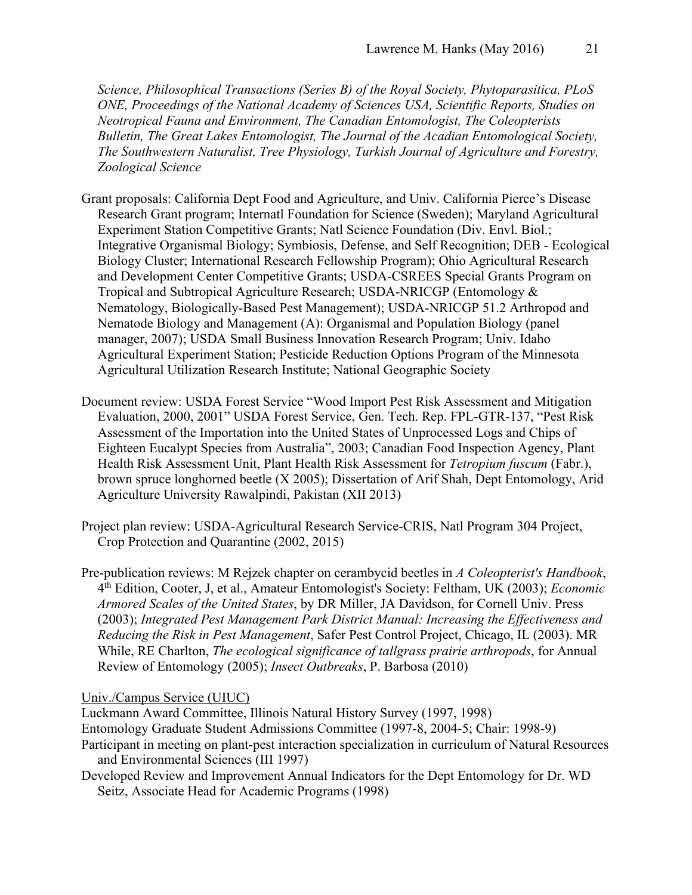*Science, Philosophical Transactions (Series B) of the Royal Society, Phytoparasitica, PLoS ONE, Proceedings of the National Academy of Sciences USA, Scientific Reports, Studies on Neotropical Fauna and Environment, The Canadian Entomologist, The Coleopterists Bulletin, The Great Lakes Entomologist, The Journal of the Acadian Entomological Society, The Southwestern Naturalist, Tree Physiology, Turkish Journal of Agriculture and Forestry, Zoological Science*

- Grant proposals: California Dept Food and Agriculture, and Univ. California Pierce's Disease Research Grant program; Internatl Foundation for Science (Sweden); Maryland Agricultural Experiment Station Competitive Grants; Natl Science Foundation (Div. Envl. Biol.; Integrative Organismal Biology; Symbiosis, Defense, and Self Recognition; DEB - Ecological Biology Cluster; International Research Fellowship Program); Ohio Agricultural Research and Development Center Competitive Grants; USDA-CSREES Special Grants Program on Tropical and Subtropical Agriculture Research; USDA-NRICGP (Entomology & Nematology, Biologically-Based Pest Management); USDA-NRICGP 51.2 Arthropod and Nematode Biology and Management (A): Organismal and Population Biology (panel manager, 2007); USDA Small Business Innovation Research Program; Univ. Idaho Agricultural Experiment Station; Pesticide Reduction Options Program of the Minnesota Agricultural Utilization Research Institute; National Geographic Society
- Document review: USDA Forest Service "Wood Import Pest Risk Assessment and Mitigation Evaluation, 2000, 2001" USDA Forest Service, Gen. Tech. Rep. FPL-GTR-137, "Pest Risk Assessment of the Importation into the United States of Unprocessed Logs and Chips of Eighteen Eucalypt Species from Australia", 2003; Canadian Food Inspection Agency, Plant Health Risk Assessment Unit, Plant Health Risk Assessment for *Tetropium fuscum* (Fabr.), brown spruce longhorned beetle (X 2005); Dissertation of Arif Shah, Dept Entomology, Arid Agriculture University Rawalpindi, Pakistan (XII 2013)
- Project plan review: USDA-Agricultural Research Service-CRIS, Natl Program 304 Project, Crop Protection and Quarantine (2002, 2015)
- Pre-publication reviews: M Rejzek chapter on cerambycid beetles in *A Coleopterist's Handbook*, 4th Edition, Cooter, J, et al., Amateur Entomologist's Society: Feltham, UK (2003); *Economic Armored Scales of the United States*, by DR Miller, JA Davidson, for Cornell Univ. Press (2003); *Integrated Pest Management Park District Manual: Increasing the Effectiveness and Reducing the Risk in Pest Management*, Safer Pest Control Project, Chicago, IL (2003). MR While, RE Charlton, *The ecological significance of tallgrass prairie arthropods*, for Annual Review of Entomology (2005); *Insect Outbreaks*, P. Barbosa (2010)

Univ./Campus Service (UIUC)

Luckmann Award Committee, Illinois Natural History Survey (1997, 1998) Entomology Graduate Student Admissions Committee (1997-8, 2004-5; Chair: 1998-9) Participant in meeting on plant-pest interaction specialization in curriculum of Natural Resources and Environmental Sciences (III 1997)

Developed Review and Improvement Annual Indicators for the Dept Entomology for Dr. WD Seitz, Associate Head for Academic Programs (1998)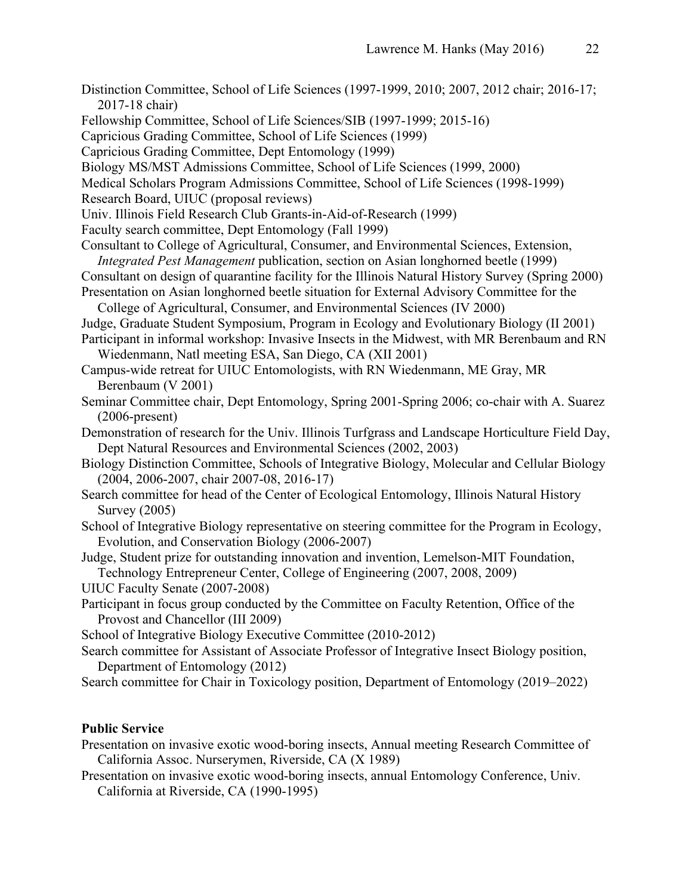- Distinction Committee, School of Life Sciences (1997-1999, 2010; 2007, 2012 chair; 2016-17; 2017-18 chair) Fellowship Committee, School of Life Sciences/SIB (1997-1999; 2015-16) Capricious Grading Committee, School of Life Sciences (1999) Capricious Grading Committee, Dept Entomology (1999) Biology MS/MST Admissions Committee, School of Life Sciences (1999, 2000) Medical Scholars Program Admissions Committee, School of Life Sciences (1998-1999) Research Board, UIUC (proposal reviews) Univ. Illinois Field Research Club Grants-in-Aid-of-Research (1999) Faculty search committee, Dept Entomology (Fall 1999) Consultant to College of Agricultural, Consumer, and Environmental Sciences, Extension, *Integrated Pest Management* publication, section on Asian longhorned beetle (1999) Consultant on design of quarantine facility for the Illinois Natural History Survey (Spring 2000) Presentation on Asian longhorned beetle situation for External Advisory Committee for the College of Agricultural, Consumer, and Environmental Sciences (IV 2000) Judge, Graduate Student Symposium, Program in Ecology and Evolutionary Biology (II 2001) Participant in informal workshop: Invasive Insects in the Midwest, with MR Berenbaum and RN Wiedenmann, Natl meeting ESA, San Diego, CA (XII 2001) Campus-wide retreat for UIUC Entomologists, with RN Wiedenmann, ME Gray, MR Berenbaum (V 2001) Seminar Committee chair, Dept Entomology, Spring 2001-Spring 2006; co-chair with A. Suarez (2006-present) Demonstration of research for the Univ. Illinois Turfgrass and Landscape Horticulture Field Day, Dept Natural Resources and Environmental Sciences (2002, 2003) Biology Distinction Committee, Schools of Integrative Biology, Molecular and Cellular Biology (2004, 2006-2007, chair 2007-08, 2016-17) Search committee for head of the Center of Ecological Entomology, Illinois Natural History Survey (2005) School of Integrative Biology representative on steering committee for the Program in Ecology, Evolution, and Conservation Biology (2006-2007) Judge, Student prize for outstanding innovation and invention, Lemelson-MIT Foundation, Technology Entrepreneur Center, College of Engineering (2007, 2008, 2009) UIUC Faculty Senate (2007-2008) Participant in focus group conducted by the Committee on Faculty Retention, Office of the Provost and Chancellor (III 2009)
- School of Integrative Biology Executive Committee (2010-2012)
- Search committee for Assistant of Associate Professor of Integrative Insect Biology position, Department of Entomology (2012)
- Search committee for Chair in Toxicology position, Department of Entomology (2019–2022)

# **Public Service**

Presentation on invasive exotic wood-boring insects, Annual meeting Research Committee of California Assoc. Nurserymen, Riverside, CA (X 1989)

Presentation on invasive exotic wood-boring insects, annual Entomology Conference, Univ. California at Riverside, CA (1990-1995)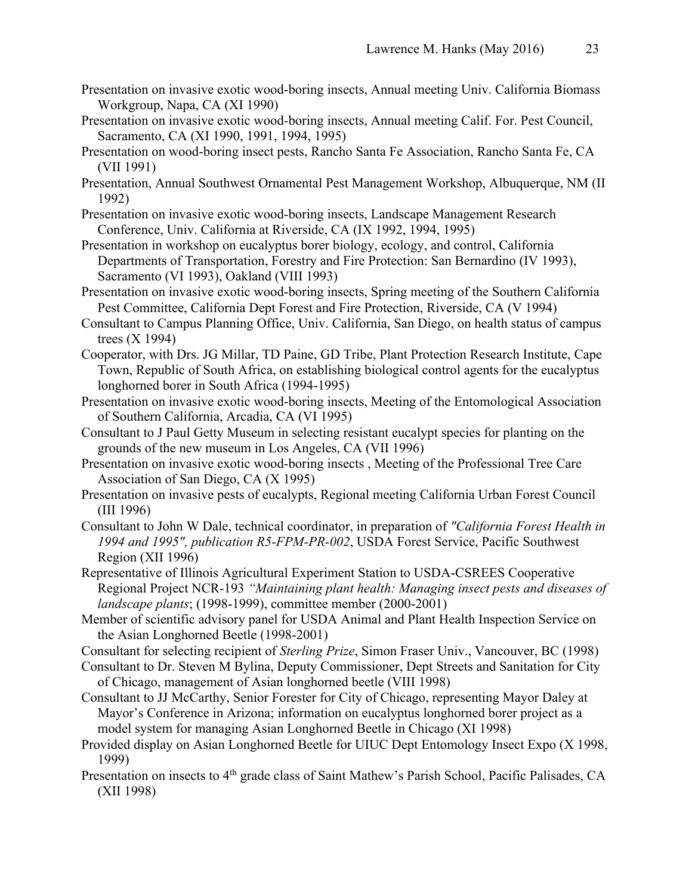- Presentation on invasive exotic wood-boring insects, Annual meeting Univ. California Biomass Workgroup, Napa, CA (XI 1990)
- Presentation on invasive exotic wood-boring insects, Annual meeting Calif. For. Pest Council, Sacramento, CA (XI 1990, 1991, 1994, 1995)
- Presentation on wood-boring insect pests, Rancho Santa Fe Association, Rancho Santa Fe, CA (VII 1991)
- Presentation, Annual Southwest Ornamental Pest Management Workshop, Albuquerque, NM (II 1992)
- Presentation on invasive exotic wood-boring insects, Landscape Management Research Conference, Univ. California at Riverside, CA (IX 1992, 1994, 1995)
- Presentation in workshop on eucalyptus borer biology, ecology, and control, California Departments of Transportation, Forestry and Fire Protection: San Bernardino (IV 1993), Sacramento (VI 1993), Oakland (VIII 1993)
- Presentation on invasive exotic wood-boring insects, Spring meeting of the Southern California Pest Committee, California Dept Forest and Fire Protection, Riverside, CA (V 1994)
- Consultant to Campus Planning Office, Univ. California, San Diego, on health status of campus trees (X 1994)
- Cooperator, with Drs. JG Millar, TD Paine, GD Tribe, Plant Protection Research Institute, Cape Town, Republic of South Africa, on establishing biological control agents for the eucalyptus longhorned borer in South Africa (1994-1995)
- Presentation on invasive exotic wood-boring insects, Meeting of the Entomological Association of Southern California, Arcadia, CA (VI 1995)
- Consultant to J Paul Getty Museum in selecting resistant eucalypt species for planting on the grounds of the new museum in Los Angeles, CA (VII 1996)
- Presentation on invasive exotic wood-boring insects , Meeting of the Professional Tree Care Association of San Diego, CA (X 1995)
- Presentation on invasive pests of eucalypts, Regional meeting California Urban Forest Council (III 1996)
- Consultant to John W Dale, technical coordinator, in preparation of *"California Forest Health in 1994 and 1995", publication R5-FPM-PR-002*, USDA Forest Service, Pacific Southwest Region (XII 1996)
- Representative of Illinois Agricultural Experiment Station to USDA-CSREES Cooperative Regional Project NCR-193 *"Maintaining plant health: Managing insect pests and diseases of landscape plants*; (1998-1999), committee member (2000-2001)
- Member of scientific advisory panel for USDA Animal and Plant Health Inspection Service on the Asian Longhorned Beetle (1998-2001)
- Consultant for selecting recipient of *Sterling Prize*, Simon Fraser Univ., Vancouver, BC (1998)
- Consultant to Dr. Steven M Bylina, Deputy Commissioner, Dept Streets and Sanitation for City of Chicago, management of Asian longhorned beetle (VIII 1998)
- Consultant to JJ McCarthy, Senior Forester for City of Chicago, representing Mayor Daley at Mayor's Conference in Arizona; information on eucalyptus longhorned borer project as a model system for managing Asian Longhorned Beetle in Chicago (XI 1998)
- Provided display on Asian Longhorned Beetle for UIUC Dept Entomology Insect Expo (X 1998, 1999)
- Presentation on insects to 4<sup>th</sup> grade class of Saint Mathew's Parish School, Pacific Palisades, CA (XII 1998)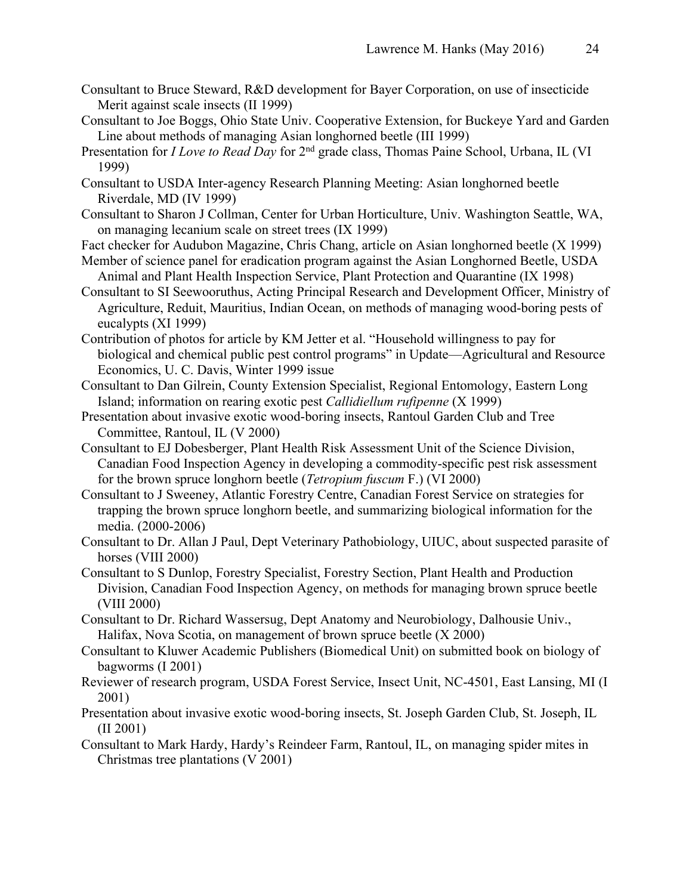- Consultant to Bruce Steward, R&D development for Bayer Corporation, on use of insecticide Merit against scale insects (II 1999)
- Consultant to Joe Boggs, Ohio State Univ. Cooperative Extension, for Buckeye Yard and Garden Line about methods of managing Asian longhorned beetle (III 1999)
- Presentation for *I Love to Read Day* for 2<sup>nd</sup> grade class, Thomas Paine School, Urbana, IL (VI) 1999)
- Consultant to USDA Inter-agency Research Planning Meeting: Asian longhorned beetle Riverdale, MD (IV 1999)
- Consultant to Sharon J Collman, Center for Urban Horticulture, Univ. Washington Seattle, WA, on managing lecanium scale on street trees (IX 1999)
- Fact checker for Audubon Magazine, Chris Chang, article on Asian longhorned beetle (X 1999)
- Member of science panel for eradication program against the Asian Longhorned Beetle, USDA Animal and Plant Health Inspection Service, Plant Protection and Quarantine (IX 1998)
- Consultant to SI Seewooruthus, Acting Principal Research and Development Officer, Ministry of Agriculture, Reduit, Mauritius, Indian Ocean, on methods of managing wood-boring pests of eucalypts (XI 1999)
- Contribution of photos for article by KM Jetter et al. "Household willingness to pay for biological and chemical public pest control programs" in Update—Agricultural and Resource Economics, U. C. Davis, Winter 1999 issue
- Consultant to Dan Gilrein, County Extension Specialist, Regional Entomology, Eastern Long Island; information on rearing exotic pest *Callidiellum rufipenne* (X 1999)
- Presentation about invasive exotic wood-boring insects, Rantoul Garden Club and Tree Committee, Rantoul, IL (V 2000)
- Consultant to EJ Dobesberger, Plant Health Risk Assessment Unit of the Science Division, Canadian Food Inspection Agency in developing a commodity-specific pest risk assessment for the brown spruce longhorn beetle (*Tetropium fuscum* F.) (VI 2000)
- Consultant to J Sweeney, Atlantic Forestry Centre, Canadian Forest Service on strategies for trapping the brown spruce longhorn beetle, and summarizing biological information for the media. (2000-2006)
- Consultant to Dr. Allan J Paul, Dept Veterinary Pathobiology, UIUC, about suspected parasite of horses (VIII 2000)
- Consultant to S Dunlop, Forestry Specialist, Forestry Section, Plant Health and Production Division, Canadian Food Inspection Agency, on methods for managing brown spruce beetle (VIII 2000)
- Consultant to Dr. Richard Wassersug, Dept Anatomy and Neurobiology, Dalhousie Univ., Halifax, Nova Scotia, on management of brown spruce beetle (X 2000)
- Consultant to Kluwer Academic Publishers (Biomedical Unit) on submitted book on biology of bagworms (I 2001)
- Reviewer of research program, USDA Forest Service, Insect Unit, NC-4501, East Lansing, MI (I 2001)
- Presentation about invasive exotic wood-boring insects, St. Joseph Garden Club, St. Joseph, IL (II 2001)
- Consultant to Mark Hardy, Hardy's Reindeer Farm, Rantoul, IL, on managing spider mites in Christmas tree plantations (V 2001)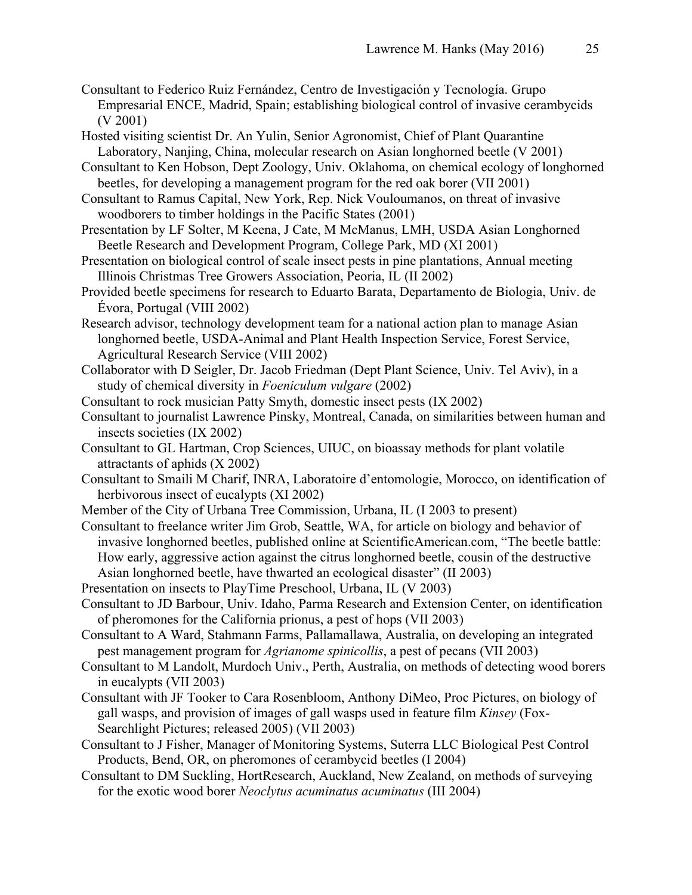- Consultant to Federico Ruiz Fernández, Centro de Investigación y Tecnología. Grupo Empresarial ENCE, Madrid, Spain; establishing biological control of invasive cerambycids (V 2001)
- Hosted visiting scientist Dr. An Yulin, Senior Agronomist, Chief of Plant Quarantine Laboratory, Nanjing, China, molecular research on Asian longhorned beetle (V 2001)
- Consultant to Ken Hobson, Dept Zoology, Univ. Oklahoma, on chemical ecology of longhorned beetles, for developing a management program for the red oak borer (VII 2001)
- Consultant to Ramus Capital, New York, Rep. Nick Vouloumanos, on threat of invasive woodborers to timber holdings in the Pacific States (2001)
- Presentation by LF Solter, M Keena, J Cate, M McManus, LMH, USDA Asian Longhorned Beetle Research and Development Program, College Park, MD (XI 2001)
- Presentation on biological control of scale insect pests in pine plantations, Annual meeting Illinois Christmas Tree Growers Association, Peoria, IL (II 2002)
- Provided beetle specimens for research to Eduarto Barata, Departamento de Biologia, Univ. de Évora, Portugal (VIII 2002)
- Research advisor, technology development team for a national action plan to manage Asian longhorned beetle, USDA-Animal and Plant Health Inspection Service, Forest Service, Agricultural Research Service (VIII 2002)
- Collaborator with D Seigler, Dr. Jacob Friedman (Dept Plant Science, Univ. Tel Aviv), in a study of chemical diversity in *Foeniculum vulgare* (2002)
- Consultant to rock musician Patty Smyth, domestic insect pests (IX 2002)
- Consultant to journalist Lawrence Pinsky, Montreal, Canada, on similarities between human and insects societies (IX 2002)
- Consultant to GL Hartman, Crop Sciences, UIUC, on bioassay methods for plant volatile attractants of aphids (X 2002)
- Consultant to Smaili M Charif, INRA, Laboratoire d'entomologie, Morocco, on identification of herbivorous insect of eucalypts (XI 2002)
- Member of the City of Urbana Tree Commission, Urbana, IL (I 2003 to present)
- Consultant to freelance writer Jim Grob, Seattle, WA, for article on biology and behavior of invasive longhorned beetles, published online at ScientificAmerican.com, "The beetle battle: How early, aggressive action against the citrus longhorned beetle, cousin of the destructive Asian longhorned beetle, have thwarted an ecological disaster" (II 2003)
- Presentation on insects to PlayTime Preschool, Urbana, IL (V 2003)
- Consultant to JD Barbour, Univ. Idaho, Parma Research and Extension Center, on identification of pheromones for the California prionus, a pest of hops (VII 2003)
- Consultant to A Ward, Stahmann Farms, Pallamallawa, Australia, on developing an integrated pest management program for *Agrianome spinicollis*, a pest of pecans (VII 2003)
- Consultant to M Landolt, Murdoch Univ., Perth, Australia, on methods of detecting wood borers in eucalypts (VII 2003)
- Consultant with JF Tooker to Cara Rosenbloom, Anthony DiMeo, Proc Pictures, on biology of gall wasps, and provision of images of gall wasps used in feature film *Kinsey* (Fox-Searchlight Pictures; released 2005) (VII 2003)
- Consultant to J Fisher, Manager of Monitoring Systems, Suterra LLC Biological Pest Control Products, Bend, OR, on pheromones of cerambycid beetles (I 2004)
- Consultant to DM Suckling, HortResearch, Auckland, New Zealand, on methods of surveying for the exotic wood borer *Neoclytus acuminatus acuminatus* (III 2004)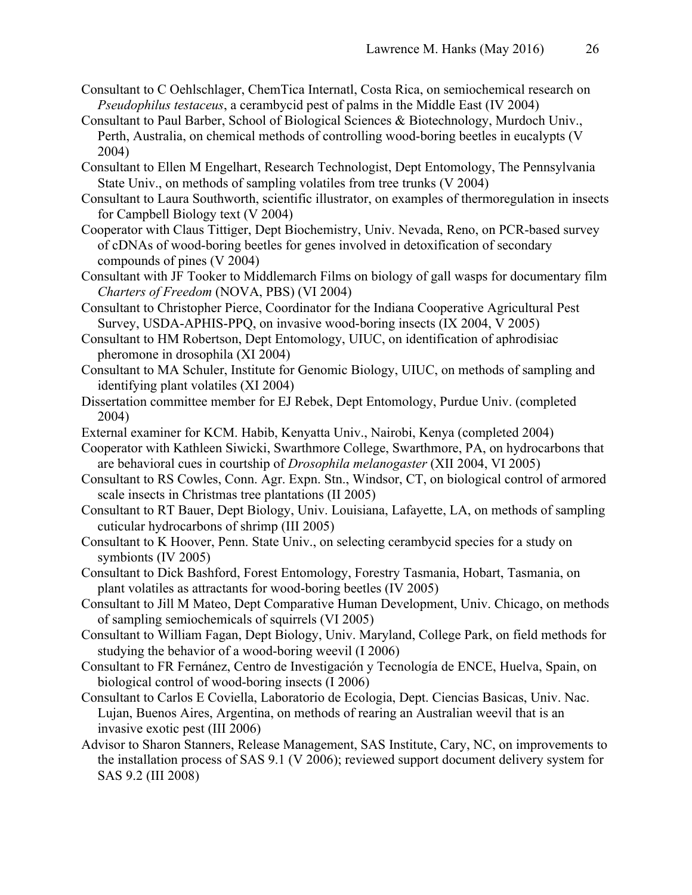- Consultant to C Oehlschlager, ChemTica Internatl, Costa Rica, on semiochemical research on *Pseudophilus testaceus*, a cerambycid pest of palms in the Middle East (IV 2004)
- Consultant to Paul Barber, School of Biological Sciences & Biotechnology, Murdoch Univ., Perth, Australia, on chemical methods of controlling wood-boring beetles in eucalypts (V 2004)
- Consultant to Ellen M Engelhart, Research Technologist, Dept Entomology, The Pennsylvania State Univ., on methods of sampling volatiles from tree trunks (V 2004)
- Consultant to Laura Southworth, scientific illustrator, on examples of thermoregulation in insects for Campbell Biology text (V 2004)
- Cooperator with Claus Tittiger, Dept Biochemistry, Univ. Nevada, Reno, on PCR-based survey of cDNAs of wood-boring beetles for genes involved in detoxification of secondary compounds of pines (V 2004)
- Consultant with JF Tooker to Middlemarch Films on biology of gall wasps for documentary film *Charters of Freedom* (NOVA, PBS) (VI 2004)
- Consultant to Christopher Pierce, Coordinator for the Indiana Cooperative Agricultural Pest Survey, USDA-APHIS-PPQ, on invasive wood-boring insects (IX 2004, V 2005)
- Consultant to HM Robertson, Dept Entomology, UIUC, on identification of aphrodisiac pheromone in drosophila (XI 2004)
- Consultant to MA Schuler, Institute for Genomic Biology, UIUC, on methods of sampling and identifying plant volatiles (XI 2004)
- Dissertation committee member for EJ Rebek, Dept Entomology, Purdue Univ. (completed 2004)
- External examiner for KCM. Habib, Kenyatta Univ., Nairobi, Kenya (completed 2004)

Cooperator with Kathleen Siwicki, Swarthmore College, Swarthmore, PA, on hydrocarbons that are behavioral cues in courtship of *Drosophila melanogaster* (XII 2004, VI 2005)

- Consultant to RS Cowles, Conn. Agr. Expn. Stn., Windsor, CT, on biological control of armored scale insects in Christmas tree plantations (II 2005)
- Consultant to RT Bauer, Dept Biology, Univ. Louisiana, Lafayette, LA, on methods of sampling cuticular hydrocarbons of shrimp (III 2005)
- Consultant to K Hoover, Penn. State Univ., on selecting cerambycid species for a study on symbionts (IV 2005)
- Consultant to Dick Bashford, Forest Entomology, Forestry Tasmania, Hobart, Tasmania, on plant volatiles as attractants for wood-boring beetles (IV 2005)
- Consultant to Jill M Mateo, Dept Comparative Human Development, Univ. Chicago, on methods of sampling semiochemicals of squirrels (VI 2005)
- Consultant to William Fagan, Dept Biology, Univ. Maryland, College Park, on field methods for studying the behavior of a wood-boring weevil (I 2006)
- Consultant to FR Fernánez, Centro de Investigación y Tecnología de ENCE, Huelva, Spain, on biological control of wood-boring insects (I 2006)
- Consultant to Carlos E Coviella, Laboratorio de Ecologia, Dept. Ciencias Basicas, Univ. Nac. Lujan, Buenos Aires, Argentina, on methods of rearing an Australian weevil that is an invasive exotic pest (III 2006)
- Advisor to Sharon Stanners, Release Management, SAS Institute, Cary, NC, on improvements to the installation process of SAS 9.1 (V 2006); reviewed support document delivery system for SAS 9.2 (III 2008)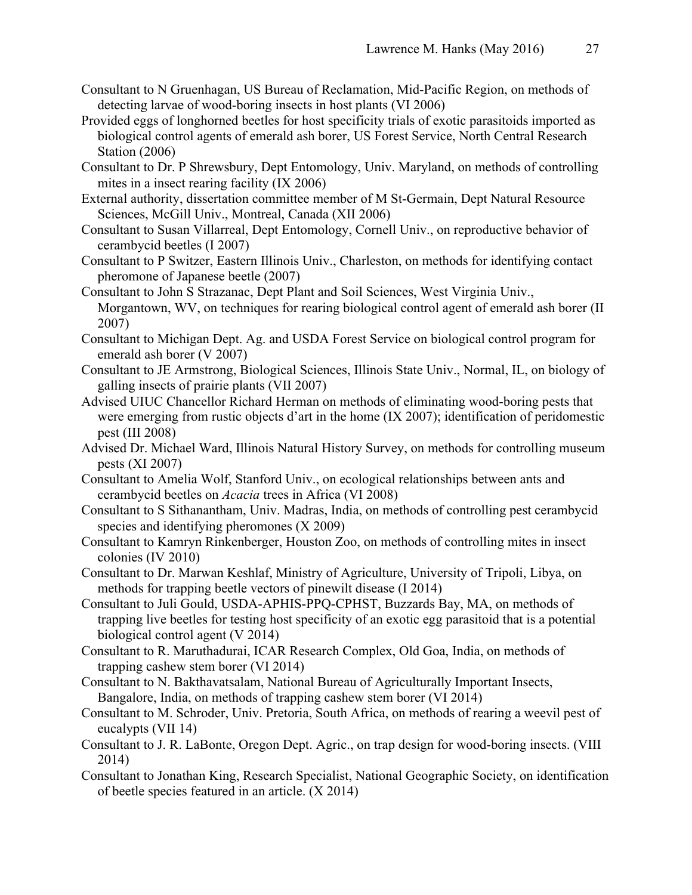- Consultant to N Gruenhagan, US Bureau of Reclamation, Mid-Pacific Region, on methods of detecting larvae of wood-boring insects in host plants (VI 2006)
- Provided eggs of longhorned beetles for host specificity trials of exotic parasitoids imported as biological control agents of emerald ash borer, US Forest Service, North Central Research Station (2006)
- Consultant to Dr. P Shrewsbury, Dept Entomology, Univ. Maryland, on methods of controlling mites in a insect rearing facility (IX 2006)
- External authority, dissertation committee member of M St-Germain, Dept Natural Resource Sciences, McGill Univ., Montreal, Canada (XII 2006)
- Consultant to Susan Villarreal, Dept Entomology, Cornell Univ., on reproductive behavior of cerambycid beetles (I 2007)
- Consultant to P Switzer, Eastern Illinois Univ., Charleston, on methods for identifying contact pheromone of Japanese beetle (2007)
- Consultant to John S Strazanac, Dept Plant and Soil Sciences, West Virginia Univ., Morgantown, WV, on techniques for rearing biological control agent of emerald ash borer (II 2007)
- Consultant to Michigan Dept. Ag. and USDA Forest Service on biological control program for emerald ash borer (V 2007)
- Consultant to JE Armstrong, Biological Sciences, Illinois State Univ., Normal, IL, on biology of galling insects of prairie plants (VII 2007)
- Advised UIUC Chancellor Richard Herman on methods of eliminating wood-boring pests that were emerging from rustic objects d'art in the home (IX 2007); identification of peridomestic pest (III 2008)
- Advised Dr. Michael Ward, Illinois Natural History Survey, on methods for controlling museum pests (XI 2007)
- Consultant to Amelia Wolf, Stanford Univ., on ecological relationships between ants and cerambycid beetles on *Acacia* trees in Africa (VI 2008)
- Consultant to S Sithanantham, Univ. Madras, India, on methods of controlling pest cerambycid species and identifying pheromones (X 2009)
- Consultant to Kamryn Rinkenberger, Houston Zoo, on methods of controlling mites in insect colonies (IV 2010)
- Consultant to Dr. Marwan Keshlaf, Ministry of Agriculture, University of Tripoli, Libya, on methods for trapping beetle vectors of pinewilt disease (I 2014)
- Consultant to Juli Gould, USDA-APHIS-PPQ-CPHST, Buzzards Bay, MA, on methods of trapping live beetles for testing host specificity of an exotic egg parasitoid that is a potential biological control agent (V 2014)
- Consultant to R. Maruthadurai, ICAR Research Complex, Old Goa, India, on methods of trapping cashew stem borer (VI 2014)
- Consultant to N. Bakthavatsalam, National Bureau of Agriculturally Important Insects, Bangalore, India, on methods of trapping cashew stem borer (VI 2014)
- Consultant to M. Schroder, Univ. Pretoria, South Africa, on methods of rearing a weevil pest of eucalypts (VII 14)
- Consultant to J. R. LaBonte, Oregon Dept. Agric., on trap design for wood-boring insects. (VIII 2014)
- Consultant to Jonathan King, Research Specialist, National Geographic Society, on identification of beetle species featured in an article. (X 2014)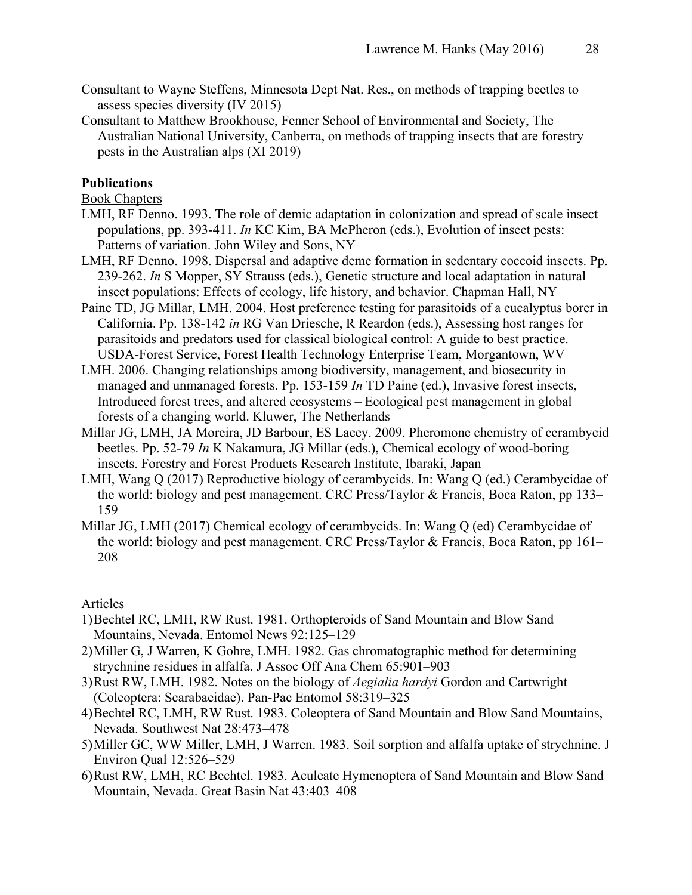- Consultant to Wayne Steffens, Minnesota Dept Nat. Res., on methods of trapping beetles to assess species diversity (IV 2015)
- Consultant to Matthew Brookhouse, Fenner School of Environmental and Society, The Australian National University, Canberra, on methods of trapping insects that are forestry pests in the Australian alps (XI 2019)

### **Publications**

Book Chapters

- LMH, RF Denno. 1993. The role of demic adaptation in colonization and spread of scale insect populations, pp. 393-411. *In* KC Kim, BA McPheron (eds.), Evolution of insect pests: Patterns of variation. John Wiley and Sons, NY
- LMH, RF Denno. 1998. Dispersal and adaptive deme formation in sedentary coccoid insects. Pp. 239-262. *In* S Mopper, SY Strauss (eds.), Genetic structure and local adaptation in natural insect populations: Effects of ecology, life history, and behavior. Chapman Hall, NY
- Paine TD, JG Millar, LMH. 2004. Host preference testing for parasitoids of a eucalyptus borer in California. Pp. 138-142 *in* RG Van Driesche, R Reardon (eds.), Assessing host ranges for parasitoids and predators used for classical biological control: A guide to best practice. USDA-Forest Service, Forest Health Technology Enterprise Team, Morgantown, WV
- LMH. 2006. Changing relationships among biodiversity, management, and biosecurity in managed and unmanaged forests. Pp. 153-159 *In* TD Paine (ed.), Invasive forest insects, Introduced forest trees, and altered ecosystems – Ecological pest management in global forests of a changing world. Kluwer, The Netherlands
- Millar JG, LMH, JA Moreira, JD Barbour, ES Lacey. 2009. Pheromone chemistry of cerambycid beetles. Pp. 52-79 *In* K Nakamura, JG Millar (eds.), Chemical ecology of wood-boring insects. Forestry and Forest Products Research Institute, Ibaraki, Japan
- LMH, Wang Q (2017) Reproductive biology of cerambycids. In: Wang Q (ed.) Cerambycidae of the world: biology and pest management. CRC Press/Taylor & Francis, Boca Raton, pp 133– 159
- Millar JG, LMH (2017) Chemical ecology of cerambycids. In: Wang Q (ed) Cerambycidae of the world: biology and pest management. CRC Press/Taylor & Francis, Boca Raton, pp 161– 208

#### Articles

- 1)Bechtel RC, LMH, RW Rust. 1981. Orthopteroids of Sand Mountain and Blow Sand Mountains, Nevada. Entomol News 92:125–129
- 2)Miller G, J Warren, K Gohre, LMH. 1982. Gas chromatographic method for determining strychnine residues in alfalfa. J Assoc Off Ana Chem 65:901–903
- 3)Rust RW, LMH. 1982. Notes on the biology of *Aegialia hardyi* Gordon and Cartwright (Coleoptera: Scarabaeidae). Pan-Pac Entomol 58:319–325
- 4)Bechtel RC, LMH, RW Rust. 1983. Coleoptera of Sand Mountain and Blow Sand Mountains, Nevada. Southwest Nat 28:473–478
- 5)Miller GC, WW Miller, LMH, J Warren. 1983. Soil sorption and alfalfa uptake of strychnine. J Environ Qual 12:526–529
- 6)Rust RW, LMH, RC Bechtel. 1983. Aculeate Hymenoptera of Sand Mountain and Blow Sand Mountain, Nevada. Great Basin Nat 43:403–408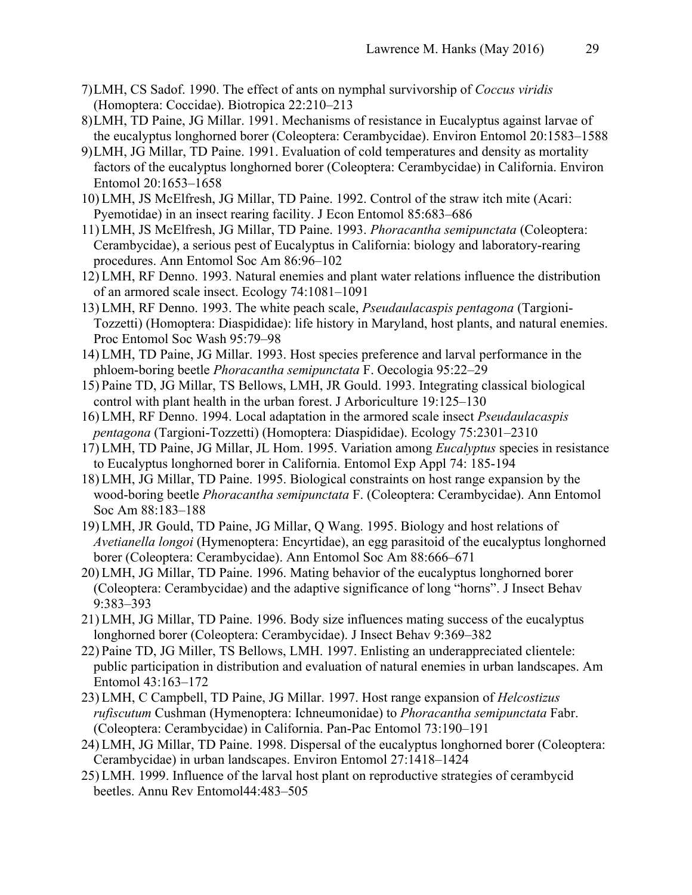- 7)LMH, CS Sadof. 1990. The effect of ants on nymphal survivorship of *Coccus viridis* (Homoptera: Coccidae). Biotropica 22:210–213
- 8)LMH, TD Paine, JG Millar. 1991. Mechanisms of resistance in Eucalyptus against larvae of the eucalyptus longhorned borer (Coleoptera: Cerambycidae). Environ Entomol 20:1583–1588
- 9)LMH, JG Millar, TD Paine. 1991. Evaluation of cold temperatures and density as mortality factors of the eucalyptus longhorned borer (Coleoptera: Cerambycidae) in California. Environ Entomol 20:1653–1658
- 10) LMH, JS McElfresh, JG Millar, TD Paine. 1992. Control of the straw itch mite (Acari: Pyemotidae) in an insect rearing facility. J Econ Entomol 85:683–686
- 11) LMH, JS McElfresh, JG Millar, TD Paine. 1993. *Phoracantha semipunctata* (Coleoptera: Cerambycidae), a serious pest of Eucalyptus in California: biology and laboratory-rearing procedures. Ann Entomol Soc Am 86:96–102
- 12) LMH, RF Denno. 1993. Natural enemies and plant water relations influence the distribution of an armored scale insect. Ecology 74:1081–1091
- 13) LMH, RF Denno. 1993. The white peach scale, *Pseudaulacaspis pentagona* (Targioni-Tozzetti) (Homoptera: Diaspididae): life history in Maryland, host plants, and natural enemies. Proc Entomol Soc Wash 95:79–98
- 14) LMH, TD Paine, JG Millar. 1993. Host species preference and larval performance in the phloem-boring beetle *Phoracantha semipunctata* F. Oecologia 95:22–29
- 15) Paine TD, JG Millar, TS Bellows, LMH, JR Gould. 1993. Integrating classical biological control with plant health in the urban forest. J Arboriculture 19:125–130
- 16) LMH, RF Denno. 1994. Local adaptation in the armored scale insect *Pseudaulacaspis pentagona* (Targioni-Tozzetti) (Homoptera: Diaspididae). Ecology 75:2301–2310
- 17) LMH, TD Paine, JG Millar, JL Hom. 1995. Variation among *Eucalyptus* species in resistance to Eucalyptus longhorned borer in California. Entomol Exp Appl 74: 185-194
- 18) LMH, JG Millar, TD Paine. 1995. Biological constraints on host range expansion by the wood-boring beetle *Phoracantha semipunctata* F. (Coleoptera: Cerambycidae). Ann Entomol Soc Am 88:183–188
- 19) LMH, JR Gould, TD Paine, JG Millar, Q Wang. 1995. Biology and host relations of *Avetianella longoi* (Hymenoptera: Encyrtidae), an egg parasitoid of the eucalyptus longhorned borer (Coleoptera: Cerambycidae). Ann Entomol Soc Am 88:666–671
- 20) LMH, JG Millar, TD Paine. 1996. Mating behavior of the eucalyptus longhorned borer (Coleoptera: Cerambycidae) and the adaptive significance of long "horns". J Insect Behav 9:383–393
- 21) LMH, JG Millar, TD Paine. 1996. Body size influences mating success of the eucalyptus longhorned borer (Coleoptera: Cerambycidae). J Insect Behav 9:369–382
- 22) Paine TD, JG Miller, TS Bellows, LMH. 1997. Enlisting an underappreciated clientele: public participation in distribution and evaluation of natural enemies in urban landscapes. Am Entomol 43:163–172
- 23) LMH, C Campbell, TD Paine, JG Millar. 1997. Host range expansion of *Helcostizus rufiscutum* Cushman (Hymenoptera: Ichneumonidae) to *Phoracantha semipunctata* Fabr. (Coleoptera: Cerambycidae) in California. Pan-Pac Entomol 73:190–191
- 24) LMH, JG Millar, TD Paine. 1998. Dispersal of the eucalyptus longhorned borer (Coleoptera: Cerambycidae) in urban landscapes. Environ Entomol 27:1418–1424
- 25) LMH. 1999. Influence of the larval host plant on reproductive strategies of cerambycid beetles. Annu Rev Entomol44:483–505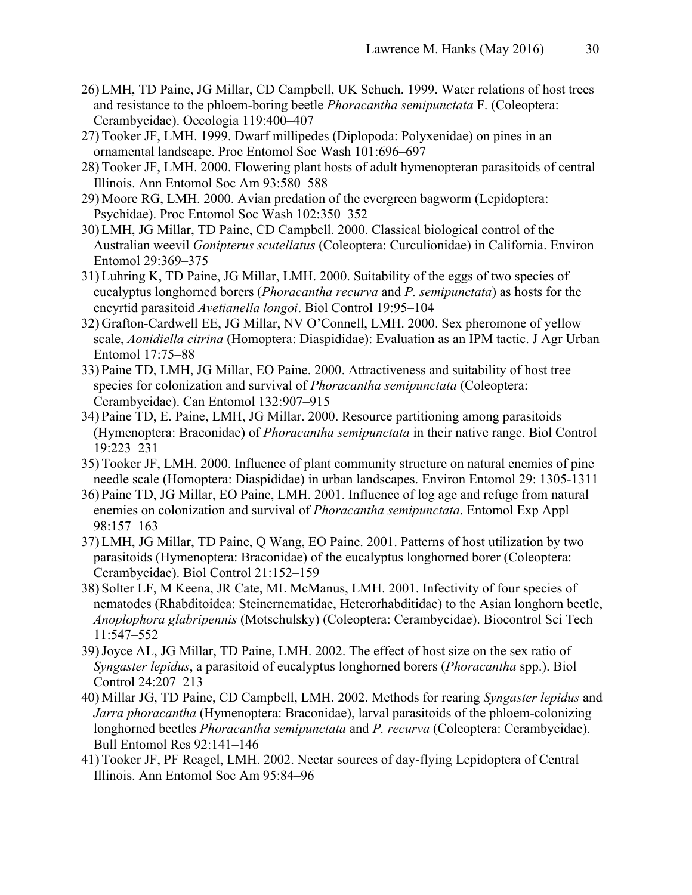- 26) LMH, TD Paine, JG Millar, CD Campbell, UK Schuch. 1999. Water relations of host trees and resistance to the phloem-boring beetle *Phoracantha semipunctata* F. (Coleoptera: Cerambycidae). Oecologia 119:400–407
- 27) Tooker JF, LMH. 1999. Dwarf millipedes (Diplopoda: Polyxenidae) on pines in an ornamental landscape. Proc Entomol Soc Wash 101:696–697
- 28) Tooker JF, LMH. 2000. Flowering plant hosts of adult hymenopteran parasitoids of central Illinois. Ann Entomol Soc Am 93:580–588
- 29) Moore RG, LMH. 2000. Avian predation of the evergreen bagworm (Lepidoptera: Psychidae). Proc Entomol Soc Wash 102:350–352
- 30) LMH, JG Millar, TD Paine, CD Campbell. 2000. Classical biological control of the Australian weevil *Gonipterus scutellatus* (Coleoptera: Curculionidae) in California. Environ Entomol 29:369–375
- 31) Luhring K, TD Paine, JG Millar, LMH. 2000. Suitability of the eggs of two species of eucalyptus longhorned borers (*Phoracantha recurva* and *P. semipunctata*) as hosts for the encyrtid parasitoid *Avetianella longoi*. Biol Control 19:95–104
- 32) Grafton-Cardwell EE, JG Millar, NV O'Connell, LMH. 2000. Sex pheromone of yellow scale, *Aonidiella citrina* (Homoptera: Diaspididae): Evaluation as an IPM tactic. J Agr Urban Entomol 17:75–88
- 33) Paine TD, LMH, JG Millar, EO Paine. 2000. Attractiveness and suitability of host tree species for colonization and survival of *Phoracantha semipunctata* (Coleoptera: Cerambycidae). Can Entomol 132:907–915
- 34) Paine TD, E. Paine, LMH, JG Millar. 2000. Resource partitioning among parasitoids (Hymenoptera: Braconidae) of *Phoracantha semipunctata* in their native range. Biol Control 19:223–231
- 35) Tooker JF, LMH. 2000. Influence of plant community structure on natural enemies of pine needle scale (Homoptera: Diaspididae) in urban landscapes. Environ Entomol 29: 1305-1311
- 36) Paine TD, JG Millar, EO Paine, LMH. 2001. Influence of log age and refuge from natural enemies on colonization and survival of *Phoracantha semipunctata*. Entomol Exp Appl 98:157–163
- 37) LMH, JG Millar, TD Paine, Q Wang, EO Paine. 2001. Patterns of host utilization by two parasitoids (Hymenoptera: Braconidae) of the eucalyptus longhorned borer (Coleoptera: Cerambycidae). Biol Control 21:152–159
- 38) Solter LF, M Keena, JR Cate, ML McManus, LMH. 2001. Infectivity of four species of nematodes (Rhabditoidea: Steinernematidae, Heterorhabditidae) to the Asian longhorn beetle, *Anoplophora glabripennis* (Motschulsky) (Coleoptera: Cerambycidae). Biocontrol Sci Tech 11:547–552
- 39)Joyce AL, JG Millar, TD Paine, LMH. 2002. The effect of host size on the sex ratio of *Syngaster lepidus*, a parasitoid of eucalyptus longhorned borers (*Phoracantha* spp.). Biol Control 24:207–213
- 40) Millar JG, TD Paine, CD Campbell, LMH. 2002. Methods for rearing *Syngaster lepidus* and *Jarra phoracantha* (Hymenoptera: Braconidae), larval parasitoids of the phloem-colonizing longhorned beetles *Phoracantha semipunctata* and *P. recurva* (Coleoptera: Cerambycidae). Bull Entomol Res 92:141–146
- 41) Tooker JF, PF Reagel, LMH. 2002. Nectar sources of day-flying Lepidoptera of Central Illinois. Ann Entomol Soc Am 95:84–96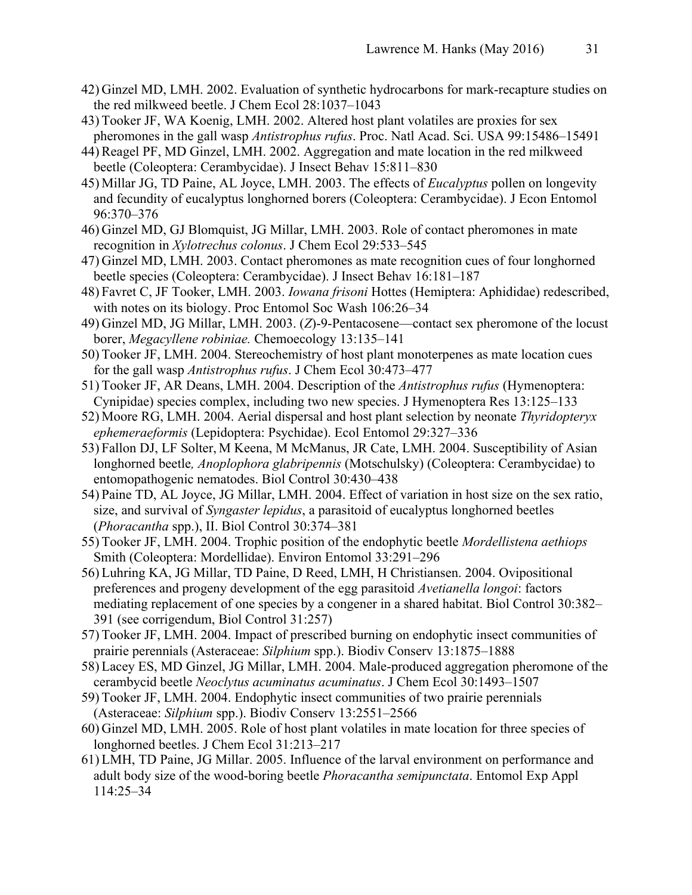- 42) Ginzel MD, LMH. 2002. Evaluation of synthetic hydrocarbons for mark-recapture studies on the red milkweed beetle. J Chem Ecol 28:1037–1043
- 43) Tooker JF, WA Koenig, LMH. 2002. Altered host plant volatiles are proxies for sex pheromones in the gall wasp *Antistrophus rufus*. Proc. Natl Acad. Sci. USA 99:15486–15491
- 44) Reagel PF, MD Ginzel, LMH. 2002. Aggregation and mate location in the red milkweed beetle (Coleoptera: Cerambycidae). J Insect Behav 15:811–830
- 45) Millar JG, TD Paine, AL Joyce, LMH. 2003. The effects of *Eucalyptus* pollen on longevity and fecundity of eucalyptus longhorned borers (Coleoptera: Cerambycidae). J Econ Entomol 96:370–376
- 46) Ginzel MD, GJ Blomquist, JG Millar, LMH. 2003. Role of contact pheromones in mate recognition in *Xylotrechus colonus*. J Chem Ecol 29:533–545
- 47) Ginzel MD, LMH. 2003. Contact pheromones as mate recognition cues of four longhorned beetle species (Coleoptera: Cerambycidae). J Insect Behav 16:181–187
- 48) Favret C, JF Tooker, LMH. 2003. *Iowana frisoni* Hottes (Hemiptera: Aphididae) redescribed, with notes on its biology. Proc Entomol Soc Wash 106:26–34
- 49) Ginzel MD, JG Millar, LMH. 2003. (*Z*)-9-Pentacosene—contact sex pheromone of the locust borer, *Megacyllene robiniae.* Chemoecology 13:135–141
- 50) Tooker JF, LMH. 2004. Stereochemistry of host plant monoterpenes as mate location cues for the gall wasp *Antistrophus rufus*. J Chem Ecol 30:473–477
- 51) Tooker JF, AR Deans, LMH. 2004. Description of the *Antistrophus rufus* (Hymenoptera: Cynipidae) species complex, including two new species. J Hymenoptera Res 13:125–133
- 52) Moore RG, LMH. 2004. Aerial dispersal and host plant selection by neonate *Thyridopteryx ephemeraeformis* (Lepidoptera: Psychidae). Ecol Entomol 29:327–336
- 53) Fallon DJ, LF Solter, M Keena, M McManus, JR Cate, LMH. 2004. Susceptibility of Asian longhorned beetle*, Anoplophora glabripennis* (Motschulsky) (Coleoptera: Cerambycidae) to entomopathogenic nematodes. Biol Control 30:430–438
- 54) Paine TD, AL Joyce, JG Millar, LMH. 2004. Effect of variation in host size on the sex ratio, size, and survival of *Syngaster lepidus*, a parasitoid of eucalyptus longhorned beetles (*Phoracantha* spp.), II. Biol Control 30:374–381
- 55) Tooker JF, LMH. 2004. Trophic position of the endophytic beetle *Mordellistena aethiops* Smith (Coleoptera: Mordellidae). Environ Entomol 33:291–296
- 56) Luhring KA, JG Millar, TD Paine, D Reed, LMH, H Christiansen. 2004. Ovipositional preferences and progeny development of the egg parasitoid *Avetianella longoi*: factors mediating replacement of one species by a congener in a shared habitat. Biol Control 30:382– 391 (see corrigendum, Biol Control 31:257)
- 57) Tooker JF, LMH. 2004. Impact of prescribed burning on endophytic insect communities of prairie perennials (Asteraceae: *Silphium* spp.). Biodiv Conserv 13:1875–1888
- 58) Lacey ES, MD Ginzel, JG Millar, LMH. 2004. Male-produced aggregation pheromone of the cerambycid beetle *Neoclytus acuminatus acuminatus*. J Chem Ecol 30:1493–1507
- 59) Tooker JF, LMH. 2004. Endophytic insect communities of two prairie perennials (Asteraceae: *Silphium* spp.). Biodiv Conserv 13:2551–2566
- 60) Ginzel MD, LMH. 2005. Role of host plant volatiles in mate location for three species of longhorned beetles. J Chem Ecol 31:213–217
- 61) LMH, TD Paine, JG Millar. 2005. Influence of the larval environment on performance and adult body size of the wood-boring beetle *Phoracantha semipunctata*. Entomol Exp Appl 114:25–34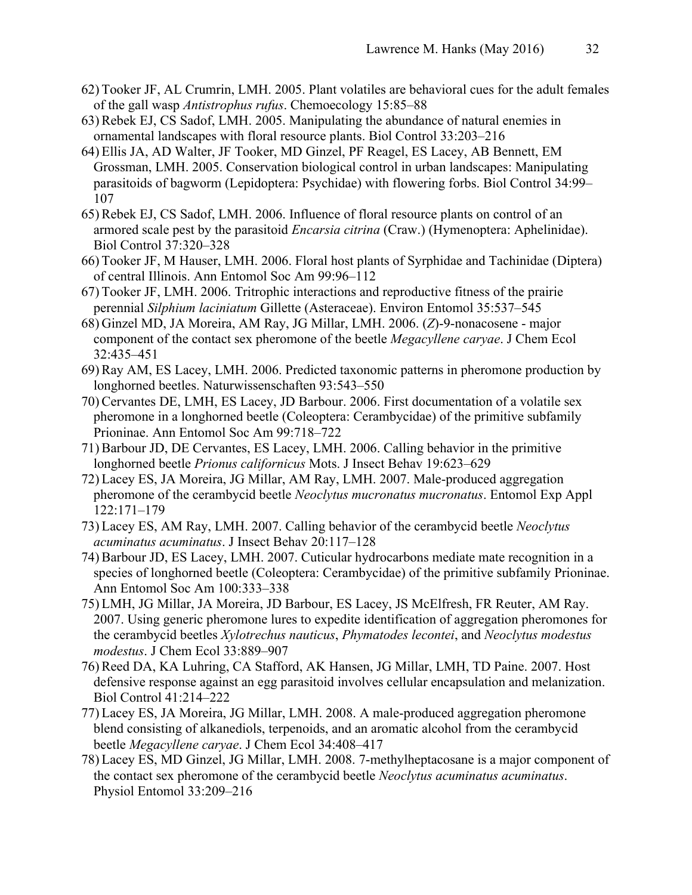- 62) Tooker JF, AL Crumrin, LMH. 2005. Plant volatiles are behavioral cues for the adult females of the gall wasp *Antistrophus rufus*. Chemoecology 15:85–88
- 63) Rebek EJ, CS Sadof, LMH. 2005. Manipulating the abundance of natural enemies in ornamental landscapes with floral resource plants. Biol Control 33:203–216
- 64) Ellis JA, AD Walter, JF Tooker, MD Ginzel, PF Reagel, ES Lacey, AB Bennett, EM Grossman, LMH. 2005. Conservation biological control in urban landscapes: Manipulating parasitoids of bagworm (Lepidoptera: Psychidae) with flowering forbs. Biol Control 34:99– 107
- 65) Rebek EJ, CS Sadof, LMH. 2006. Influence of floral resource plants on control of an armored scale pest by the parasitoid *Encarsia citrina* (Craw.) (Hymenoptera: Aphelinidae). Biol Control 37:320–328
- 66) Tooker JF, M Hauser, LMH. 2006. Floral host plants of Syrphidae and Tachinidae (Diptera) of central Illinois. Ann Entomol Soc Am 99:96–112
- 67) Tooker JF, LMH. 2006. Tritrophic interactions and reproductive fitness of the prairie perennial *Silphium laciniatum* Gillette (Asteraceae). Environ Entomol 35:537–545
- 68) Ginzel MD, JA Moreira, AM Ray, JG Millar, LMH. 2006. (*Z*)-9-nonacosene major component of the contact sex pheromone of the beetle *Megacyllene caryae*. J Chem Ecol 32:435–451
- 69) Ray AM, ES Lacey, LMH. 2006. Predicted taxonomic patterns in pheromone production by longhorned beetles. Naturwissenschaften 93:543–550
- 70) Cervantes DE, LMH, ES Lacey, JD Barbour. 2006. First documentation of a volatile sex pheromone in a longhorned beetle (Coleoptera: Cerambycidae) of the primitive subfamily Prioninae. Ann Entomol Soc Am 99:718–722
- 71) Barbour JD, DE Cervantes, ES Lacey, LMH. 2006. Calling behavior in the primitive longhorned beetle *Prionus californicus* Mots. J Insect Behav 19:623–629
- 72) Lacey ES, JA Moreira, JG Millar, AM Ray, LMH. 2007. Male-produced aggregation pheromone of the cerambycid beetle *Neoclytus mucronatus mucronatus*. Entomol Exp Appl 122:171–179
- 73) Lacey ES, AM Ray, LMH. 2007. Calling behavior of the cerambycid beetle *Neoclytus acuminatus acuminatus*. J Insect Behav 20:117–128
- 74) Barbour JD, ES Lacey, LMH. 2007. Cuticular hydrocarbons mediate mate recognition in a species of longhorned beetle (Coleoptera: Cerambycidae) of the primitive subfamily Prioninae. Ann Entomol Soc Am 100:333–338
- 75) LMH, JG Millar, JA Moreira, JD Barbour, ES Lacey, JS McElfresh, FR Reuter, AM Ray. 2007. Using generic pheromone lures to expedite identification of aggregation pheromones for the cerambycid beetles *Xylotrechus nauticus*, *Phymatodes lecontei*, and *Neoclytus modestus modestus*. J Chem Ecol 33:889–907
- 76) Reed DA, KA Luhring, CA Stafford, AK Hansen, JG Millar, LMH, TD Paine. 2007. Host defensive response against an egg parasitoid involves cellular encapsulation and melanization. Biol Control 41:214–222
- 77) Lacey ES, JA Moreira, JG Millar, LMH. 2008. A male-produced aggregation pheromone blend consisting of alkanediols, terpenoids, and an aromatic alcohol from the cerambycid beetle *Megacyllene caryae*. J Chem Ecol 34:408–417
- 78) Lacey ES, MD Ginzel, JG Millar, LMH. 2008. 7-methylheptacosane is a major component of the contact sex pheromone of the cerambycid beetle *Neoclytus acuminatus acuminatus*. Physiol Entomol 33:209–216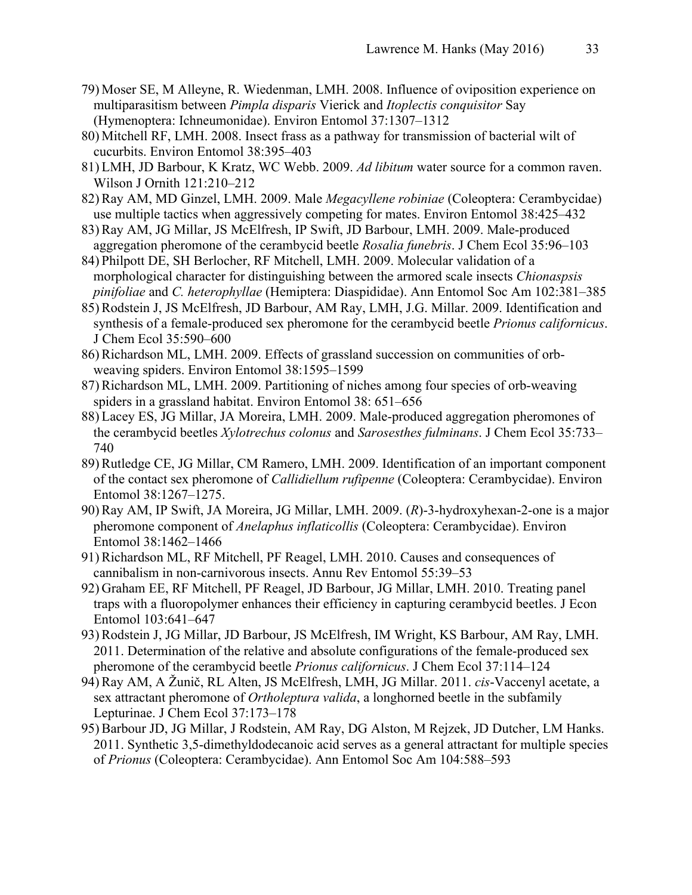- 79) Moser SE, M Alleyne, R. Wiedenman, LMH. 2008. Influence of oviposition experience on multiparasitism between *Pimpla disparis* Vierick and *Itoplectis conquisitor* Say (Hymenoptera: Ichneumonidae). Environ Entomol 37:1307–1312
- 80) Mitchell RF, LMH. 2008. Insect frass as a pathway for transmission of bacterial wilt of cucurbits. Environ Entomol 38:395–403
- 81) LMH, JD Barbour, K Kratz, WC Webb. 2009. *Ad libitum* water source for a common raven. Wilson J Ornith 121:210–212
- 82) Ray AM, MD Ginzel, LMH. 2009. Male *Megacyllene robiniae* (Coleoptera: Cerambycidae) use multiple tactics when aggressively competing for mates. Environ Entomol 38:425–432
- 83) Ray AM, JG Millar, JS McElfresh, IP Swift, JD Barbour, LMH. 2009. Male-produced aggregation pheromone of the cerambycid beetle *Rosalia funebris*. J Chem Ecol 35:96–103
- 84) Philpott DE, SH Berlocher, RF Mitchell, LMH. 2009. Molecular validation of a morphological character for distinguishing between the armored scale insects *Chionaspsis pinifoliae* and *C. heterophyllae* (Hemiptera: Diaspididae). Ann Entomol Soc Am 102:381–385
- 85) Rodstein J, JS McElfresh, JD Barbour, AM Ray, LMH, J.G. Millar. 2009. Identification and synthesis of a female-produced sex pheromone for the cerambycid beetle *Prionus californicus*. J Chem Ecol 35:590–600
- 86) Richardson ML, LMH. 2009. Effects of grassland succession on communities of orbweaving spiders. Environ Entomol 38:1595–1599
- 87) Richardson ML, LMH. 2009. Partitioning of niches among four species of orb-weaving spiders in a grassland habitat. Environ Entomol 38: 651–656
- 88) Lacey ES, JG Millar, JA Moreira, LMH. 2009. Male-produced aggregation pheromones of the cerambycid beetles *Xylotrechus colonus* and *Sarosesthes fulminans*. J Chem Ecol 35:733– 740
- 89) Rutledge CE, JG Millar, CM Ramero, LMH. 2009. Identification of an important component of the contact sex pheromone of *Callidiellum rufipenne* (Coleoptera: Cerambycidae). Environ Entomol 38:1267–1275.
- 90) Ray AM, IP Swift, JA Moreira, JG Millar, LMH. 2009. (*R*)-3-hydroxyhexan-2-one is a major pheromone component of *Anelaphus inflaticollis* (Coleoptera: Cerambycidae). Environ Entomol 38:1462–1466
- 91) Richardson ML, RF Mitchell, PF Reagel, LMH. 2010. Causes and consequences of cannibalism in non-carnivorous insects. Annu Rev Entomol 55:39–53
- 92) Graham EE, RF Mitchell, PF Reagel, JD Barbour, JG Millar, LMH. 2010. Treating panel traps with a fluoropolymer enhances their efficiency in capturing cerambycid beetles. J Econ Entomol 103:641–647
- 93) Rodstein J, JG Millar, JD Barbour, JS McElfresh, IM Wright, KS Barbour, AM Ray, LMH. 2011. Determination of the relative and absolute configurations of the female-produced sex pheromone of the cerambycid beetle *Prionus californicus*. J Chem Ecol 37:114–124
- 94) Ray AM, A Žunič, RL Alten, JS McElfresh, LMH, JG Millar. 2011. *cis*-Vaccenyl acetate, a sex attractant pheromone of *Ortholeptura valida*, a longhorned beetle in the subfamily Lepturinae. J Chem Ecol 37:173–178
- 95) Barbour JD, JG Millar, J Rodstein, AM Ray, DG Alston, M Rejzek, JD Dutcher, LM Hanks. 2011. Synthetic 3,5-dimethyldodecanoic acid serves as a general attractant for multiple species of *Prionus* (Coleoptera: Cerambycidae). Ann Entomol Soc Am 104:588–593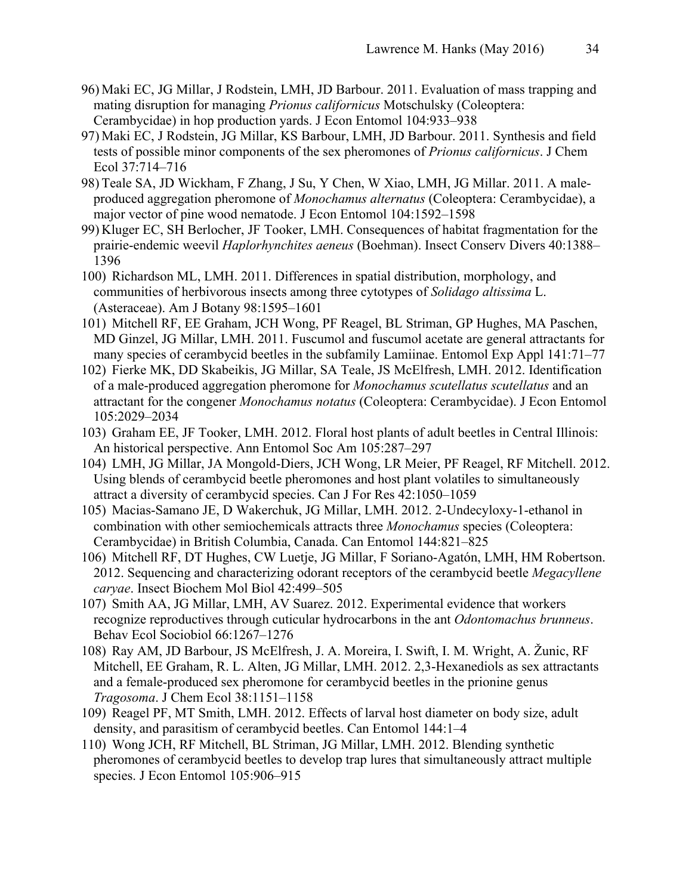- 96) Maki EC, JG Millar, J Rodstein, LMH, JD Barbour. 2011. Evaluation of mass trapping and mating disruption for managing *Prionus californicus* Motschulsky (Coleoptera: Cerambycidae) in hop production yards. J Econ Entomol 104:933–938
- 97) Maki EC, J Rodstein, JG Millar, KS Barbour, LMH, JD Barbour. 2011. Synthesis and field tests of possible minor components of the sex pheromones of *Prionus californicus*. J Chem Ecol 37:714–716
- 98) Teale SA, JD Wickham, F Zhang, J Su, Y Chen, W Xiao, LMH, JG Millar. 2011. A maleproduced aggregation pheromone of *Monochamus alternatus* (Coleoptera: Cerambycidae), a major vector of pine wood nematode. J Econ Entomol 104:1592–1598
- 99) Kluger EC, SH Berlocher, JF Tooker, LMH. Consequences of habitat fragmentation for the prairie-endemic weevil *Haplorhynchites aeneus* (Boehman). Insect Conserv Divers 40:1388– 1396
- 100) Richardson ML, LMH. 2011. Differences in spatial distribution, morphology, and communities of herbivorous insects among three cytotypes of *Solidago altissima* L. (Asteraceae). Am J Botany 98:1595–1601
- 101) Mitchell RF, EE Graham, JCH Wong, PF Reagel, BL Striman, GP Hughes, MA Paschen, MD Ginzel, JG Millar, LMH. 2011. Fuscumol and fuscumol acetate are general attractants for many species of cerambycid beetles in the subfamily Lamiinae. Entomol Exp Appl 141:71–77
- 102) Fierke MK, DD Skabeikis, JG Millar, SA Teale, JS McElfresh, LMH. 2012. Identification of a male-produced aggregation pheromone for *Monochamus scutellatus scutellatus* and an attractant for the congener *Monochamus notatus* (Coleoptera: Cerambycidae). J Econ Entomol 105:2029–2034
- 103) Graham EE, JF Tooker, LMH. 2012. Floral host plants of adult beetles in Central Illinois: An historical perspective. Ann Entomol Soc Am 105:287–297
- 104) LMH, JG Millar, JA Mongold-Diers, JCH Wong, LR Meier, PF Reagel, RF Mitchell. 2012. Using blends of cerambycid beetle pheromones and host plant volatiles to simultaneously attract a diversity of cerambycid species. Can J For Res 42:1050–1059
- 105) Macias-Samano JE, D Wakerchuk, JG Millar, LMH. 2012. 2-Undecyloxy-1-ethanol in combination with other semiochemicals attracts three *Monochamus* species (Coleoptera: Cerambycidae) in British Columbia, Canada. Can Entomol 144:821–825
- 106) Mitchell RF, DT Hughes, CW Luetje, JG Millar, F Soriano-Agatón, LMH, HM Robertson. 2012. Sequencing and characterizing odorant receptors of the cerambycid beetle *Megacyllene caryae*. Insect Biochem Mol Biol 42:499–505
- 107) Smith AA, JG Millar, LMH, AV Suarez. 2012. Experimental evidence that workers recognize reproductives through cuticular hydrocarbons in the ant *Odontomachus brunneus*. Behav Ecol Sociobiol 66:1267–1276
- 108) Ray AM, JD Barbour, JS McElfresh, J. A. Moreira, I. Swift, I. M. Wright, A. Žunic, RF Mitchell, EE Graham, R. L. Alten, JG Millar, LMH. 2012. 2,3-Hexanediols as sex attractants and a female-produced sex pheromone for cerambycid beetles in the prionine genus *Tragosoma*. J Chem Ecol 38:1151–1158
- 109) Reagel PF, MT Smith, LMH. 2012. Effects of larval host diameter on body size, adult density, and parasitism of cerambycid beetles. Can Entomol 144:1–4
- 110) Wong JCH, RF Mitchell, BL Striman, JG Millar, LMH. 2012. Blending synthetic pheromones of cerambycid beetles to develop trap lures that simultaneously attract multiple species. J Econ Entomol 105:906–915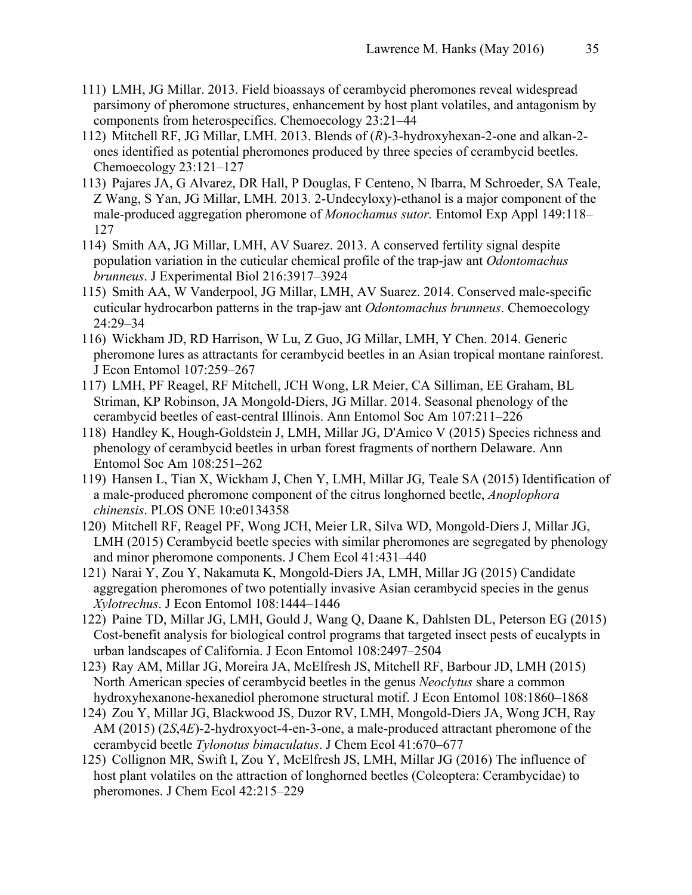- 111) LMH, JG Millar. 2013. Field bioassays of cerambycid pheromones reveal widespread parsimony of pheromone structures, enhancement by host plant volatiles, and antagonism by components from heterospecifics. Chemoecology 23:21–44
- 112) Mitchell RF, JG Millar, LMH. 2013. Blends of (*R*)-3-hydroxyhexan-2-one and alkan-2 ones identified as potential pheromones produced by three species of cerambycid beetles. Chemoecology 23:121–127
- 113) Pajares JA, G Alvarez, DR Hall, P Douglas, F Centeno, N Ibarra, M Schroeder, SA Teale, Z Wang, S Yan, JG Millar, LMH. 2013. 2-Undecyloxy)-ethanol is a major component of the male-produced aggregation pheromone of *Monochamus sutor.* Entomol Exp Appl 149:118– 127
- 114) Smith AA, JG Millar, LMH, AV Suarez. 2013. A conserved fertility signal despite population variation in the cuticular chemical profile of the trap-jaw ant *Odontomachus brunneus*. J Experimental Biol 216:3917–3924
- 115) Smith AA, W Vanderpool, JG Millar, LMH, AV Suarez. 2014. Conserved male-specific cuticular hydrocarbon patterns in the trap-jaw ant *Odontomachus brunneus*. Chemoecology 24:29–34
- 116) Wickham JD, RD Harrison, W Lu, Z Guo, JG Millar, LMH, Y Chen. 2014. Generic pheromone lures as attractants for cerambycid beetles in an Asian tropical montane rainforest. J Econ Entomol 107:259–267
- 117) LMH, PF Reagel, RF Mitchell, JCH Wong, LR Meier, CA Silliman, EE Graham, BL Striman, KP Robinson, JA Mongold-Diers, JG Millar. 2014. Seasonal phenology of the cerambycid beetles of east-central Illinois. Ann Entomol Soc Am 107:211–226
- 118) Handley K, Hough-Goldstein J, LMH, Millar JG, D'Amico V (2015) Species richness and phenology of cerambycid beetles in urban forest fragments of northern Delaware. Ann Entomol Soc Am 108:251–262
- 119) Hansen L, Tian X, Wickham J, Chen Y, LMH, Millar JG, Teale SA (2015) Identification of a male-produced pheromone component of the citrus longhorned beetle, *Anoplophora chinensis*. PLOS ONE 10:e0134358
- 120) Mitchell RF, Reagel PF, Wong JCH, Meier LR, Silva WD, Mongold-Diers J, Millar JG, LMH (2015) Cerambycid beetle species with similar pheromones are segregated by phenology and minor pheromone components. J Chem Ecol 41:431–440
- 121) Narai Y, Zou Y, Nakamuta K, Mongold-Diers JA, LMH, Millar JG (2015) Candidate aggregation pheromones of two potentially invasive Asian cerambycid species in the genus *Xylotrechus*. J Econ Entomol 108:1444–1446
- 122) Paine TD, Millar JG, LMH, Gould J, Wang Q, Daane K, Dahlsten DL, Peterson EG (2015) Cost-benefit analysis for biological control programs that targeted insect pests of eucalypts in urban landscapes of California. J Econ Entomol 108:2497–2504
- 123) Ray AM, Millar JG, Moreira JA, McElfresh JS, Mitchell RF, Barbour JD, LMH (2015) North American species of cerambycid beetles in the genus *Neoclytus* share a common hydroxyhexanone-hexanediol pheromone structural motif. J Econ Entomol 108:1860–1868
- 124) Zou Y, Millar JG, Blackwood JS, Duzor RV, LMH, Mongold-Diers JA, Wong JCH, Ray AM (2015) (2*S*,4*E*)-2-hydroxyoct-4-en-3-one, a male-produced attractant pheromone of the cerambycid beetle *Tylonotus bimaculatus*. J Chem Ecol 41:670–677
- 125) Collignon MR, Swift I, Zou Y, McElfresh JS, LMH, Millar JG (2016) The influence of host plant volatiles on the attraction of longhorned beetles (Coleoptera: Cerambycidae) to pheromones. J Chem Ecol 42:215–229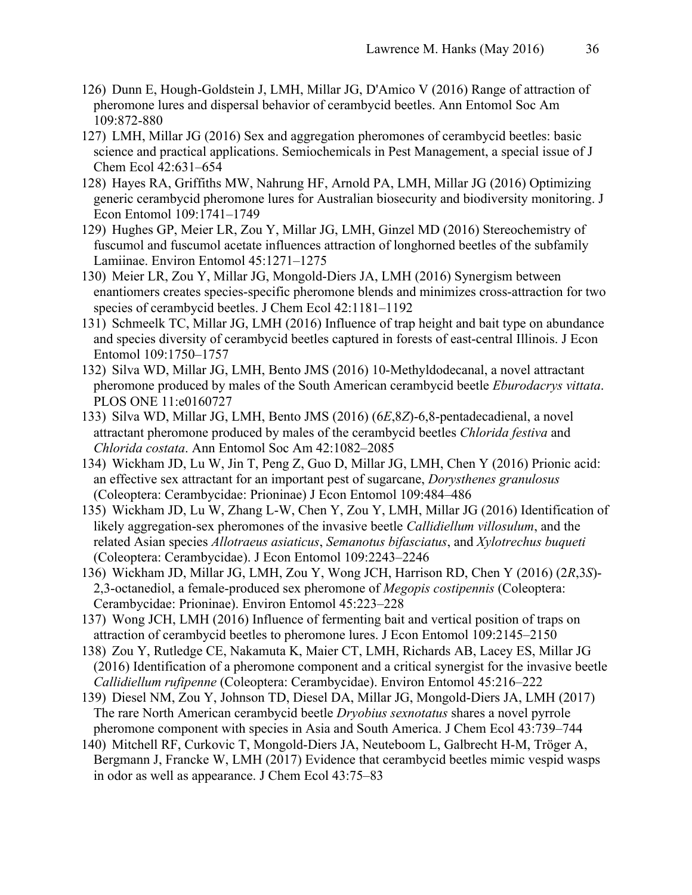- 126) Dunn E, Hough-Goldstein J, LMH, Millar JG, D'Amico V (2016) Range of attraction of pheromone lures and dispersal behavior of cerambycid beetles. Ann Entomol Soc Am 109:872-880
- 127) LMH, Millar JG (2016) Sex and aggregation pheromones of cerambycid beetles: basic science and practical applications. Semiochemicals in Pest Management, a special issue of J Chem Ecol 42:631–654
- 128) Hayes RA, Griffiths MW, Nahrung HF, Arnold PA, LMH, Millar JG (2016) Optimizing generic cerambycid pheromone lures for Australian biosecurity and biodiversity monitoring. J Econ Entomol 109:1741–1749
- 129) Hughes GP, Meier LR, Zou Y, Millar JG, LMH, Ginzel MD (2016) Stereochemistry of fuscumol and fuscumol acetate influences attraction of longhorned beetles of the subfamily Lamiinae. Environ Entomol 45:1271–1275
- 130) Meier LR, Zou Y, Millar JG, Mongold-Diers JA, LMH (2016) Synergism between enantiomers creates species-specific pheromone blends and minimizes cross-attraction for two species of cerambycid beetles. J Chem Ecol 42:1181–1192
- 131) Schmeelk TC, Millar JG, LMH (2016) Influence of trap height and bait type on abundance and species diversity of cerambycid beetles captured in forests of east-central Illinois. J Econ Entomol 109:1750–1757
- 132) Silva WD, Millar JG, LMH, Bento JMS (2016) 10-Methyldodecanal, a novel attractant pheromone produced by males of the South American cerambycid beetle *Eburodacrys vittata*. PLOS ONE 11:e0160727
- 133) Silva WD, Millar JG, LMH, Bento JMS (2016) (6*E*,8*Z*)-6,8-pentadecadienal, a novel attractant pheromone produced by males of the cerambycid beetles *Chlorida festiva* and *Chlorida costata*. Ann Entomol Soc Am 42:1082–2085
- 134) Wickham JD, Lu W, Jin T, Peng Z, Guo D, Millar JG, LMH, Chen Y (2016) Prionic acid: an effective sex attractant for an important pest of sugarcane, *Dorysthenes granulosus* (Coleoptera: Cerambycidae: Prioninae) J Econ Entomol 109:484–486
- 135) Wickham JD, Lu W, Zhang L-W, Chen Y, Zou Y, LMH, Millar JG (2016) Identification of likely aggregation-sex pheromones of the invasive beetle *Callidiellum villosulum*, and the related Asian species *Allotraeus asiaticus*, *Semanotus bifasciatus*, and *Xylotrechus buqueti* (Coleoptera: Cerambycidae). J Econ Entomol 109:2243–2246
- 136) Wickham JD, Millar JG, LMH, Zou Y, Wong JCH, Harrison RD, Chen Y (2016) (2*R*,3*S*)- 2,3-octanediol, a female-produced sex pheromone of *Megopis costipennis* (Coleoptera: Cerambycidae: Prioninae). Environ Entomol 45:223–228
- 137) Wong JCH, LMH (2016) Influence of fermenting bait and vertical position of traps on attraction of cerambycid beetles to pheromone lures. J Econ Entomol 109:2145–2150
- 138) Zou Y, Rutledge CE, Nakamuta K, Maier CT, LMH, Richards AB, Lacey ES, Millar JG (2016) Identification of a pheromone component and a critical synergist for the invasive beetle *Callidiellum rufipenne* (Coleoptera: Cerambycidae). Environ Entomol 45:216–222
- 139) Diesel NM, Zou Y, Johnson TD, Diesel DA, Millar JG, Mongold-Diers JA, LMH (2017) The rare North American cerambycid beetle *Dryobius sexnotatus* shares a novel pyrrole pheromone component with species in Asia and South America. J Chem Ecol 43:739–744
- 140) Mitchell RF, Curkovic T, Mongold-Diers JA, Neuteboom L, Galbrecht H-M, Tröger A, Bergmann J, Francke W, LMH (2017) Evidence that cerambycid beetles mimic vespid wasps in odor as well as appearance. J Chem Ecol 43:75–83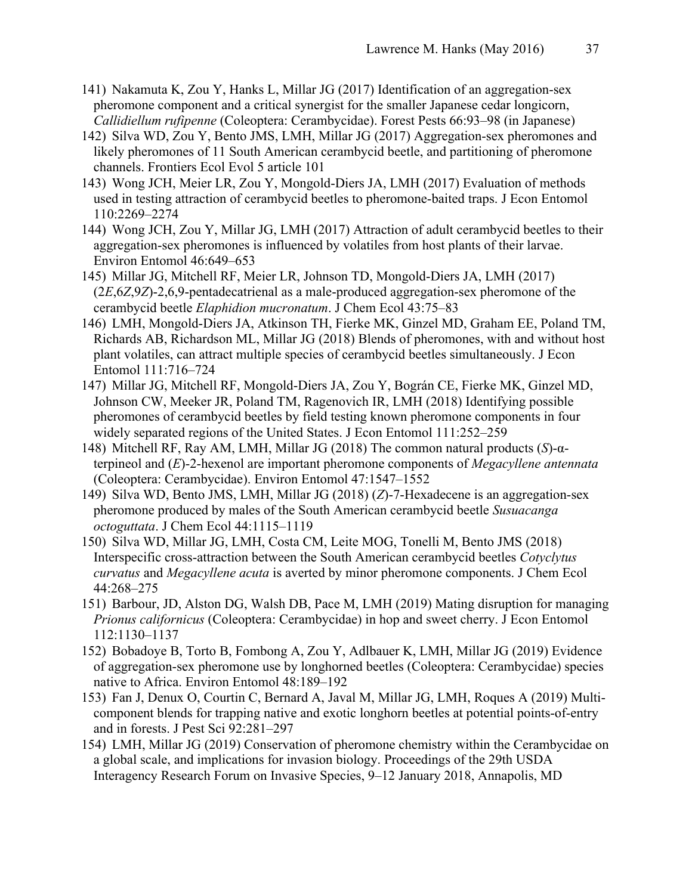- 141) Nakamuta K, Zou Y, Hanks L, Millar JG (2017) Identification of an aggregation-sex pheromone component and a critical synergist for the smaller Japanese cedar longicorn, *Callidiellum rufipenne* (Coleoptera: Cerambycidae). Forest Pests 66:93–98 (in Japanese)
- 142) Silva WD, Zou Y, Bento JMS, LMH, Millar JG (2017) Aggregation-sex pheromones and likely pheromones of 11 South American cerambycid beetle, and partitioning of pheromone channels. Frontiers Ecol Evol 5 article 101
- 143) Wong JCH, Meier LR, Zou Y, Mongold-Diers JA, LMH (2017) Evaluation of methods used in testing attraction of cerambycid beetles to pheromone-baited traps. J Econ Entomol 110:2269–2274
- 144) Wong JCH, Zou Y, Millar JG, LMH (2017) Attraction of adult cerambycid beetles to their aggregation-sex pheromones is influenced by volatiles from host plants of their larvae. Environ Entomol 46:649–653
- 145) Millar JG, Mitchell RF, Meier LR, Johnson TD, Mongold-Diers JA, LMH (2017) (2*E*,6*Z*,9*Z*)-2,6,9-pentadecatrienal as a male-produced aggregation-sex pheromone of the cerambycid beetle *Elaphidion mucronatum*. J Chem Ecol 43:75–83
- 146) LMH, Mongold-Diers JA, Atkinson TH, Fierke MK, Ginzel MD, Graham EE, Poland TM, Richards AB, Richardson ML, Millar JG (2018) Blends of pheromones, with and without host plant volatiles, can attract multiple species of cerambycid beetles simultaneously. J Econ Entomol 111:716–724
- 147) Millar JG, Mitchell RF, Mongold-Diers JA, Zou Y, Bográn CE, Fierke MK, Ginzel MD, Johnson CW, Meeker JR, Poland TM, Ragenovich IR, LMH (2018) Identifying possible pheromones of cerambycid beetles by field testing known pheromone components in four widely separated regions of the United States. J Econ Entomol 111:252–259
- 148) Mitchell RF, Ray AM, LMH, Millar JG (2018) The common natural products (*S*)-αterpineol and (*E*)-2-hexenol are important pheromone components of *Megacyllene antennata* (Coleoptera: Cerambycidae). Environ Entomol 47:1547–1552
- 149) Silva WD, Bento JMS, LMH, Millar JG (2018) (*Z*)-7-Hexadecene is an aggregation-sex pheromone produced by males of the South American cerambycid beetle *Susuacanga octoguttata*. J Chem Ecol 44:1115–1119
- 150) Silva WD, Millar JG, LMH, Costa CM, Leite MOG, Tonelli M, Bento JMS (2018) Interspecific cross-attraction between the South American cerambycid beetles *Cotyclytus curvatus* and *Megacyllene acuta* is averted by minor pheromone components. J Chem Ecol 44:268–275
- 151) Barbour, JD, Alston DG, Walsh DB, Pace M, LMH (2019) Mating disruption for managing *Prionus californicus* (Coleoptera: Cerambycidae) in hop and sweet cherry. J Econ Entomol 112:1130–1137
- 152) Bobadoye B, Torto B, Fombong A, Zou Y, Adlbauer K, LMH, Millar JG (2019) Evidence of aggregation-sex pheromone use by longhorned beetles (Coleoptera: Cerambycidae) species native to Africa. Environ Entomol 48:189–192
- 153) Fan J, Denux O, Courtin C, Bernard A, Javal M, Millar JG, LMH, Roques A (2019) Multicomponent blends for trapping native and exotic longhorn beetles at potential points-of-entry and in forests. J Pest Sci 92:281–297
- 154) LMH, Millar JG (2019) Conservation of pheromone chemistry within the Cerambycidae on a global scale, and implications for invasion biology. Proceedings of the 29th USDA Interagency Research Forum on Invasive Species, 9–12 January 2018, Annapolis, MD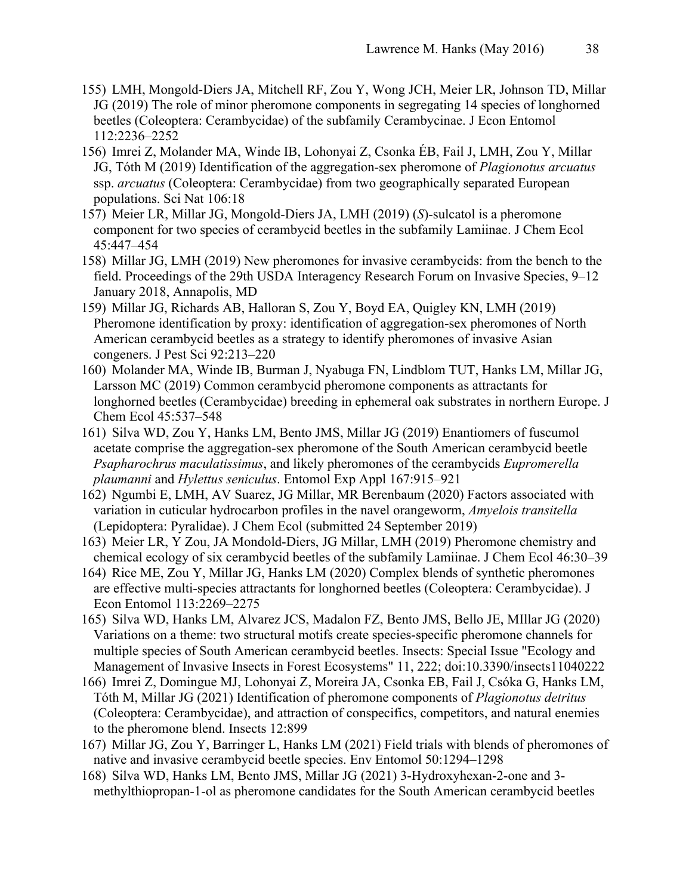- 155) LMH, Mongold-Diers JA, Mitchell RF, Zou Y, Wong JCH, Meier LR, Johnson TD, Millar JG (2019) The role of minor pheromone components in segregating 14 species of longhorned beetles (Coleoptera: Cerambycidae) of the subfamily Cerambycinae. J Econ Entomol 112:2236–2252
- 156) Imrei Z, Molander MA, Winde IB, Lohonyai Z, Csonka ÉB, Fail J, LMH, Zou Y, Millar JG, Tóth M (2019) Identification of the aggregation-sex pheromone of *Plagionotus arcuatus* ssp. *arcuatus* (Coleoptera: Cerambycidae) from two geographically separated European populations. Sci Nat 106:18
- 157) Meier LR, Millar JG, Mongold-Diers JA, LMH (2019) (*S*)-sulcatol is a pheromone component for two species of cerambycid beetles in the subfamily Lamiinae. J Chem Ecol 45:447–454
- 158) Millar JG, LMH (2019) New pheromones for invasive cerambycids: from the bench to the field. Proceedings of the 29th USDA Interagency Research Forum on Invasive Species, 9–12 January 2018, Annapolis, MD
- 159) Millar JG, Richards AB, Halloran S, Zou Y, Boyd EA, Quigley KN, LMH (2019) Pheromone identification by proxy: identification of aggregation-sex pheromones of North American cerambycid beetles as a strategy to identify pheromones of invasive Asian congeners. J Pest Sci 92:213–220
- 160) Molander MA, Winde IB, Burman J, Nyabuga FN, Lindblom TUT, Hanks LM, Millar JG, Larsson MC (2019) Common cerambycid pheromone components as attractants for longhorned beetles (Cerambycidae) breeding in ephemeral oak substrates in northern Europe. J Chem Ecol 45:537–548
- 161) Silva WD, Zou Y, Hanks LM, Bento JMS, Millar JG (2019) Enantiomers of fuscumol acetate comprise the aggregation-sex pheromone of the South American cerambycid beetle *Psapharochrus maculatissimus*, and likely pheromones of the cerambycids *Eupromerella plaumanni* and *Hylettus seniculus*. Entomol Exp Appl 167:915–921
- 162) Ngumbi E, LMH, AV Suarez, JG Millar, MR Berenbaum (2020) Factors associated with variation in cuticular hydrocarbon profiles in the navel orangeworm, *Amyelois transitella* (Lepidoptera: Pyralidae). J Chem Ecol (submitted 24 September 2019)
- 163) Meier LR, Y Zou, JA Mondold-Diers, JG Millar, LMH (2019) Pheromone chemistry and chemical ecology of six cerambycid beetles of the subfamily Lamiinae. J Chem Ecol 46:30–39
- 164) Rice ME, Zou Y, Millar JG, Hanks LM (2020) Complex blends of synthetic pheromones are effective multi-species attractants for longhorned beetles (Coleoptera: Cerambycidae). J Econ Entomol 113:2269–2275
- 165) Silva WD, Hanks LM, Alvarez JCS, Madalon FZ, Bento JMS, Bello JE, MIllar JG (2020) Variations on a theme: two structural motifs create species-specific pheromone channels for multiple species of South American cerambycid beetles. Insects: Special Issue "Ecology and Management of Invasive Insects in Forest Ecosystems" 11, 222; doi:10.3390/insects11040222
- 166) Imrei Z, Domingue MJ, Lohonyai Z, Moreira JA, Csonka EB, Fail J, Csóka G, Hanks LM, Tóth M, Millar JG (2021) Identification of pheromone components of *Plagionotus detritus* (Coleoptera: Cerambycidae), and attraction of conspecifics, competitors, and natural enemies to the pheromone blend. Insects 12:899
- 167) Millar JG, Zou Y, Barringer L, Hanks LM (2021) Field trials with blends of pheromones of native and invasive cerambycid beetle species. Env Entomol 50:1294–1298
- 168) Silva WD, Hanks LM, Bento JMS, Millar JG (2021) 3-Hydroxyhexan-2-one and 3 methylthiopropan-1-ol as pheromone candidates for the South American cerambycid beetles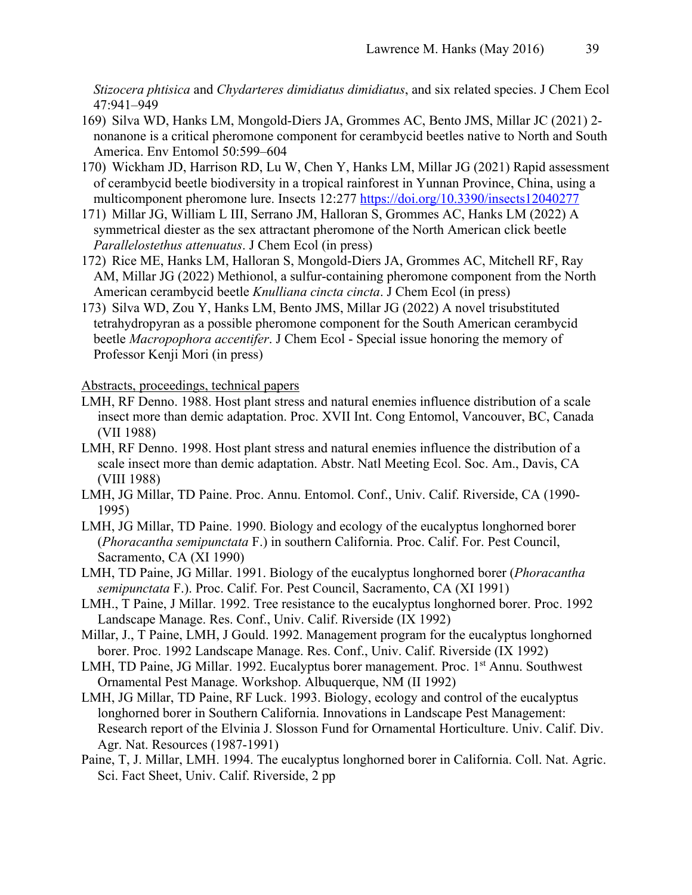*Stizocera phtisica* and *Chydarteres dimidiatus dimidiatus*, and six related species. J Chem Ecol 47:941–949

- 169) Silva WD, Hanks LM, Mongold-Diers JA, Grommes AC, Bento JMS, Millar JC (2021) 2 nonanone is a critical pheromone component for cerambycid beetles native to North and South America. Env Entomol 50:599–604
- 170) Wickham JD, Harrison RD, Lu W, Chen Y, Hanks LM, Millar JG (2021) Rapid assessment of cerambycid beetle biodiversity in a tropical rainforest in Yunnan Province, China, using a multicomponent pheromone lure. Insects 12:277 https://doi.org/10.3390/insects12040277
- 171) Millar JG, William L III, Serrano JM, Halloran S, Grommes AC, Hanks LM (2022) A symmetrical diester as the sex attractant pheromone of the North American click beetle *Parallelostethus attenuatus*. J Chem Ecol (in press)
- 172) Rice ME, Hanks LM, Halloran S, Mongold-Diers JA, Grommes AC, Mitchell RF, Ray AM, Millar JG (2022) Methionol, a sulfur-containing pheromone component from the North American cerambycid beetle *Knulliana cincta cincta*. J Chem Ecol (in press)
- 173) Silva WD, Zou Y, Hanks LM, Bento JMS, Millar JG (2022) A novel trisubstituted tetrahydropyran as a possible pheromone component for the South American cerambycid beetle *Macropophora accentifer*. J Chem Ecol - Special issue honoring the memory of Professor Kenji Mori (in press)

Abstracts, proceedings, technical papers

- LMH, RF Denno. 1988. Host plant stress and natural enemies influence distribution of a scale insect more than demic adaptation. Proc. XVII Int. Cong Entomol, Vancouver, BC, Canada (VII 1988)
- LMH, RF Denno. 1998. Host plant stress and natural enemies influence the distribution of a scale insect more than demic adaptation. Abstr. Natl Meeting Ecol. Soc. Am., Davis, CA (VIII 1988)
- LMH, JG Millar, TD Paine. Proc. Annu. Entomol. Conf., Univ. Calif. Riverside, CA (1990- 1995)
- LMH, JG Millar, TD Paine. 1990. Biology and ecology of the eucalyptus longhorned borer (*Phoracantha semipunctata* F.) in southern California. Proc. Calif. For. Pest Council, Sacramento, CA (XI 1990)
- LMH, TD Paine, JG Millar. 1991. Biology of the eucalyptus longhorned borer (*Phoracantha semipunctata* F.). Proc. Calif. For. Pest Council, Sacramento, CA (XI 1991)
- LMH., T Paine, J Millar. 1992. Tree resistance to the eucalyptus longhorned borer. Proc. 1992 Landscape Manage. Res. Conf., Univ. Calif. Riverside (IX 1992)
- Millar, J., T Paine, LMH, J Gould. 1992. Management program for the eucalyptus longhorned borer. Proc. 1992 Landscape Manage. Res. Conf., Univ. Calif. Riverside (IX 1992)
- LMH, TD Paine, JG Millar. 1992. Eucalyptus borer management. Proc. 1<sup>st</sup> Annu. Southwest Ornamental Pest Manage. Workshop. Albuquerque, NM (II 1992)
- LMH, JG Millar, TD Paine, RF Luck. 1993. Biology, ecology and control of the eucalyptus longhorned borer in Southern California. Innovations in Landscape Pest Management: Research report of the Elvinia J. Slosson Fund for Ornamental Horticulture. Univ. Calif. Div. Agr. Nat. Resources (1987-1991)
- Paine, T, J. Millar, LMH. 1994. The eucalyptus longhorned borer in California. Coll. Nat. Agric. Sci. Fact Sheet, Univ. Calif. Riverside, 2 pp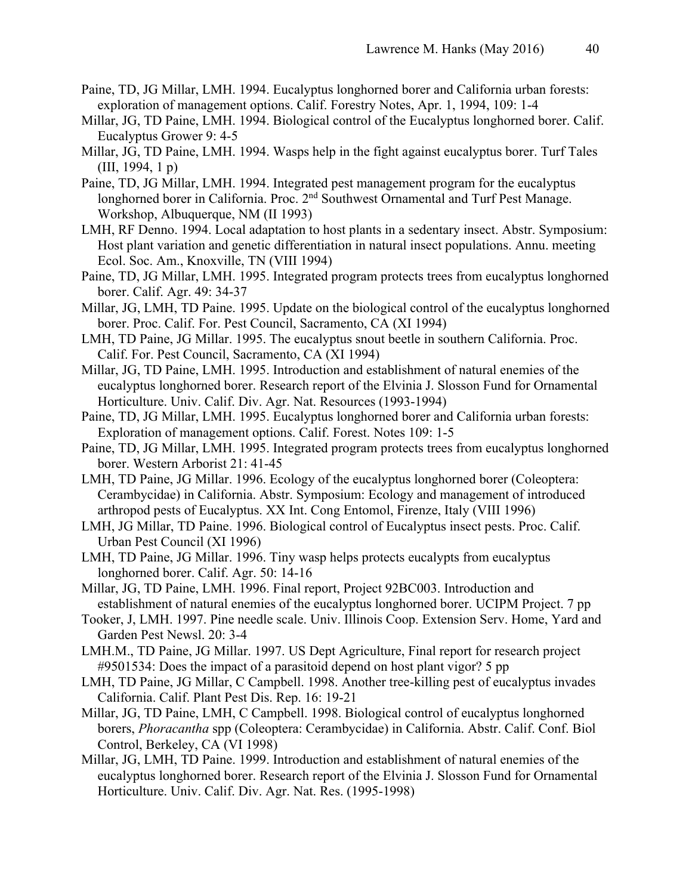- Paine, TD, JG Millar, LMH. 1994. Eucalyptus longhorned borer and California urban forests: exploration of management options. Calif. Forestry Notes, Apr. 1, 1994, 109: 1-4
- Millar, JG, TD Paine, LMH. 1994. Biological control of the Eucalyptus longhorned borer. Calif. Eucalyptus Grower 9: 4-5
- Millar, JG, TD Paine, LMH. 1994. Wasps help in the fight against eucalyptus borer. Turf Tales (III, 1994, 1 p)
- Paine, TD, JG Millar, LMH. 1994. Integrated pest management program for the eucalyptus longhorned borer in California. Proc. 2<sup>nd</sup> Southwest Ornamental and Turf Pest Manage. Workshop, Albuquerque, NM (II 1993)
- LMH, RF Denno. 1994. Local adaptation to host plants in a sedentary insect. Abstr. Symposium: Host plant variation and genetic differentiation in natural insect populations. Annu. meeting Ecol. Soc. Am., Knoxville, TN (VIII 1994)
- Paine, TD, JG Millar, LMH. 1995. Integrated program protects trees from eucalyptus longhorned borer. Calif. Agr. 49: 34-37
- Millar, JG, LMH, TD Paine. 1995. Update on the biological control of the eucalyptus longhorned borer. Proc. Calif. For. Pest Council, Sacramento, CA (XI 1994)
- LMH, TD Paine, JG Millar. 1995. The eucalyptus snout beetle in southern California. Proc. Calif. For. Pest Council, Sacramento, CA (XI 1994)
- Millar, JG, TD Paine, LMH. 1995. Introduction and establishment of natural enemies of the eucalyptus longhorned borer. Research report of the Elvinia J. Slosson Fund for Ornamental Horticulture. Univ. Calif. Div. Agr. Nat. Resources (1993-1994)
- Paine, TD, JG Millar, LMH. 1995. Eucalyptus longhorned borer and California urban forests: Exploration of management options. Calif. Forest. Notes 109: 1-5
- Paine, TD, JG Millar, LMH. 1995. Integrated program protects trees from eucalyptus longhorned borer. Western Arborist 21: 41-45
- LMH, TD Paine, JG Millar. 1996. Ecology of the eucalyptus longhorned borer (Coleoptera: Cerambycidae) in California. Abstr. Symposium: Ecology and management of introduced arthropod pests of Eucalyptus. XX Int. Cong Entomol, Firenze, Italy (VIII 1996)
- LMH, JG Millar, TD Paine. 1996. Biological control of Eucalyptus insect pests. Proc. Calif. Urban Pest Council (XI 1996)
- LMH, TD Paine, JG Millar. 1996. Tiny wasp helps protects eucalypts from eucalyptus longhorned borer. Calif. Agr. 50: 14-16
- Millar, JG, TD Paine, LMH. 1996. Final report, Project 92BC003. Introduction and establishment of natural enemies of the eucalyptus longhorned borer. UCIPM Project. 7 pp
- Tooker, J, LMH. 1997. Pine needle scale. Univ. Illinois Coop. Extension Serv. Home, Yard and Garden Pest Newsl. 20: 3-4
- LMH.M., TD Paine, JG Millar. 1997. US Dept Agriculture, Final report for research project #9501534: Does the impact of a parasitoid depend on host plant vigor? 5 pp
- LMH, TD Paine, JG Millar, C Campbell. 1998. Another tree-killing pest of eucalyptus invades California. Calif. Plant Pest Dis. Rep. 16: 19-21
- Millar, JG, TD Paine, LMH, C Campbell. 1998. Biological control of eucalyptus longhorned borers, *Phoracantha* spp (Coleoptera: Cerambycidae) in California. Abstr. Calif. Conf. Biol Control, Berkeley, CA (VI 1998)
- Millar, JG, LMH, TD Paine. 1999. Introduction and establishment of natural enemies of the eucalyptus longhorned borer. Research report of the Elvinia J. Slosson Fund for Ornamental Horticulture. Univ. Calif. Div. Agr. Nat. Res. (1995-1998)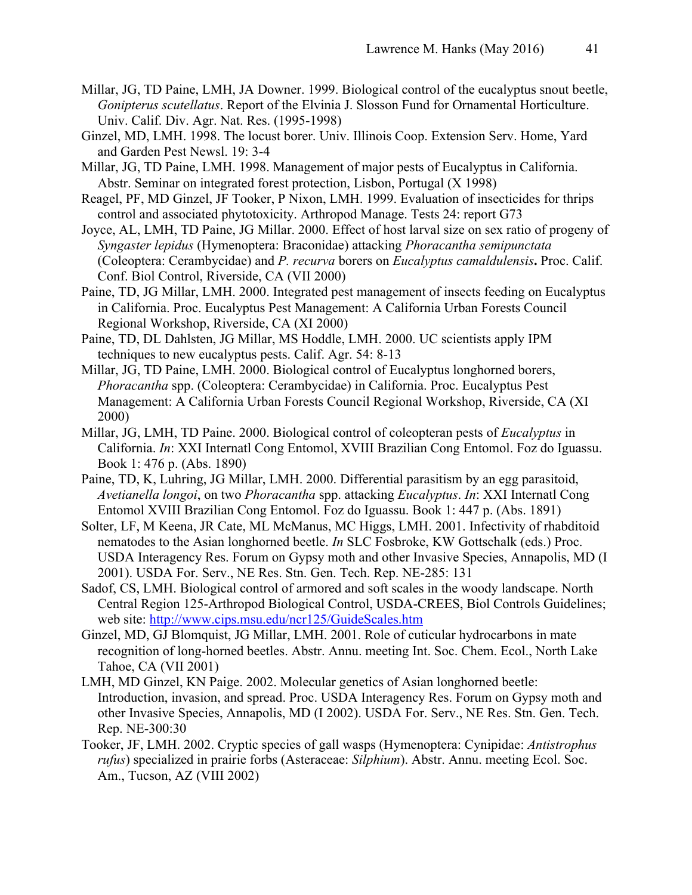- Millar, JG, TD Paine, LMH, JA Downer. 1999. Biological control of the eucalyptus snout beetle, *Gonipterus scutellatus*. Report of the Elvinia J. Slosson Fund for Ornamental Horticulture. Univ. Calif. Div. Agr. Nat. Res. (1995-1998)
- Ginzel, MD, LMH. 1998. The locust borer. Univ. Illinois Coop. Extension Serv. Home, Yard and Garden Pest Newsl. 19: 3-4
- Millar, JG, TD Paine, LMH. 1998. Management of major pests of Eucalyptus in California. Abstr. Seminar on integrated forest protection, Lisbon, Portugal (X 1998)
- Reagel, PF, MD Ginzel, JF Tooker, P Nixon, LMH. 1999. Evaluation of insecticides for thrips control and associated phytotoxicity. Arthropod Manage. Tests 24: report G73
- Joyce, AL, LMH, TD Paine, JG Millar. 2000. Effect of host larval size on sex ratio of progeny of *Syngaster lepidus* (Hymenoptera: Braconidae) attacking *Phoracantha semipunctata* (Coleoptera: Cerambycidae) and *P. recurva* borers on *Eucalyptus camaldulensis***.** Proc. Calif. Conf. Biol Control, Riverside, CA (VII 2000)
- Paine, TD, JG Millar, LMH. 2000. Integrated pest management of insects feeding on Eucalyptus in California. Proc. Eucalyptus Pest Management: A California Urban Forests Council Regional Workshop, Riverside, CA (XI 2000)
- Paine, TD, DL Dahlsten, JG Millar, MS Hoddle, LMH. 2000. UC scientists apply IPM techniques to new eucalyptus pests. Calif. Agr. 54: 8-13
- Millar, JG, TD Paine, LMH. 2000. Biological control of Eucalyptus longhorned borers, *Phoracantha* spp. (Coleoptera: Cerambycidae) in California. Proc. Eucalyptus Pest Management: A California Urban Forests Council Regional Workshop, Riverside, CA (XI 2000)
- Millar, JG, LMH, TD Paine. 2000. Biological control of coleopteran pests of *Eucalyptus* in California. *In*: XXI Internatl Cong Entomol, XVIII Brazilian Cong Entomol. Foz do Iguassu. Book 1: 476 p. (Abs. 1890)
- Paine, TD, K, Luhring, JG Millar, LMH. 2000. Differential parasitism by an egg parasitoid, *Avetianella longoi*, on two *Phoracantha* spp. attacking *Eucalyptus*. *In*: XXI Internatl Cong Entomol XVIII Brazilian Cong Entomol. Foz do Iguassu. Book 1: 447 p. (Abs. 1891)
- Solter, LF, M Keena, JR Cate, ML McManus, MC Higgs, LMH. 2001. Infectivity of rhabditoid nematodes to the Asian longhorned beetle. *In* SLC Fosbroke, KW Gottschalk (eds.) Proc. USDA Interagency Res. Forum on Gypsy moth and other Invasive Species, Annapolis, MD (I 2001). USDA For. Serv., NE Res. Stn. Gen. Tech. Rep. NE-285: 131
- Sadof, CS, LMH. Biological control of armored and soft scales in the woody landscape. North Central Region 125-Arthropod Biological Control, USDA-CREES, Biol Controls Guidelines; web site: http://www.cips.msu.edu/ncr125/GuideScales.htm
- Ginzel, MD, GJ Blomquist, JG Millar, LMH. 2001. Role of cuticular hydrocarbons in mate recognition of long-horned beetles. Abstr. Annu. meeting Int. Soc. Chem. Ecol., North Lake Tahoe, CA (VII 2001)
- LMH, MD Ginzel, KN Paige. 2002. Molecular genetics of Asian longhorned beetle: Introduction, invasion, and spread. Proc. USDA Interagency Res. Forum on Gypsy moth and other Invasive Species, Annapolis, MD (I 2002). USDA For. Serv., NE Res. Stn. Gen. Tech. Rep. NE-300:30
- Tooker, JF, LMH. 2002. Cryptic species of gall wasps (Hymenoptera: Cynipidae: *Antistrophus rufus*) specialized in prairie forbs (Asteraceae: *Silphium*). Abstr. Annu. meeting Ecol. Soc. Am., Tucson, AZ (VIII 2002)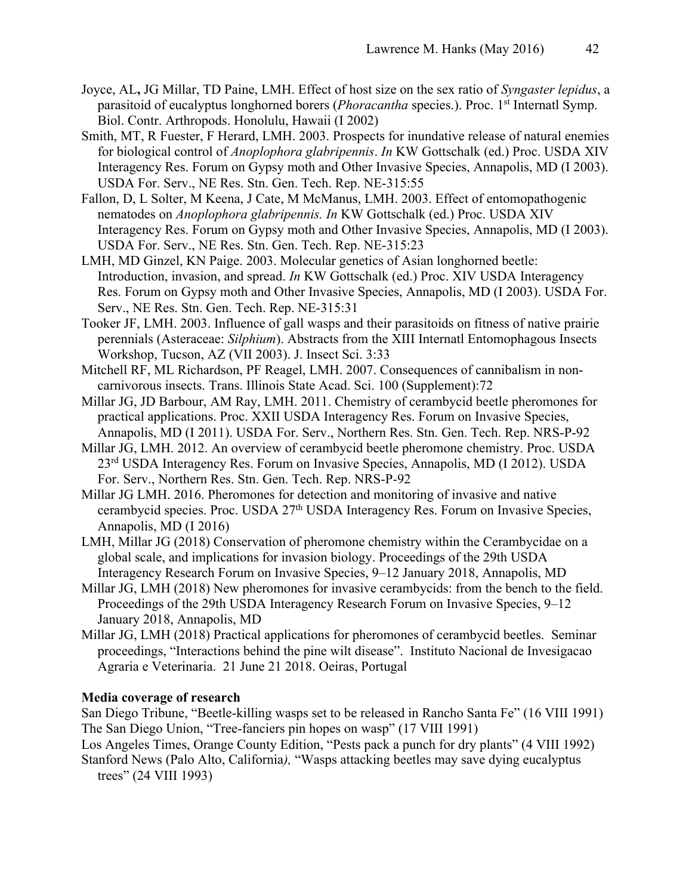- Joyce, AL**,** JG Millar, TD Paine, LMH. Effect of host size on the sex ratio of *Syngaster lepidus*, a parasitoid of eucalyptus longhorned borers (*Phoracantha* species.). Proc. 1st Internatl Symp. Biol. Contr. Arthropods. Honolulu, Hawaii (I 2002)
- Smith, MT, R Fuester, F Herard, LMH. 2003. Prospects for inundative release of natural enemies for biological control of *Anoplophora glabripennis*. *In* KW Gottschalk (ed.) Proc. USDA XIV Interagency Res. Forum on Gypsy moth and Other Invasive Species, Annapolis, MD (I 2003). USDA For. Serv., NE Res. Stn. Gen. Tech. Rep. NE-315:55
- Fallon, D, L Solter, M Keena, J Cate, M McManus, LMH. 2003. Effect of entomopathogenic nematodes on *Anoplophora glabripennis. In* KW Gottschalk (ed.) Proc. USDA XIV Interagency Res. Forum on Gypsy moth and Other Invasive Species, Annapolis, MD (I 2003). USDA For. Serv., NE Res. Stn. Gen. Tech. Rep. NE-315:23
- LMH, MD Ginzel, KN Paige. 2003. Molecular genetics of Asian longhorned beetle: Introduction, invasion, and spread. *In* KW Gottschalk (ed.) Proc. XIV USDA Interagency Res. Forum on Gypsy moth and Other Invasive Species, Annapolis, MD (I 2003). USDA For. Serv., NE Res. Stn. Gen. Tech. Rep. NE-315:31
- Tooker JF, LMH. 2003. Influence of gall wasps and their parasitoids on fitness of native prairie perennials (Asteraceae: *Silphium*). Abstracts from the XIII Internatl Entomophagous Insects Workshop, Tucson, AZ (VII 2003). J. Insect Sci. 3:33
- Mitchell RF, ML Richardson, PF Reagel, LMH. 2007. Consequences of cannibalism in noncarnivorous insects. Trans. Illinois State Acad. Sci. 100 (Supplement):72
- Millar JG, JD Barbour, AM Ray, LMH. 2011. Chemistry of cerambycid beetle pheromones for practical applications. Proc. XXII USDA Interagency Res. Forum on Invasive Species, Annapolis, MD (I 2011). USDA For. Serv., Northern Res. Stn. Gen. Tech. Rep. NRS-P-92
- Millar JG, LMH. 2012. An overview of cerambycid beetle pheromone chemistry. Proc. USDA 23rd USDA Interagency Res. Forum on Invasive Species, Annapolis, MD (I 2012). USDA For. Serv., Northern Res. Stn. Gen. Tech. Rep. NRS-P-92
- Millar JG LMH. 2016. Pheromones for detection and monitoring of invasive and native cerambycid species. Proc. USDA 27<sup>th</sup> USDA Interagency Res. Forum on Invasive Species, Annapolis, MD (I 2016)
- LMH, Millar JG (2018) Conservation of pheromone chemistry within the Cerambycidae on a global scale, and implications for invasion biology. Proceedings of the 29th USDA Interagency Research Forum on Invasive Species, 9–12 January 2018, Annapolis, MD
- Millar JG, LMH (2018) New pheromones for invasive cerambycids: from the bench to the field. Proceedings of the 29th USDA Interagency Research Forum on Invasive Species, 9–12 January 2018, Annapolis, MD
- Millar JG, LMH (2018) Practical applications for pheromones of cerambycid beetles. Seminar proceedings, "Interactions behind the pine wilt disease". Instituto Nacional de Invesigacao Agraria e Veterinaria. 21 June 21 2018. Oeiras, Portugal

#### **Media coverage of research**

San Diego Tribune, "Beetle-killing wasps set to be released in Rancho Santa Fe" (16 VIII 1991) The San Diego Union, "Tree-fanciers pin hopes on wasp" (17 VIII 1991)

Los Angeles Times, Orange County Edition, "Pests pack a punch for dry plants" (4 VIII 1992) Stanford News (Palo Alto, California*),* "Wasps attacking beetles may save dying eucalyptus

trees" (24 VIII 1993)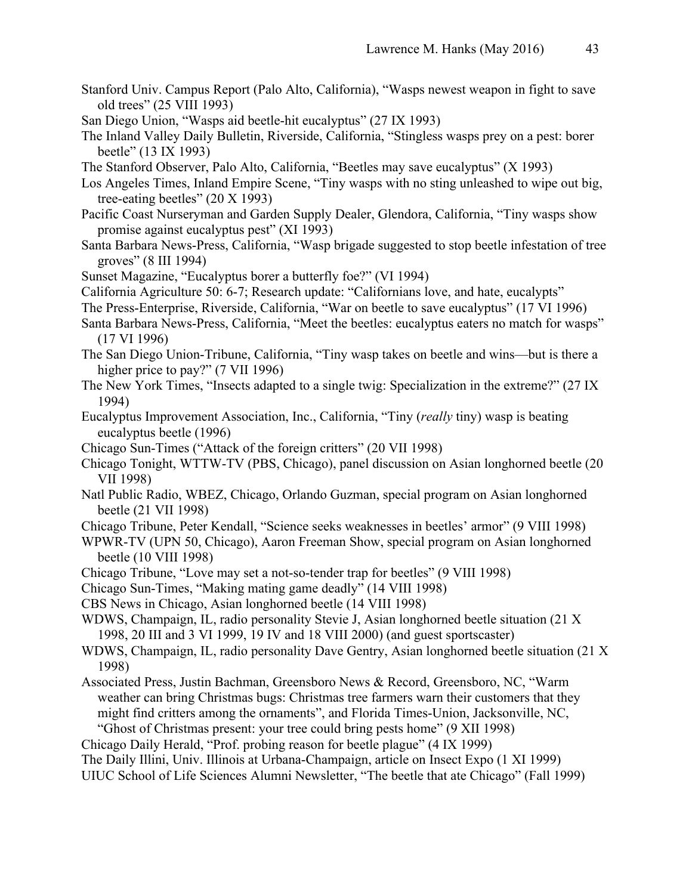- Stanford Univ. Campus Report (Palo Alto, California), "Wasps newest weapon in fight to save old trees" (25 VIII 1993)
- San Diego Union, "Wasps aid beetle-hit eucalyptus" (27 IX 1993)
- The Inland Valley Daily Bulletin, Riverside, California, "Stingless wasps prey on a pest: borer beetle" (13 IX 1993)
- The Stanford Observer, Palo Alto, California, "Beetles may save eucalyptus" (X 1993)
- Los Angeles Times, Inland Empire Scene, "Tiny wasps with no sting unleashed to wipe out big, tree-eating beetles" (20 X 1993)
- Pacific Coast Nurseryman and Garden Supply Dealer, Glendora, California, "Tiny wasps show promise against eucalyptus pest" (XI 1993)
- Santa Barbara News-Press, California, "Wasp brigade suggested to stop beetle infestation of tree groves" (8 III 1994)
- Sunset Magazine, "Eucalyptus borer a butterfly foe?" (VI 1994)
- California Agriculture 50: 6-7; Research update: "Californians love, and hate, eucalypts"
- The Press-Enterprise, Riverside, California, "War on beetle to save eucalyptus" (17 VI 1996)
- Santa Barbara News-Press, California, "Meet the beetles: eucalyptus eaters no match for wasps" (17 VI 1996)
- The San Diego Union-Tribune, California, "Tiny wasp takes on beetle and wins—but is there a higher price to pay?" (7 VII 1996)
- The New York Times, "Insects adapted to a single twig: Specialization in the extreme?" (27 IX 1994)
- Eucalyptus Improvement Association, Inc., California, "Tiny (*really* tiny) wasp is beating eucalyptus beetle (1996)
- Chicago Sun-Times ("Attack of the foreign critters" (20 VII 1998)
- Chicago Tonight, WTTW-TV (PBS, Chicago), panel discussion on Asian longhorned beetle (20 VII 1998)
- Natl Public Radio, WBEZ, Chicago, Orlando Guzman, special program on Asian longhorned beetle (21 VII 1998)
- Chicago Tribune, Peter Kendall, "Science seeks weaknesses in beetles' armor" (9 VIII 1998)
- WPWR-TV (UPN 50, Chicago), Aaron Freeman Show, special program on Asian longhorned beetle (10 VIII 1998)
- Chicago Tribune, "Love may set a not-so-tender trap for beetles" (9 VIII 1998)
- Chicago Sun-Times, "Making mating game deadly" (14 VIII 1998)
- CBS News in Chicago, Asian longhorned beetle (14 VIII 1998)
- WDWS, Champaign, IL, radio personality Stevie J, Asian longhorned beetle situation (21 X 1998, 20 III and 3 VI 1999, 19 IV and 18 VIII 2000) (and guest sportscaster)
- WDWS, Champaign, IL, radio personality Dave Gentry, Asian longhorned beetle situation (21 X 1998)
- Associated Press, Justin Bachman, Greensboro News & Record, Greensboro, NC, "Warm weather can bring Christmas bugs: Christmas tree farmers warn their customers that they might find critters among the ornaments", and Florida Times-Union, Jacksonville, NC, "Ghost of Christmas present: your tree could bring pests home" (9 XII 1998)
- Chicago Daily Herald, "Prof. probing reason for beetle plague" (4 IX 1999)

The Daily Illini, Univ. Illinois at Urbana-Champaign, article on Insect Expo (1 XI 1999) UIUC School of Life Sciences Alumni Newsletter, "The beetle that ate Chicago" (Fall 1999)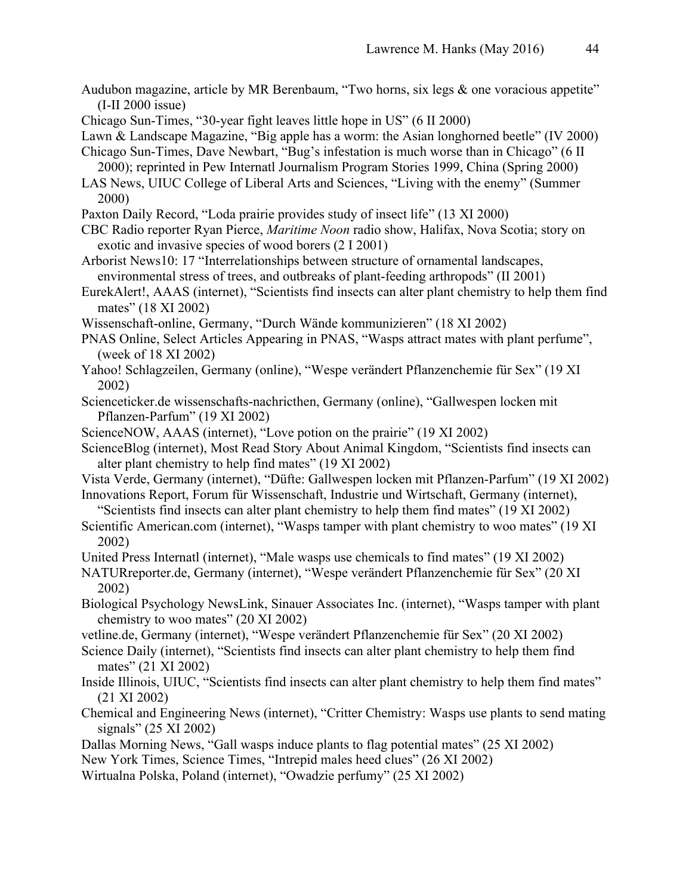- Audubon magazine, article by MR Berenbaum, "Two horns, six legs & one voracious appetite" (I-II 2000 issue)
- Chicago Sun-Times, "30-year fight leaves little hope in US" (6 II 2000)
- Lawn & Landscape Magazine, "Big apple has a worm: the Asian longhorned beetle" (IV 2000)

Chicago Sun-Times, Dave Newbart, "Bug's infestation is much worse than in Chicago" (6 II 2000); reprinted in Pew Internatl Journalism Program Stories 1999, China (Spring 2000)

- LAS News, UIUC College of Liberal Arts and Sciences, "Living with the enemy" (Summer 2000)
- Paxton Daily Record, "Loda prairie provides study of insect life" (13 XI 2000)
- CBC Radio reporter Ryan Pierce, *Maritime Noon* radio show, Halifax, Nova Scotia; story on exotic and invasive species of wood borers (2 I 2001)
- Arborist News10: 17 "Interrelationships between structure of ornamental landscapes, environmental stress of trees, and outbreaks of plant-feeding arthropods" (II 2001)
- EurekAlert!, AAAS (internet), "Scientists find insects can alter plant chemistry to help them find mates" (18 XI 2002)
- Wissenschaft-online, Germany, "Durch Wände kommunizieren" (18 XI 2002)
- PNAS Online, Select Articles Appearing in PNAS, "Wasps attract mates with plant perfume", (week of 18 XI 2002)
- Yahoo! Schlagzeilen, Germany (online), "Wespe verändert Pflanzenchemie für Sex" (19 XI 2002)
- Scienceticker.de wissenschafts-nachricthen, Germany (online), "Gallwespen locken mit Pflanzen-Parfum" (19 XI 2002)
- ScienceNOW, AAAS (internet), "Love potion on the prairie" (19 XI 2002)
- ScienceBlog (internet), Most Read Story About Animal Kingdom, "Scientists find insects can alter plant chemistry to help find mates" (19 XI 2002)
- Vista Verde, Germany (internet), "Düfte: Gallwespen locken mit Pflanzen-Parfum" (19 XI 2002) Innovations Report, Forum für Wissenschaft, Industrie und Wirtschaft, Germany (internet),
	- "Scientists find insects can alter plant chemistry to help them find mates" (19 XI 2002)
- Scientific American.com (internet), "Wasps tamper with plant chemistry to woo mates" (19 XI 2002)
- United Press Internatl (internet), "Male wasps use chemicals to find mates" (19 XI 2002)
- NATURreporter.de, Germany (internet), "Wespe verändert Pflanzenchemie für Sex" (20 XI 2002)
- Biological Psychology NewsLink, Sinauer Associates Inc. (internet), "Wasps tamper with plant chemistry to woo mates" (20 XI 2002)
- vetline.de, Germany (internet), "Wespe verändert Pflanzenchemie für Sex" (20 XI 2002)
- Science Daily (internet), "Scientists find insects can alter plant chemistry to help them find mates" (21 XI 2002)
- Inside Illinois, UIUC, "Scientists find insects can alter plant chemistry to help them find mates" (21 XI 2002)
- Chemical and Engineering News (internet), "Critter Chemistry: Wasps use plants to send mating signals" (25 XI 2002)
- Dallas Morning News, "Gall wasps induce plants to flag potential mates" (25 XI 2002)
- New York Times, Science Times, "Intrepid males heed clues" (26 XI 2002)
- Wirtualna Polska, Poland (internet), "Owadzie perfumy" (25 XI 2002)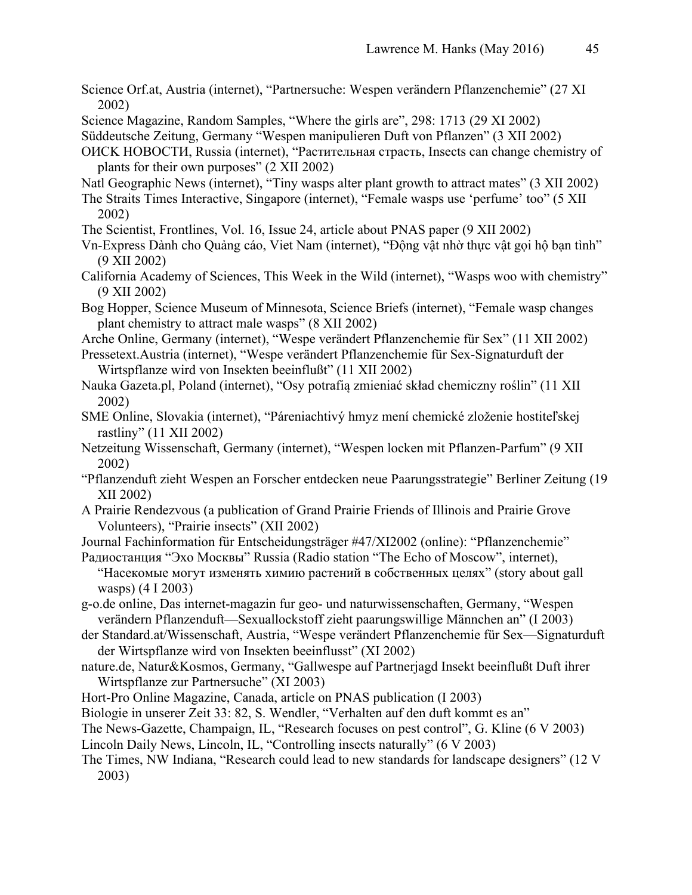- Science Orf.at, Austria (internet), "Partnersuche: Wespen verändern Pflanzenchemie" (27 XI 2002)
- Science Magazine, Random Samples, "Where the girls are", 298: 1713 (29 XI 2002)
- Süddeutsche Zeitung, Germany "Wespen manipulieren Duft von Pflanzen" (3 XII 2002)
- OИCK HOBOCTИ, Russia (internet), "Растительная страсть, Insects can change chemistry of plants for their own purposes" (2 XII 2002)
- Natl Geographic News (internet), "Tiny wasps alter plant growth to attract mates" (3 XII 2002)
- The Straits Times Interactive, Singapore (internet), "Female wasps use 'perfume' too" (5 XII 2002)
- The Scientist, Frontlines, Vol. 16, Issue 24, article about PNAS paper (9 XII 2002)
- Vn-Express Dành cho Quảng cáo, Viet Nam (internet), "Động vật nhờ thực vật gọi hộ bạn tình" (9 XII 2002)
- California Academy of Sciences, This Week in the Wild (internet), "Wasps woo with chemistry" (9 XII 2002)
- Bog Hopper, Science Museum of Minnesota, Science Briefs (internet), "Female wasp changes plant chemistry to attract male wasps" (8 XII 2002)
- Arche Online, Germany (internet), "Wespe verändert Pflanzenchemie für Sex" (11 XII 2002)
- Pressetext.Austria (internet), "Wespe verändert Pflanzenchemie für Sex-Signaturduft der Wirtspflanze wird von Insekten beeinflußt" (11 XII 2002)
- Nauka Gazeta.pl, Poland (internet), "Osy potrafią zmieniać skład chemiczny roślin" (11 XII 2002)
- SME Online, Slovakia (internet), "Páreniachtivý hmyz mení chemické zloženie hostiteľskej rastliny" (11 XII 2002)
- Netzeitung Wissenschaft, Germany (internet), "Wespen locken mit Pflanzen-Parfum" (9 XII 2002)
- "Pflanzenduft zieht Wespen an Forscher entdecken neue Paarungsstrategie" Berliner Zeitung (19 XII 2002)
- A Prairie Rendezvous (a publication of Grand Prairie Friends of Illinois and Prairie Grove Volunteers), "Prairie insects" (XII 2002)
- Journal Fachinformation für Entscheidungsträger #47/XI2002 (online): "Pflanzenchemie"
- Радиостанция "Эхо Москвы" Russia (Radio station "The Echo of Moscow", internet), "Насекомые могут изменять химию растений в собственных целях" (story about gall wasps) (4 I 2003)
- g-o.de online, Das internet-magazin fur geo- und naturwissenschaften, Germany, "Wespen verändern Pflanzenduft—Sexuallockstoff zieht paarungswillige Männchen an" (I 2003)
- der Standard.at/Wissenschaft, Austria, "Wespe verändert Pflanzenchemie für Sex—Signaturduft der Wirtspflanze wird von Insekten beeinflusst" (XI 2002)
- nature.de, Natur&Kosmos, Germany, "Gallwespe auf Partnerjagd Insekt beeinflußt Duft ihrer Wirtspflanze zur Partnersuche" (XI 2003)
- Hort-Pro Online Magazine, Canada, article on PNAS publication (I 2003)
- Biologie in unserer Zeit 33: 82, S. Wendler, "Verhalten auf den duft kommt es an"
- The News-Gazette, Champaign, IL, "Research focuses on pest control", G. Kline (6 V 2003)
- Lincoln Daily News, Lincoln, IL, "Controlling insects naturally" (6 V 2003)
- The Times, NW Indiana, "Research could lead to new standards for landscape designers" (12 V 2003)